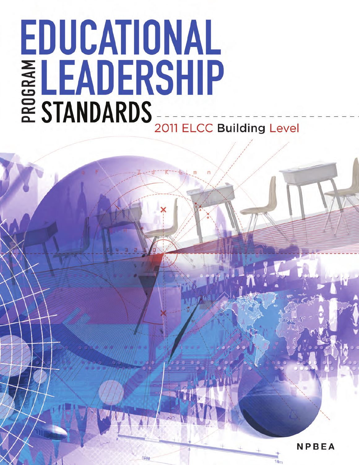# EDUCATIONAL ELEADERSHIP 2011 ELCC Building Level

**NPBEA**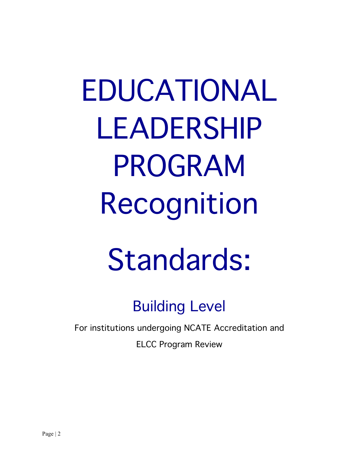EDUCATIONAL LEADERSHIP PROGRAM Recognition

# Standards:

Building Level

For institutions undergoing NCATE Accreditation and

ELCC Program Review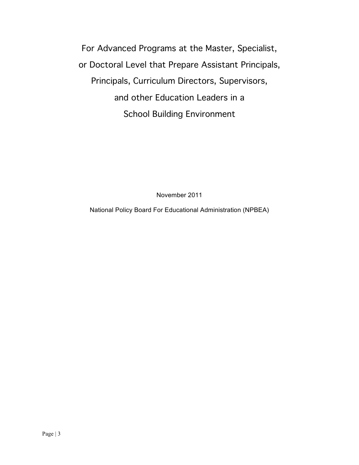For Advanced Programs at the Master, Specialist, or Doctoral Level that Prepare Assistant Principals, Principals, Curriculum Directors, Supervisors, and other Education Leaders in a School Building Environment

November 2011

National Policy Board For Educational Administration (NPBEA)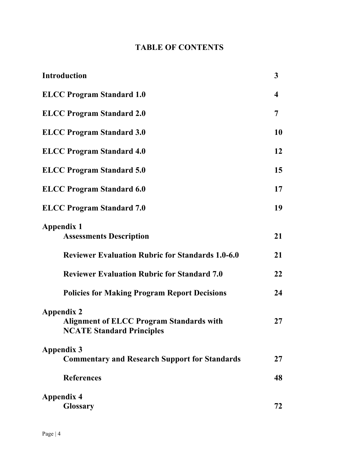# **TABLE OF CONTENTS**

| <b>Introduction</b>                                                                                      | $\mathbf{3}$            |
|----------------------------------------------------------------------------------------------------------|-------------------------|
| <b>ELCC Program Standard 1.0</b>                                                                         | $\overline{\mathbf{4}}$ |
| <b>ELCC Program Standard 2.0</b>                                                                         | 7                       |
| <b>ELCC Program Standard 3.0</b>                                                                         | 10                      |
| <b>ELCC Program Standard 4.0</b>                                                                         | 12                      |
| <b>ELCC Program Standard 5.0</b>                                                                         | 15                      |
| <b>ELCC Program Standard 6.0</b>                                                                         | 17                      |
| <b>ELCC Program Standard 7.0</b>                                                                         | 19                      |
| <b>Appendix 1</b><br><b>Assessments Description</b>                                                      | 21                      |
| <b>Reviewer Evaluation Rubric for Standards 1.0-6.0</b>                                                  | 21                      |
| <b>Reviewer Evaluation Rubric for Standard 7.0</b>                                                       | 22                      |
| <b>Policies for Making Program Report Decisions</b>                                                      | 24                      |
| <b>Appendix 2</b><br><b>Alignment of ELCC Program Standards with</b><br><b>NCATE Standard Principles</b> | 27                      |
| <b>Appendix 3</b>                                                                                        |                         |
| <b>Commentary and Research Support for Standards</b>                                                     | 27                      |
| <b>References</b>                                                                                        | 48                      |
| <b>Appendix 4</b>                                                                                        |                         |
| <b>Glossary</b>                                                                                          | 72                      |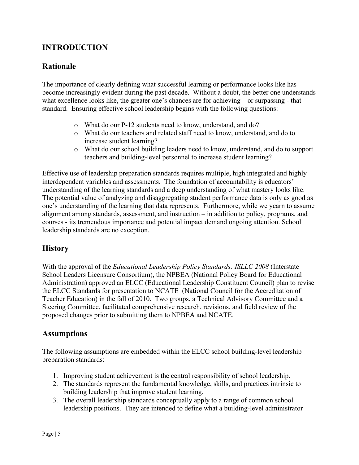# **INTRODUCTION**

# **Rationale**

The importance of clearly defining what successful learning or performance looks like has become increasingly evident during the past decade. Without a doubt, the better one understands what excellence looks like, the greater one's chances are for achieving – or surpassing - that standard. Ensuring effective school leadership begins with the following questions:

- o What do our P-12 students need to know, understand, and do?
- o What do our teachers and related staff need to know, understand, and do to increase student learning?
- o What do our school building leaders need to know, understand, and do to support teachers and building-level personnel to increase student learning?

Effective use of leadership preparation standards requires multiple, high integrated and highly interdependent variables and assessments. The foundation of accountability is educators' understanding of the learning standards and a deep understanding of what mastery looks like. The potential value of analyzing and disaggregating student performance data is only as good as one's understanding of the learning that data represents. Furthermore, while we yearn to assume alignment among standards, assessment, and instruction – in addition to policy, programs, and courses - its tremendous importance and potential impact demand ongoing attention. School leadership standards are no exception.

# **History**

With the approval of the *Educational Leadership Policy Standards: ISLLC 2008* (Interstate School Leaders Licensure Consortium), the NPBEA (National Policy Board for Educational Administration) approved an ELCC (Educational Leadership Constituent Council) plan to revise the ELCC Standards for presentation to NCATE (National Council for the Accreditation of Teacher Education) in the fall of 2010. Two groups, a Technical Advisory Committee and a Steering Committee, facilitated comprehensive research, revisions, and field review of the proposed changes prior to submitting them to NPBEA and NCATE.

# **Assumptions**

The following assumptions are embedded within the ELCC school building-level leadership preparation standards:

- 1. Improving student achievement is the central responsibility of school leadership.
- 2. The standards represent the fundamental knowledge, skills, and practices intrinsic to building leadership that improve student learning.
- 3. The overall leadership standards conceptually apply to a range of common school leadership positions. They are intended to define what a building-level administrator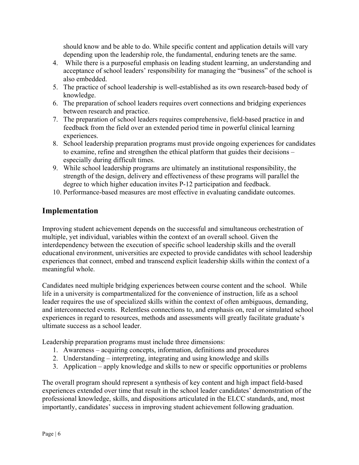should know and be able to do. While specific content and application details will vary depending upon the leadership role, the fundamental, enduring tenets are the same.

- 4. While there is a purposeful emphasis on leading student learning, an understanding and acceptance of school leaders' responsibility for managing the "business" of the school is also embedded.
- 5. The practice of school leadership is well-established as its own research-based body of knowledge.
- 6. The preparation of school leaders requires overt connections and bridging experiences between research and practice.
- 7. The preparation of school leaders requires comprehensive, field-based practice in and feedback from the field over an extended period time in powerful clinical learning experiences.
- 8. School leadership preparation programs must provide ongoing experiences for candidates to examine, refine and strengthen the ethical platform that guides their decisions – especially during difficult times.
- 9. While school leadership programs are ultimately an institutional responsibility, the strength of the design, delivery and effectiveness of these programs will parallel the degree to which higher education invites P-12 participation and feedback.
- 10. Performance-based measures are most effective in evaluating candidate outcomes.

# **Implementation**

Improving student achievement depends on the successful and simultaneous orchestration of multiple, yet individual, variables within the context of an overall school. Given the interdependency between the execution of specific school leadership skills and the overall educational environment, universities are expected to provide candidates with school leadership experiences that connect, embed and transcend explicit leadership skills within the context of a meaningful whole.

Candidates need multiple bridging experiences between course content and the school. While life in a university is compartmentalized for the convenience of instruction, life as a school leader requires the use of specialized skills within the context of often ambiguous, demanding, and interconnected events. Relentless connections to, and emphasis on, real or simulated school experiences in regard to resources, methods and assessments will greatly facilitate graduate's ultimate success as a school leader.

Leadership preparation programs must include three dimensions:

- 1. Awareness acquiring concepts, information, definitions and procedures
- 2. Understanding interpreting, integrating and using knowledge and skills
- 3. Application apply knowledge and skills to new or specific opportunities or problems

The overall program should represent a synthesis of key content and high impact field-based experiences extended over time that result in the school leader candidates' demonstration of the professional knowledge, skills, and dispositions articulated in the ELCC standards, and, most importantly, candidates' success in improving student achievement following graduation.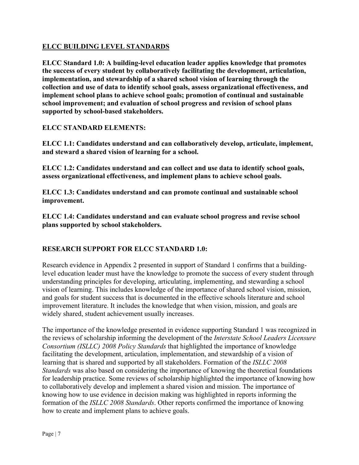# **ELCC BUILDING LEVEL STANDARDS**

**ELCC Standard 1.0: A building-level education leader applies knowledge that promotes the success of every student by collaboratively facilitating the development, articulation, implementation, and stewardship of a shared school vision of learning through the collection and use of data to identify school goals, assess organizational effectiveness, and implement school plans to achieve school goals; promotion of continual and sustainable school improvement; and evaluation of school progress and revision of school plans supported by school-based stakeholders.**

# **ELCC STANDARD ELEMENTS:**

**ELCC 1.1: Candidates understand and can collaboratively develop, articulate, implement, and steward a shared vision of learning for a school.**

**ELCC 1.2: Candidates understand and can collect and use data to identify school goals, assess organizational effectiveness, and implement plans to achieve school goals.**

**ELCC 1.3: Candidates understand and can promote continual and sustainable school improvement.** 

**ELCC 1.4: Candidates understand and can evaluate school progress and revise school plans supported by school stakeholders.**

# **RESEARCH SUPPORT FOR ELCC STANDARD 1.0:**

Research evidence in Appendix 2 presented in support of Standard 1 confirms that a buildinglevel education leader must have the knowledge to promote the success of every student through understanding principles for developing, articulating, implementing, and stewarding a school vision of learning. This includes knowledge of the importance of shared school vision, mission, and goals for student success that is documented in the effective schools literature and school improvement literature. It includes the knowledge that when vision, mission, and goals are widely shared, student achievement usually increases.

The importance of the knowledge presented in evidence supporting Standard 1 was recognized in the reviews of scholarship informing the development of the *Interstate School Leaders Licensure Consortium (ISLLC) 2008 Policy Standards* that highlighted the importance of knowledge facilitating the development, articulation, implementation, and stewardship of a vision of learning that is shared and supported by all stakeholders. Formation of the *ISLLC 2008 Standards* was also based on considering the importance of knowing the theoretical foundations for leadership practice. Some reviews of scholarship highlighted the importance of knowing how to collaboratively develop and implement a shared vision and mission. The importance of knowing how to use evidence in decision making was highlighted in reports informing the formation of the *ISLLC 2008 Standards*. Other reports confirmed the importance of knowing how to create and implement plans to achieve goals.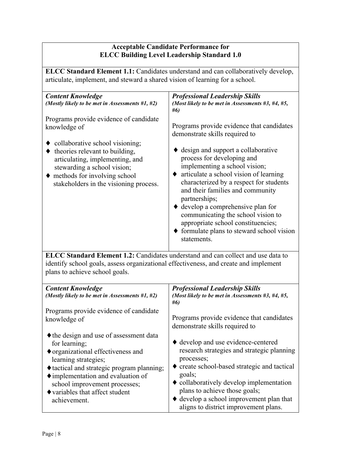# **Acceptable Candidate Performance for ELCC Building Level Leadership Standard 1.0**

**ELCC Standard Element 1.1:** Candidates understand and can collaboratively develop, articulate, implement, and steward a shared vision of learning for a school.

| <b>Content Knowledge</b><br>(Mostly likely to be met in Assessments #1, #2)                                                                                                                                                                                                                       | <b>Professional Leadership Skills</b><br>(Most likely to be met in Assessments $#3, #4, #5,$<br>#6)                                                                                                                                                                                                                                                                                          |
|---------------------------------------------------------------------------------------------------------------------------------------------------------------------------------------------------------------------------------------------------------------------------------------------------|----------------------------------------------------------------------------------------------------------------------------------------------------------------------------------------------------------------------------------------------------------------------------------------------------------------------------------------------------------------------------------------------|
| Programs provide evidence of candidate<br>knowledge of<br>collaborative school visioning;<br>$\bullet$ theories relevant to building,<br>articulating, implementing, and<br>stewarding a school vision;<br>$\blacklozenge$ methods for involving school<br>stakeholders in the visioning process. | Programs provide evidence that candidates<br>demonstrate skills required to<br>$\bullet$ design and support a collaborative<br>process for developing and<br>implementing a school vision;<br>$\bullet$ articulate a school vision of learning<br>characterized by a respect for students<br>and their families and community<br>partnerships;<br>$\bullet$ develop a comprehensive plan for |
|                                                                                                                                                                                                                                                                                                   | communicating the school vision to<br>appropriate school constituencies;<br>$\blacklozenge$ formulate plans to steward school vision<br>statements.                                                                                                                                                                                                                                          |

**ELCC Standard Element 1.2:** Candidates understand and can collect and use data to identify school goals, assess organizational effectiveness, and create and implement plans to achieve school goals.

| <b>Content Knowledge</b><br>(Mostly likely to be met in Assessments $#1, #2$ ) | <b>Professional Leadership Skills</b><br>(Most likely to be met in Assessments $#3, #4, #5,$<br>#6) |
|--------------------------------------------------------------------------------|-----------------------------------------------------------------------------------------------------|
| Programs provide evidence of candidate                                         | Programs provide evidence that candidates                                                           |
| knowledge of                                                                   | demonstrate skills required to                                                                      |
| • the design and use of assessment data                                        | • develop and use evidence-centered                                                                 |
| for learning;                                                                  | research strategies and strategic planning                                                          |
| $\bullet$ organizational effectiveness and                                     | processes;                                                                                          |
| learning strategies;                                                           | • create school-based strategic and tactical                                                        |
| ♦ tactical and strategic program planning;                                     | goals;                                                                                              |
| $\blacklozenge$ implementation and evaluation of                               | $\bullet$ collaboratively develop implementation                                                    |
| school improvement processes;                                                  | plans to achieve those goals;                                                                       |
| $\blacklozenge$ variables that affect student                                  | $\blacklozenge$ develop a school improvement plan that                                              |
| achievement.                                                                   | aligns to district improvement plans.                                                               |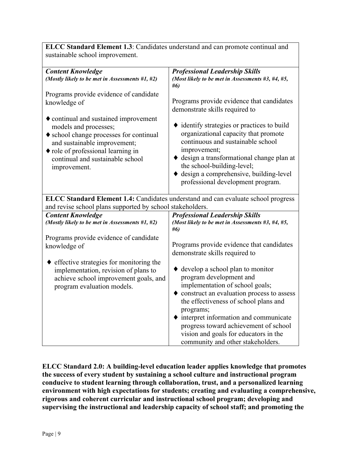| ELCC Standard Element 1.3: Candidates understand and can promote continual and                                                                                                                                                                    |                                                                                                                                                                                                                                                                                                                                                                                                             |  |
|---------------------------------------------------------------------------------------------------------------------------------------------------------------------------------------------------------------------------------------------------|-------------------------------------------------------------------------------------------------------------------------------------------------------------------------------------------------------------------------------------------------------------------------------------------------------------------------------------------------------------------------------------------------------------|--|
| sustainable school improvement.                                                                                                                                                                                                                   |                                                                                                                                                                                                                                                                                                                                                                                                             |  |
| <b>Content Knowledge</b>                                                                                                                                                                                                                          | <b>Professional Leadership Skills</b>                                                                                                                                                                                                                                                                                                                                                                       |  |
| (Mostly likely to be met in Assessments #1, #2)                                                                                                                                                                                                   | (Most likely to be met in Assessments #3, #4, #5,<br>#6)                                                                                                                                                                                                                                                                                                                                                    |  |
| Programs provide evidence of candidate<br>knowledge of                                                                                                                                                                                            | Programs provide evidence that candidates<br>demonstrate skills required to                                                                                                                                                                                                                                                                                                                                 |  |
| • continual and sustained improvement<br>models and processes;<br>♦ school change processes for continual<br>and sustainable improvement;<br>$\blacklozenge$ role of professional learning in<br>continual and sustainable school<br>improvement. | • identify strategies or practices to build<br>organizational capacity that promote<br>continuous and sustainable school<br>improvement;<br>$\bullet$ design a transformational change plan at<br>the school-building-level;<br>$\blacklozenge$ design a comprehensive, building-level<br>professional development program.                                                                                 |  |
| <b>ELCC Standard Element 1.4:</b> Candidates understand and can evaluate school progress<br>and revise school plans supported by school stakeholders.                                                                                             |                                                                                                                                                                                                                                                                                                                                                                                                             |  |
| <b>Content Knowledge</b><br>(Mostly likely to be met in Assessments #1, #2)                                                                                                                                                                       | <b>Professional Leadership Skills</b><br>(Most likely to be met in Assessments #3, #4, #5,<br>#6)                                                                                                                                                                                                                                                                                                           |  |
| Programs provide evidence of candidate<br>knowledge of                                                                                                                                                                                            | Programs provide evidence that candidates<br>demonstrate skills required to                                                                                                                                                                                                                                                                                                                                 |  |
| effective strategies for monitoring the<br>implementation, revision of plans to<br>achieve school improvement goals, and<br>program evaluation models.                                                                                            | $\blacklozenge$ develop a school plan to monitor<br>program development and<br>implementation of school goals;<br>$\bullet$ construct an evaluation process to assess<br>the effectiveness of school plans and<br>programs;<br>$\blacklozenge$ interpret information and communicate<br>progress toward achievement of school<br>vision and goals for educators in the<br>community and other stakeholders. |  |

**ELCC Standard 2.0: A building-level education leader applies knowledge that promotes the success of every student by sustaining a school culture and instructional program conducive to student learning through collaboration, trust, and a personalized learning environment with high expectations for students; creating and evaluating a comprehensive, rigorous and coherent curricular and instructional school program; developing and supervising the instructional and leadership capacity of school staff; and promoting the**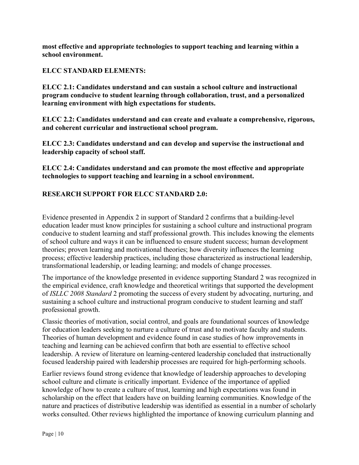**most effective and appropriate technologies to support teaching and learning within a school environment.**

#### **ELCC STANDARD ELEMENTS:**

**ELCC 2.1: Candidates understand and can sustain a school culture and instructional program conducive to student learning through collaboration, trust, and a personalized learning environment with high expectations for students.**

**ELCC 2.2: Candidates understand and can create and evaluate a comprehensive, rigorous, and coherent curricular and instructional school program.**

**ELCC 2.3: Candidates understand and can develop and supervise the instructional and leadership capacity of school staff.**

**ELCC 2.4: Candidates understand and can promote the most effective and appropriate technologies to support teaching and learning in a school environment.**

# **RESEARCH SUPPORT FOR ELCC STANDARD 2.0:**

Evidence presented in Appendix 2 in support of Standard 2 confirms that a building-level education leader must know principles for sustaining a school culture and instructional program conducive to student learning and staff professional growth. This includes knowing the elements of school culture and ways it can be influenced to ensure student success; human development theories; proven learning and motivational theories; how diversity influences the learning process; effective leadership practices, including those characterized as instructional leadership, transformational leadership, or leading learning; and models of change processes.

The importance of the knowledge presented in evidence supporting Standard 2 was recognized in the empirical evidence, craft knowledge and theoretical writings that supported the development of *ISLLC 2008 Standard* 2 promoting the success of every student by advocating, nurturing, and sustaining a school culture and instructional program conducive to student learning and staff professional growth.

Classic theories of motivation, social control, and goals are foundational sources of knowledge for education leaders seeking to nurture a culture of trust and to motivate faculty and students. Theories of human development and evidence found in case studies of how improvements in teaching and learning can be achieved confirm that both are essential to effective school leadership. A review of literature on learning-centered leadership concluded that instructionally focused leadership paired with leadership processes are required for high-performing schools.

Earlier reviews found strong evidence that knowledge of leadership approaches to developing school culture and climate is critically important. Evidence of the importance of applied knowledge of how to create a culture of trust, learning and high expectations was found in scholarship on the effect that leaders have on building learning communities. Knowledge of the nature and practices of distributive leadership was identified as essential in a number of scholarly works consulted. Other reviews highlighted the importance of knowing curriculum planning and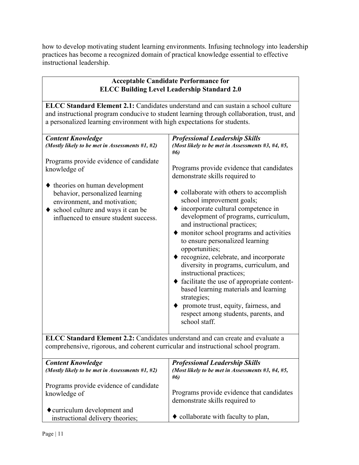how to develop motivating student learning environments. Infusing technology into leadership practices has become a recognized domain of practical knowledge essential to effective instructional leadership.

| <b>Acceptable Candidate Performance for</b><br><b>ELCC Building Level Leadership Standard 2.0</b><br><b>ELCC Standard Element 2.1:</b> Candidates understand and can sustain a school culture<br>and instructional program conducive to student learning through collaboration, trust, and<br>a personalized learning environment with high expectations for students. |  |
|------------------------------------------------------------------------------------------------------------------------------------------------------------------------------------------------------------------------------------------------------------------------------------------------------------------------------------------------------------------------|--|
|                                                                                                                                                                                                                                                                                                                                                                        |  |
| <b>ELCC Standard Element 2.2:</b> Candidates understand and can create and evaluate a                                                                                                                                                                                                                                                                                  |  |

**ELCC Standard Element 2.2:** Candidates understand and can create and evaluate a comprehensive, rigorous, and coherent curricular and instructional school program.

| <b>Content Knowledge</b>                                         | <b>Professional Leadership Skills</b>                                       |
|------------------------------------------------------------------|-----------------------------------------------------------------------------|
| (Mostly likely to be met in Assessments $#1, #2$ )               | (Most likely to be met in Assessments #3, #4, #5,<br>#6)                    |
| Programs provide evidence of candidate<br>knowledge of           | Programs provide evidence that candidates<br>demonstrate skills required to |
| ◆ curriculum development and<br>instructional delivery theories; | • collaborate with faculty to plan,                                         |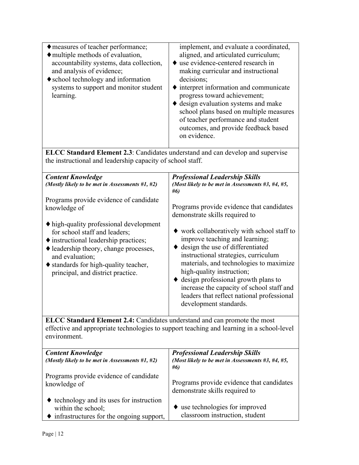| ◆ measures of teacher performance;<br>◆ multiple methods of evaluation,<br>accountability systems, data collection,<br>and analysis of evidence;<br>♦ school technology and information<br>systems to support and monitor student<br>learning.             | implement, and evaluate a coordinated,<br>aligned, and articulated curriculum;<br>use evidence-centered research in<br>making curricular and instructional<br>decisions;<br>interpret information and communicate<br>progress toward achievement;<br>♦ design evaluation systems and make<br>school plans based on multiple measures<br>of teacher performance and student<br>outcomes, and provide feedback based<br>on evidence. |  |
|------------------------------------------------------------------------------------------------------------------------------------------------------------------------------------------------------------------------------------------------------------|------------------------------------------------------------------------------------------------------------------------------------------------------------------------------------------------------------------------------------------------------------------------------------------------------------------------------------------------------------------------------------------------------------------------------------|--|
| <b>ELCC Standard Element 2.3</b> : Candidates understand and can develop and supervise<br>the instructional and leadership capacity of school staff.                                                                                                       |                                                                                                                                                                                                                                                                                                                                                                                                                                    |  |
| <b>Content Knowledge</b><br>(Mostly likely to be met in Assessments #1, #2)                                                                                                                                                                                | <b>Professional Leadership Skills</b><br>(Most likely to be met in Assessments #3, #4, #5,<br>#6)                                                                                                                                                                                                                                                                                                                                  |  |
| Programs provide evidence of candidate<br>knowledge of                                                                                                                                                                                                     | Programs provide evidence that candidates<br>demonstrate skills required to                                                                                                                                                                                                                                                                                                                                                        |  |
| • high-quality professional development<br>for school staff and leaders;<br>♦ instructional leadership practices;<br>leadership theory, change processes,<br>and evaluation;<br>◆ standards for high-quality teacher,<br>principal, and district practice. | ♦ work collaboratively with school staff to<br>improve teaching and learning;<br>$\bullet$ design the use of differentiated<br>instructional strategies, curriculum<br>materials, and technologies to maximize<br>high-quality instruction;<br>$\blacklozenge$ design professional growth plans to<br>increase the capacity of school staff and<br>leaders that reflect national professional<br>development standards.            |  |
| ELCC Standard Element 2.4: Candidates understand and can promote the most<br>effective and appropriate technologies to support teaching and learning in a school-level<br>environment.                                                                     |                                                                                                                                                                                                                                                                                                                                                                                                                                    |  |
| <b>Content Knowledge</b><br>(Mostly likely to be met in Assessments #1, #2)                                                                                                                                                                                | <b>Professional Leadership Skills</b><br>(Most likely to be met in Assessments $#3, #4, #5,$<br>#6)                                                                                                                                                                                                                                                                                                                                |  |
| Programs provide evidence of candidate<br>knowledge of                                                                                                                                                                                                     | Programs provide evidence that candidates<br>demonstrate skills required to                                                                                                                                                                                                                                                                                                                                                        |  |
| technology and its uses for instruction<br>within the school;<br>infrastructures for the ongoing support,                                                                                                                                                  | $\bullet$ use technologies for improved<br>classroom instruction, student                                                                                                                                                                                                                                                                                                                                                          |  |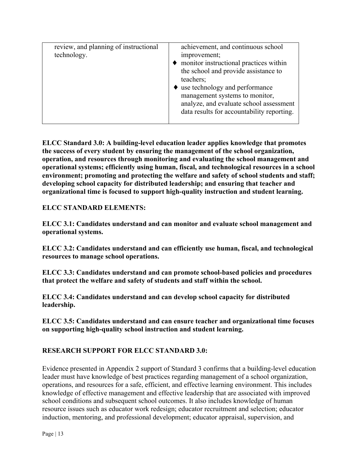| review, and planning of instructional<br>technology. | achievement, and continuous school<br>improvement;<br>monitor instructional practices within<br>the school and provide assistance to<br>teachers;<br>use technology and performance<br>management systems to monitor,<br>analyze, and evaluate school assessment<br>data results for accountability reporting. |
|------------------------------------------------------|----------------------------------------------------------------------------------------------------------------------------------------------------------------------------------------------------------------------------------------------------------------------------------------------------------------|

**ELCC Standard 3.0: A building-level education leader applies knowledge that promotes the success of every student by ensuring the management of the school organization, operation, and resources through monitoring and evaluating the school management and operational systems; efficiently using human, fiscal, and technological resources in a school environment; promoting and protecting the welfare and safety of school students and staff; developing school capacity for distributed leadership; and ensuring that teacher and organizational time is focused to support high-quality instruction and student learning.**

# **ELCC STANDARD ELEMENTS:**

**ELCC 3.1: Candidates understand and can monitor and evaluate school management and operational systems.** 

**ELCC 3.2: Candidates understand and can efficiently use human, fiscal, and technological resources to manage school operations.**

**ELCC 3.3: Candidates understand and can promote school-based policies and procedures that protect the welfare and safety of students and staff within the school.**

**ELCC 3.4: Candidates understand and can develop school capacity for distributed leadership.**

**ELCC 3.5: Candidates understand and can ensure teacher and organizational time focuses on supporting high-quality school instruction and student learning.**

# **RESEARCH SUPPORT FOR ELCC STANDARD 3.0:**

Evidence presented in Appendix 2 support of Standard 3 confirms that a building-level education leader must have knowledge of best practices regarding management of a school organization, operations, and resources for a safe, efficient, and effective learning environment. This includes knowledge of effective management and effective leadership that are associated with improved school conditions and subsequent school outcomes. It also includes knowledge of human resource issues such as educator work redesign; educator recruitment and selection; educator induction, mentoring, and professional development; educator appraisal, supervision, and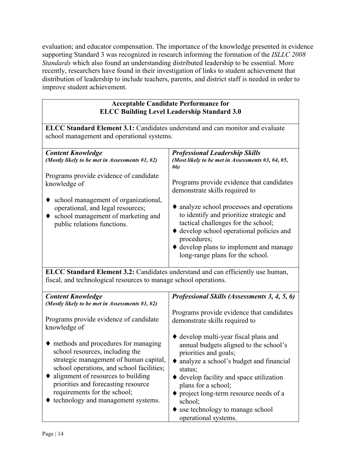evaluation; and educator compensation. The importance of the knowledge presented in evidence supporting Standard 3 was recognized in research informing the formation of the *ISLLC 2008 Standards* which also found an understanding distributed leadership to be essential. More recently, researchers have found in their investigation of links to student achievement that distribution of leadership to include teachers, parents, and district staff is needed in order to improve student achievement.

# **Acceptable Candidate Performance for ELCC Building Level Leadership Standard 3.0**

| ELCC Standard Element 3.1: Candidates understand and can monitor and evaluate<br>school management and operational systems.                                                                                                                                                                                                        |                                                                                                                                                                                                                                                                                                       |  |
|------------------------------------------------------------------------------------------------------------------------------------------------------------------------------------------------------------------------------------------------------------------------------------------------------------------------------------|-------------------------------------------------------------------------------------------------------------------------------------------------------------------------------------------------------------------------------------------------------------------------------------------------------|--|
| <b>Content Knowledge</b><br>(Mostly likely to be met in Assessments #1, #2)                                                                                                                                                                                                                                                        | <b>Professional Leadership Skills</b><br>(Most likely to be met in Assessments #3, #4, #5,<br>#6)                                                                                                                                                                                                     |  |
| Programs provide evidence of candidate<br>knowledge of                                                                                                                                                                                                                                                                             | Programs provide evidence that candidates<br>demonstrate skills required to                                                                                                                                                                                                                           |  |
| school management of organizational,<br>operational, and legal resources;<br>school management of marketing and<br>public relations functions.                                                                                                                                                                                     | analyze school processes and operations<br>to identify and prioritize strategic and<br>tactical challenges for the school;<br>♦ develop school operational policies and<br>procedures;<br>$\blacklozenge$ develop plans to implement and manage<br>long-range plans for the school.                   |  |
| ELCC Standard Element 3.2: Candidates understand and can efficiently use human,<br>fiscal, and technological resources to manage school operations.                                                                                                                                                                                |                                                                                                                                                                                                                                                                                                       |  |
| <b>Content Knowledge</b><br>(Mostly likely to be met in Assessments #1, #2)                                                                                                                                                                                                                                                        | Professional Skills (Assessments 3, 4, 5, 6)                                                                                                                                                                                                                                                          |  |
| Programs provide evidence of candidate<br>knowledge of                                                                                                                                                                                                                                                                             | Programs provide evidence that candidates<br>demonstrate skills required to                                                                                                                                                                                                                           |  |
| $\blacklozenge$ methods and procedures for managing<br>school resources, including the<br>strategic management of human capital,<br>school operations, and school facilities;<br>alignment of resources to building<br>priorities and forecasting resource<br>requirements for the school;<br>♦ technology and management systems. | $\blacklozenge$ develop multi-year fiscal plans and<br>annual budgets aligned to the school's<br>priorities and goals;<br>◆ analyze a school's budget and financial<br>status;<br>♦ develop facility and space utilization<br>plans for a school;<br>project long-term resource needs of a<br>school: |  |

♦ use technology to manage school

operational systems.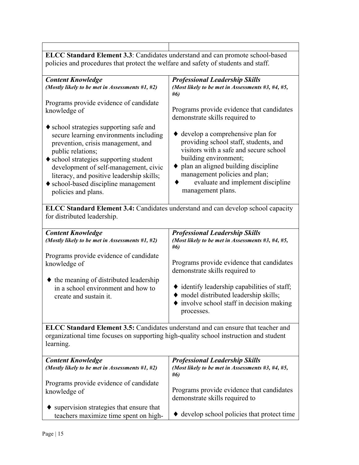| <b>ELCC Standard Element 3.3</b> : Candidates understand and can promote school-based                                                                                                                                                                                                                                                               |                                                                                                                                                                                                                                                                                            |  |
|-----------------------------------------------------------------------------------------------------------------------------------------------------------------------------------------------------------------------------------------------------------------------------------------------------------------------------------------------------|--------------------------------------------------------------------------------------------------------------------------------------------------------------------------------------------------------------------------------------------------------------------------------------------|--|
| policies and procedures that protect the welfare and safety of students and staff.                                                                                                                                                                                                                                                                  |                                                                                                                                                                                                                                                                                            |  |
| <b>Content Knowledge</b><br>(Mostly likely to be met in Assessments #1, #2)                                                                                                                                                                                                                                                                         | <b>Professional Leadership Skills</b><br>(Most likely to be met in Assessments #3, #4, #5,<br>#6)                                                                                                                                                                                          |  |
| Programs provide evidence of candidate<br>knowledge of                                                                                                                                                                                                                                                                                              | Programs provide evidence that candidates<br>demonstrate skills required to                                                                                                                                                                                                                |  |
| $\bullet$ school strategies supporting safe and<br>secure learning environments including<br>prevention, crisis management, and<br>public relations;<br>◆ school strategies supporting student<br>development of self-management, civic<br>literacy, and positive leadership skills;<br>• school-based discipline management<br>policies and plans. | $\bullet$ develop a comprehensive plan for<br>providing school staff, students, and<br>visitors with a safe and secure school<br>building environment;<br>• plan an aligned building discipline<br>management policies and plan;<br>evaluate and implement discipline<br>management plans. |  |
| ELCC Standard Element 3.4: Candidates understand and can develop school capacity<br>for distributed leadership.                                                                                                                                                                                                                                     |                                                                                                                                                                                                                                                                                            |  |
| <b>Content Knowledge</b><br>(Mostly likely to be met in Assessments #1, #2)                                                                                                                                                                                                                                                                         | <b>Professional Leadership Skills</b><br>(Most likely to be met in Assessments #3, #4, #5,<br>#6)                                                                                                                                                                                          |  |
| Programs provide evidence of candidate<br>knowledge of                                                                                                                                                                                                                                                                                              | Programs provide evidence that candidates<br>demonstrate skills required to                                                                                                                                                                                                                |  |
| $\blacklozenge$ the meaning of distributed leadership<br>in a school environment and how to<br>create and sustain it.                                                                                                                                                                                                                               | $\blacklozenge$ identify leadership capabilities of staff;<br>◆ model distributed leadership skills;<br>involve school staff in decision making<br>processes.                                                                                                                              |  |
| ELCC Standard Element 3.5: Candidates understand and can ensure that teacher and<br>organizational time focuses on supporting high-quality school instruction and student<br>learning.                                                                                                                                                              |                                                                                                                                                                                                                                                                                            |  |
| <b>Content Knowledge</b><br>(Mostly likely to be met in Assessments #1, #2)                                                                                                                                                                                                                                                                         | <b>Professional Leadership Skills</b><br>(Most likely to be met in Assessments $#3, #4, #5,$<br>#6)                                                                                                                                                                                        |  |
| Programs provide evidence of candidate<br>knowledge of                                                                                                                                                                                                                                                                                              | Programs provide evidence that candidates<br>demonstrate skills required to                                                                                                                                                                                                                |  |
| supervision strategies that ensure that<br>teachers maximize time spent on high-                                                                                                                                                                                                                                                                    | $\blacklozenge$ develop school policies that protect time                                                                                                                                                                                                                                  |  |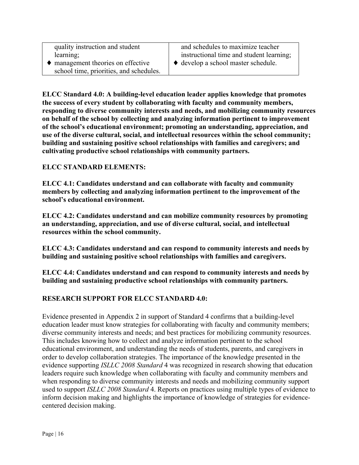| quality instruction and student                                                       | and schedules to maximize teacher        |
|---------------------------------------------------------------------------------------|------------------------------------------|
| learning;                                                                             | instructional time and student learning; |
| $\bullet$ management theories on effective<br>school time, priorities, and schedules. | ◆ develop a school master schedule.      |

**ELCC Standard 4.0: A building-level education leader applies knowledge that promotes the success of every student by collaborating with faculty and community members, responding to diverse community interests and needs, and mobilizing community resources on behalf of the school by collecting and analyzing information pertinent to improvement of the school's educational environment; promoting an understanding, appreciation, and use of the diverse cultural, social, and intellectual resources within the school community; building and sustaining positive school relationships with families and caregivers; and cultivating productive school relationships with community partners.** 

#### **ELCC STANDARD ELEMENTS:**

**ELCC 4.1: Candidates understand and can collaborate with faculty and community members by collecting and analyzing information pertinent to the improvement of the school's educational environment.**

**ELCC 4.2: Candidates understand and can mobilize community resources by promoting an understanding, appreciation, and use of diverse cultural, social, and intellectual resources within the school community.**

**ELCC 4.3: Candidates understand and can respond to community interests and needs by building and sustaining positive school relationships with families and caregivers.**

**ELCC 4.4: Candidates understand and can respond to community interests and needs by building and sustaining productive school relationships with community partners.** 

#### **RESEARCH SUPPORT FOR ELCC STANDARD 4.0:**

Evidence presented in Appendix 2 in support of Standard 4 confirms that a building-level education leader must know strategies for collaborating with faculty and community members; diverse community interests and needs; and best practices for mobilizing community resources. This includes knowing how to collect and analyze information pertinent to the school educational environment, and understanding the needs of students, parents, and caregivers in order to develop collaboration strategies. The importance of the knowledge presented in the evidence supporting *ISLLC 2008 Standard* 4 was recognized in research showing that education leaders require such knowledge when collaborating with faculty and community members and when responding to diverse community interests and needs and mobilizing community support used to support *ISLLC 2008 Standard* 4. Reports on practices using multiple types of evidence to inform decision making and highlights the importance of knowledge of strategies for evidencecentered decision making.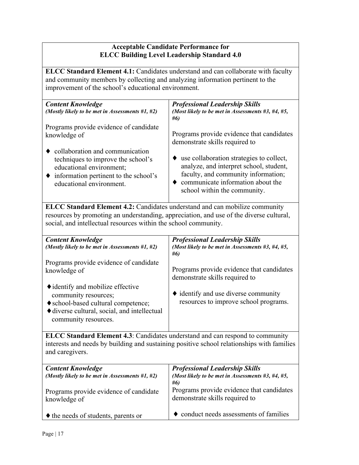#### **Acceptable Candidate Performance for ELCC Building Level Leadership Standard 4.0**

**ELCC Standard Element 4.1:** Candidates understand and can collaborate with faculty and community members by collecting and analyzing information pertinent to the improvement of the school's educational environment.

| <b>Content Knowledge</b><br>(Mostly likely to be met in Assessments $#1, #2$ ) | <b>Professional Leadership Skills</b><br>(Most likely to be met in Assessments $#3, #4, #5,$<br>#6) |
|--------------------------------------------------------------------------------|-----------------------------------------------------------------------------------------------------|
| Programs provide evidence of candidate                                         | Programs provide evidence that candidates                                                           |
| knowledge of                                                                   | demonstrate skills required to                                                                      |
| $\bullet$ collaboration and communication                                      | use collaboration strategies to collect,                                                            |
| techniques to improve the school's                                             | analyze, and interpret school, student,                                                             |
| educational environment;                                                       | faculty, and community information;                                                                 |
| $\bullet$ information pertinent to the school's                                | communicate information about the                                                                   |
| educational environment.                                                       | school within the community.                                                                        |

**ELCC Standard Element 4.2:** Candidates understand and can mobilize community resources by promoting an understanding, appreciation, and use of the diverse cultural, social, and intellectual resources within the school community.

| <b>Content Knowledge</b><br>(Mostly likely to be met in Assessments #1, #2)                                                                                              | <b>Professional Leadership Skills</b><br>(Most likely to be met in Assessments $#3, #4, #5,$<br>#6) |
|--------------------------------------------------------------------------------------------------------------------------------------------------------------------------|-----------------------------------------------------------------------------------------------------|
| Programs provide evidence of candidate<br>knowledge of                                                                                                                   | Programs provide evidence that candidates<br>demonstrate skills required to                         |
| • identify and mobilize effective<br>community resources;<br>♦ school-based cultural competence;<br>♦ diverse cultural, social, and intellectual<br>community resources. | $\bullet$ identify and use diverse community<br>resources to improve school programs.               |

**ELCC Standard Element 4.3**: Candidates understand and can respond to community interests and needs by building and sustaining positive school relationships with families and caregivers.

| <b>Content Knowledge</b>                           | <b>Professional Leadership Skills</b>             |
|----------------------------------------------------|---------------------------------------------------|
| (Mostly likely to be met in Assessments $#1, #2$ ) | (Most likely to be met in Assessments #3, #4, #5, |
|                                                    | #6)                                               |
| Programs provide evidence of candidate             | Programs provide evidence that candidates         |
| knowledge of                                       | demonstrate skills required to                    |
|                                                    |                                                   |
| $\blacklozenge$ the needs of students, parents or  | • conduct needs assessments of families           |
|                                                    |                                                   |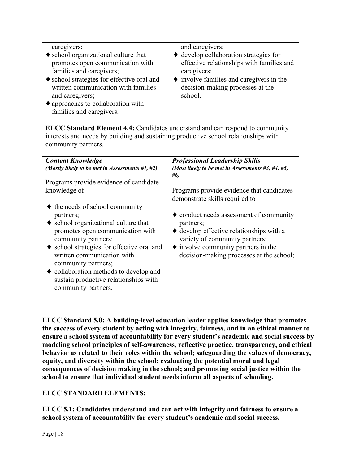| caregivers;<br>• school organizational culture that<br>promotes open communication with<br>families and caregivers;<br>♦ school strategies for effective oral and<br>written communication with families<br>and caregivers;<br>$\blacklozenge$ approaches to collaboration with<br>families and caregivers. | and caregivers;<br>♦ develop collaboration strategies for<br>effective relationships with families and<br>caregivers;<br>• involve families and caregivers in the<br>decision-making processes at the<br>school. |
|-------------------------------------------------------------------------------------------------------------------------------------------------------------------------------------------------------------------------------------------------------------------------------------------------------------|------------------------------------------------------------------------------------------------------------------------------------------------------------------------------------------------------------------|
| ELCC Standard Element 4.4: Candidates understand and can respond to community                                                                                                                                                                                                                               |                                                                                                                                                                                                                  |
| interests and needs by building and sustaining productive school relationships with                                                                                                                                                                                                                         |                                                                                                                                                                                                                  |
| community partners.                                                                                                                                                                                                                                                                                         |                                                                                                                                                                                                                  |
|                                                                                                                                                                                                                                                                                                             |                                                                                                                                                                                                                  |
| <b>Content Knowledge</b>                                                                                                                                                                                                                                                                                    | <b>Professional Leadership Skills</b>                                                                                                                                                                            |
| (Mostly likely to be met in Assessments #1, #2)                                                                                                                                                                                                                                                             | (Most likely to be met in Assessments #3, #4, #5,<br>#6)                                                                                                                                                         |
| Programs provide evidence of candidate                                                                                                                                                                                                                                                                      |                                                                                                                                                                                                                  |
| knowledge of                                                                                                                                                                                                                                                                                                | Programs provide evidence that candidates                                                                                                                                                                        |
|                                                                                                                                                                                                                                                                                                             | demonstrate skills required to                                                                                                                                                                                   |
| $\blacklozenge$ the needs of school community                                                                                                                                                                                                                                                               |                                                                                                                                                                                                                  |
| partners;                                                                                                                                                                                                                                                                                                   | $\blacklozenge$ conduct needs assessment of community                                                                                                                                                            |
| • school organizational culture that                                                                                                                                                                                                                                                                        | partners;                                                                                                                                                                                                        |
| promotes open communication with                                                                                                                                                                                                                                                                            | $\blacklozenge$ develop effective relationships with a                                                                                                                                                           |
| community partners;                                                                                                                                                                                                                                                                                         | variety of community partners;                                                                                                                                                                                   |
| • school strategies for effective oral and                                                                                                                                                                                                                                                                  | $\blacklozenge$ involve community partners in the                                                                                                                                                                |
| written communication with                                                                                                                                                                                                                                                                                  |                                                                                                                                                                                                                  |
|                                                                                                                                                                                                                                                                                                             | decision-making processes at the school;                                                                                                                                                                         |
| community partners;                                                                                                                                                                                                                                                                                         |                                                                                                                                                                                                                  |
| collaboration methods to develop and                                                                                                                                                                                                                                                                        |                                                                                                                                                                                                                  |
| sustain productive relationships with                                                                                                                                                                                                                                                                       |                                                                                                                                                                                                                  |
| community partners.                                                                                                                                                                                                                                                                                         |                                                                                                                                                                                                                  |
|                                                                                                                                                                                                                                                                                                             |                                                                                                                                                                                                                  |

**ELCC Standard 5.0: A building-level education leader applies knowledge that promotes the success of every student by acting with integrity, fairness, and in an ethical manner to ensure a school system of accountability for every student's academic and social success by modeling school principles of self-awareness, reflective practice, transparency, and ethical behavior as related to their roles within the school; safeguarding the values of democracy, equity, and diversity within the school; evaluating the potential moral and legal consequences of decision making in the school; and promoting social justice within the school to ensure that individual student needs inform all aspects of schooling.**

# **ELCC STANDARD ELEMENTS:**

**ELCC 5.1: Candidates understand and can act with integrity and fairness to ensure a school system of accountability for every student's academic and social success.**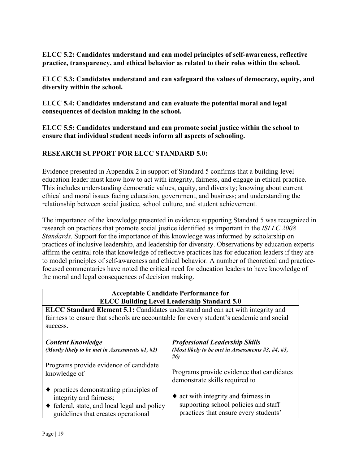**ELCC 5.2: Candidates understand and can model principles of self-awareness, reflective practice, transparency, and ethical behavior as related to their roles within the school.**

**ELCC 5.3: Candidates understand and can safeguard the values of democracy, equity, and diversity within the school.** 

**ELCC 5.4: Candidates understand and can evaluate the potential moral and legal consequences of decision making in the school.**

**ELCC 5.5: Candidates understand and can promote social justice within the school to ensure that individual student needs inform all aspects of schooling.**

# **RESEARCH SUPPORT FOR ELCC STANDARD 5.0:**

Evidence presented in Appendix 2 in support of Standard 5 confirms that a building-level education leader must know how to act with integrity, fairness, and engage in ethical practice. This includes understanding democratic values, equity, and diversity; knowing about current ethical and moral issues facing education, government, and business; and understanding the relationship between social justice, school culture, and student achievement.

The importance of the knowledge presented in evidence supporting Standard 5 was recognized in research on practices that promote social justice identified as important in the *ISLLC 2008 Standards*. Support for the importance of this knowledge was informed by scholarship on practices of inclusive leadership, and leadership for diversity. Observations by education experts affirm the central role that knowledge of reflective practices has for education leaders if they are to model principles of self-awareness and ethical behavior. A number of theoretical and practicefocused commentaries have noted the critical need for education leaders to have knowledge of the moral and legal consequences of decision making.

# **Acceptable Candidate Performance for ELCC Building Level Leadership Standard 5.0**

**ELCC Standard Element 5.1:** Candidates understand and can act with integrity and fairness to ensure that schools are accountable for every student's academic and social success.

| <b>Content Knowledge</b><br>(Mostly likely to be met in Assessments #1, #2)                                                                                               | <b>Professional Leadership Skills</b><br>(Most likely to be met in Assessments $#3, #4, #5,$<br>#6)                           |
|---------------------------------------------------------------------------------------------------------------------------------------------------------------------------|-------------------------------------------------------------------------------------------------------------------------------|
| Programs provide evidence of candidate<br>knowledge of                                                                                                                    | Programs provide evidence that candidates<br>demonstrate skills required to                                                   |
| $\bullet$ practices demonstrating principles of<br>integrity and fairness;<br>$\bullet$ federal, state, and local legal and policy<br>guidelines that creates operational | $\bullet$ act with integrity and fairness in<br>supporting school policies and staff<br>practices that ensure every students' |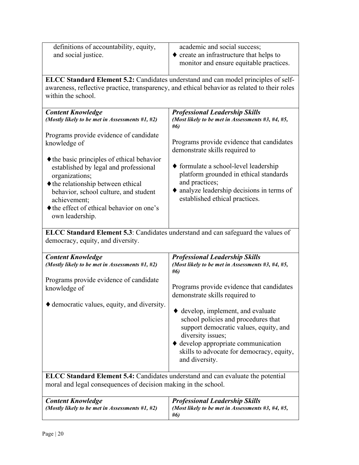| definitions of accountability, equity,<br>and social justice.                                                                                                                                                                                                                                                                                                                                                               | academic and social success;<br>$\bullet$ create an infrastructure that helps to<br>monitor and ensure equitable practices.                                                                                                                                                                                                                                                                                                                        |  |  |
|-----------------------------------------------------------------------------------------------------------------------------------------------------------------------------------------------------------------------------------------------------------------------------------------------------------------------------------------------------------------------------------------------------------------------------|----------------------------------------------------------------------------------------------------------------------------------------------------------------------------------------------------------------------------------------------------------------------------------------------------------------------------------------------------------------------------------------------------------------------------------------------------|--|--|
| ELCC Standard Element 5.2: Candidates understand and can model principles of self-<br>awareness, reflective practice, transparency, and ethical behavior as related to their roles<br>within the school.                                                                                                                                                                                                                    |                                                                                                                                                                                                                                                                                                                                                                                                                                                    |  |  |
| <b>Content Knowledge</b><br>(Mostly likely to be met in Assessments #1, #2)<br>Programs provide evidence of candidate<br>knowledge of<br>• the basic principles of ethical behavior<br>established by legal and professional<br>organizations;<br>$\blacklozenge$ the relationship between ethical<br>behavior, school culture, and student<br>achievement;<br>• the effect of ethical behavior on one's<br>own leadership. | <b>Professional Leadership Skills</b><br>(Most likely to be met in Assessments #3, #4, #5,<br>#6)<br>Programs provide evidence that candidates<br>demonstrate skills required to<br>• formulate a school-level leadership<br>platform grounded in ethical standards<br>and practices;<br>• analyze leadership decisions in terms of<br>established ethical practices.                                                                              |  |  |
| ELCC Standard Element 5.3: Candidates understand and can safeguard the values of<br>democracy, equity, and diversity.                                                                                                                                                                                                                                                                                                       |                                                                                                                                                                                                                                                                                                                                                                                                                                                    |  |  |
| <b>Content Knowledge</b><br>(Mostly likely to be met in Assessments #1, #2)<br>Programs provide evidence of candidate<br>knowledge of<br>♦ democratic values, equity, and diversity.                                                                                                                                                                                                                                        | <b>Professional Leadership Skills</b><br>(Most likely to be met in Assessments $#3, #4, #5,$<br>#6)<br>Programs provide evidence that candidates<br>demonstrate skills required to<br>$\blacklozenge$ develop, implement, and evaluate<br>school policies and procedures that<br>support democratic values, equity, and<br>diversity issues;<br>♦ develop appropriate communication<br>skills to advocate for democracy, equity,<br>and diversity. |  |  |
| ELCC Standard Element 5.4: Candidates understand and can evaluate the potential<br>moral and legal consequences of decision making in the school.                                                                                                                                                                                                                                                                           |                                                                                                                                                                                                                                                                                                                                                                                                                                                    |  |  |
| <b>Content Knowledge</b><br>(Mostly likely to be met in Assessments #1, #2)                                                                                                                                                                                                                                                                                                                                                 | <b>Professional Leadership Skills</b><br>(Most likely to be met in Assessments $#3, #4, #5,$<br>#6)                                                                                                                                                                                                                                                                                                                                                |  |  |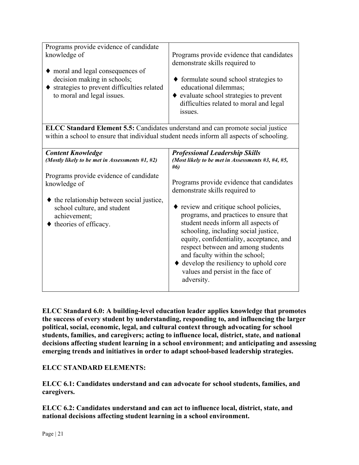| Programs provide evidence of candidate<br>knowledge of<br>• moral and legal consequences of<br>decision making in schools;<br>strategies to prevent difficulties related<br>to moral and legal issues. | Programs provide evidence that candidates<br>demonstrate skills required to<br>$\blacklozenge$ formulate sound school strategies to<br>educational dilemmas;<br>• evaluate school strategies to prevent<br>difficulties related to moral and legal<br>issues.                                                                                                                                           |
|--------------------------------------------------------------------------------------------------------------------------------------------------------------------------------------------------------|---------------------------------------------------------------------------------------------------------------------------------------------------------------------------------------------------------------------------------------------------------------------------------------------------------------------------------------------------------------------------------------------------------|
|                                                                                                                                                                                                        |                                                                                                                                                                                                                                                                                                                                                                                                         |
| ELCC Standard Element 5.5: Candidates understand and can promote social justice<br>within a school to ensure that individual student needs inform all aspects of schooling.                            |                                                                                                                                                                                                                                                                                                                                                                                                         |
|                                                                                                                                                                                                        |                                                                                                                                                                                                                                                                                                                                                                                                         |
| <b>Content Knowledge</b><br>(Mostly likely to be met in Assessments #1, #2)                                                                                                                            | <b>Professional Leadership Skills</b><br>(Most likely to be met in Assessments $#3, #4, #5,$<br>#6)                                                                                                                                                                                                                                                                                                     |
| Programs provide evidence of candidate                                                                                                                                                                 |                                                                                                                                                                                                                                                                                                                                                                                                         |
| knowledge of                                                                                                                                                                                           | Programs provide evidence that candidates<br>demonstrate skills required to                                                                                                                                                                                                                                                                                                                             |
| the relationship between social justice,<br>٠                                                                                                                                                          |                                                                                                                                                                                                                                                                                                                                                                                                         |
| school culture, and student<br>achievement;<br>theories of efficacy.                                                                                                                                   | $\bullet$ review and critique school policies,<br>programs, and practices to ensure that<br>student needs inform all aspects of<br>schooling, including social justice,<br>equity, confidentiality, acceptance, and<br>respect between and among students<br>and faculty within the school;<br>$\blacklozenge$ develop the resiliency to uphold core<br>values and persist in the face of<br>adversity. |

**ELCC Standard 6.0: A building-level education leader applies knowledge that promotes the success of every student by understanding, responding to, and influencing the larger political, social, economic, legal, and cultural context through advocating for school students, families, and caregivers; acting to influence local, district, state, and national decisions affecting student learning in a school environment; and anticipating and assessing emerging trends and initiatives in order to adapt school-based leadership strategies.**

**ELCC STANDARD ELEMENTS:**

**ELCC 6.1: Candidates understand and can advocate for school students, families, and caregivers.**

**ELCC 6.2: Candidates understand and can act to influence local, district, state, and national decisions affecting student learning in a school environment.**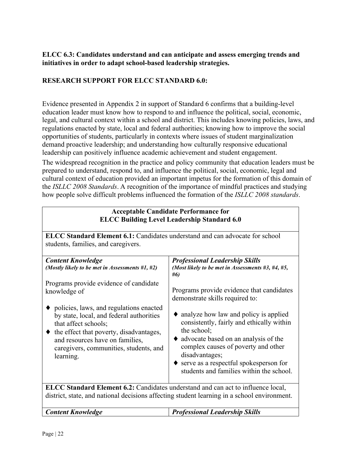# **ELCC 6.3: Candidates understand and can anticipate and assess emerging trends and initiatives in order to adapt school-based leadership strategies.**

# **RESEARCH SUPPORT FOR ELCC STANDARD 6.0:**

Evidence presented in Appendix 2 in support of Standard 6 confirms that a building-level education leader must know how to respond to and influence the political, social, economic, legal, and cultural context within a school and district. This includes knowing policies, laws, and regulations enacted by state, local and federal authorities; knowing how to improve the social opportunities of students, particularly in contexts where issues of student marginalization demand proactive leadership; and understanding how culturally responsive educational leadership can positively influence academic achievement and student engagement.

The widespread recognition in the practice and policy community that education leaders must be prepared to understand, respond to, and influence the political, social, economic, legal and cultural context of education provided an important impetus for the formation of this domain of the *ISLLC 2008 Standards*. A recognition of the importance of mindful practices and studying how people solve difficult problems influenced the formation of the *ISLLC 2008 standards*.

| <b>Acceptable Candidate Performance for</b><br><b>ELCC Building Level Leadership Standard 6.0</b>                                                                                                                                                            |                                                                                                                                                                                                                                                                                                                              |  |
|--------------------------------------------------------------------------------------------------------------------------------------------------------------------------------------------------------------------------------------------------------------|------------------------------------------------------------------------------------------------------------------------------------------------------------------------------------------------------------------------------------------------------------------------------------------------------------------------------|--|
| <b>ELCC Standard Element 6.1:</b> Candidates understand and can advocate for school                                                                                                                                                                          |                                                                                                                                                                                                                                                                                                                              |  |
| students, families, and caregivers.                                                                                                                                                                                                                          |                                                                                                                                                                                                                                                                                                                              |  |
| <b>Content Knowledge</b><br>(Mostly likely to be met in Assessments #1, #2)<br>Programs provide evidence of candidate                                                                                                                                        | <b>Professional Leadership Skills</b><br>(Most likely to be met in Assessments #3, #4, #5,<br>#6)                                                                                                                                                                                                                            |  |
| knowledge of                                                                                                                                                                                                                                                 | Programs provide evidence that candidates<br>demonstrate skills required to:                                                                                                                                                                                                                                                 |  |
| • policies, laws, and regulations enacted<br>by state, local, and federal authorities<br>that affect schools;<br>$\bullet$ the effect that poverty, disadvantages,<br>and resources have on families,<br>caregivers, communities, students, and<br>learning. | $\bullet$ analyze how law and policy is applied<br>consistently, fairly and ethically within<br>the school;<br>$\bullet$ advocate based on an analysis of the<br>complex causes of poverty and other<br>disadvantages;<br>$\blacklozenge$ serve as a respectful spokesperson for<br>students and families within the school. |  |
| <b>ELCC Standard Element 6.2:</b> Candidates understand and can act to influence local,<br>district, state, and national decisions affecting student learning in a school environment.                                                                       |                                                                                                                                                                                                                                                                                                                              |  |
| <b>Content Knowledge</b><br><b>Professional Leadership Skills</b>                                                                                                                                                                                            |                                                                                                                                                                                                                                                                                                                              |  |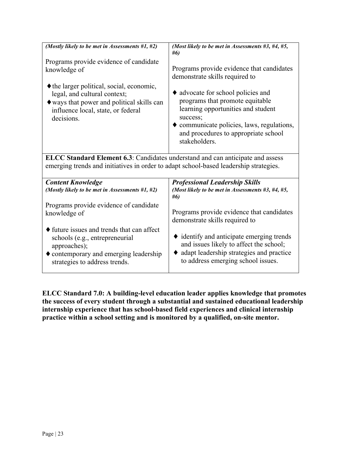| (Mostly likely to be met in Assessments $#1, #2$ )                                                                                                                                        | (Most likely to be met in Assessments $#3, #4, #5,$                                                                                                                                                                            |
|-------------------------------------------------------------------------------------------------------------------------------------------------------------------------------------------|--------------------------------------------------------------------------------------------------------------------------------------------------------------------------------------------------------------------------------|
|                                                                                                                                                                                           | #6)                                                                                                                                                                                                                            |
| Programs provide evidence of candidate<br>knowledge of                                                                                                                                    | Programs provide evidence that candidates<br>demonstrate skills required to                                                                                                                                                    |
| • the larger political, social, economic,<br>legal, and cultural context;<br>$\blacklozenge$ ways that power and political skills can<br>influence local, state, or federal<br>decisions. | • advocate for school policies and<br>programs that promote equitable<br>learning opportunities and student<br>success;<br>• communicate policies, laws, regulations,<br>and procedures to appropriate school<br>stakeholders. |
| ELCC Standard Element 6.3: Candidates understand and can anticipate and assess<br>emerging trends and initiatives in order to adapt school-based leadership strategies.                   |                                                                                                                                                                                                                                |
| <b>Content Knowledge</b><br>(Mostly likely to be met in Assessments #1, #2)                                                                                                               | <b>Professional Leadership Skills</b><br>(Most likely to be met in Assessments #3, #4, #5,<br>#6)                                                                                                                              |
| Programs provide evidence of candidate<br>knowledge of                                                                                                                                    | Programs provide evidence that candidates<br>demonstrate skills required to                                                                                                                                                    |
| $\blacklozenge$ future issues and trends that can affect<br>schools (e.g., entrepreneurial                                                                                                | $\bullet$ identify and anticipate emerging trends                                                                                                                                                                              |

**ELCC Standard 7.0: A building-level education leader applies knowledge that promotes the success of every student through a substantial and sustained educational leadership internship experience that has school-based field experiences and clinical internship practice within a school setting and is monitored by a qualified, on-site mentor.**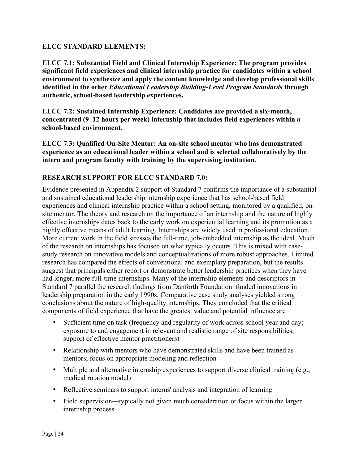#### **ELCC STANDARD ELEMENTS:**

**ELCC 7.1: Substantial Field and Clinical Internship Experience: The program provides significant field experiences and clinical internship practice for candidates within a school environment to synthesize and apply the content knowledge and develop professional skills identified in the other** *Educational Leadership Building-Level Program Standards* **through authentic, school-based leadership experiences.**

**ELCC 7.2: Sustained Internship Experience: Candidates are provided a six-month, concentrated (9–12 hours per week) internship that includes field experiences within a school-based environment.** 

**ELCC 7.3: Qualified On-Site Mentor: An on-site school mentor who has demonstrated experience as an educational leader within a school and is selected collaboratively by the intern and program faculty with training by the supervising institution.**

# **RESEARCH SUPPORT FOR ELCC STANDARD 7.0:**

Evidence presented in Appendix 2 support of Standard 7 confirms the importance of a substantial and sustained educational leadership internship experience that has school-based field experiences and clinical internship practice within a school setting, monitored by a qualified, onsite mentor. The theory and research on the importance of an internship and the nature of highly effective internships dates back to the early work on experiential learning and its promotion as a highly effective means of adult learning. Internships are widely used in professional education. More current work in the field stresses the full-time, job-embedded internship as the ideal. Much of the research on internships has focused on what typically occurs. This is mixed with casestudy research on innovative models and conceptualizations of more robust approaches. Limited research has compared the effects of conventional and exemplary preparation, but the results suggest that principals either report or demonstrate better leadership practices when they have had longer, more full-time internships. Many of the internship elements and descriptors in Standard 7 parallel the research findings from Danforth Foundation–funded innovations in leadership preparation in the early 1990s. Comparative case study analyses yielded strong conclusions about the nature of high-quality internships. They concluded that the critical components of field experience that have the greatest value and potential influence are

- Sufficient time on task (frequency and regularity of work across school year and day; exposure to and engagement in relevant and realistic range of site responsibilities; support of effective mentor practitioners)
- Relationship with mentors who have demonstrated skills and have been trained as mentors; focus on appropriate modeling and reflection
- Multiple and alternative internship experiences to support diverse clinical training (e.g., medical rotation model)
- Reflective seminars to support interns' analysis and integration of learning
- Field supervision—typically not given much consideration or focus within the larger internship process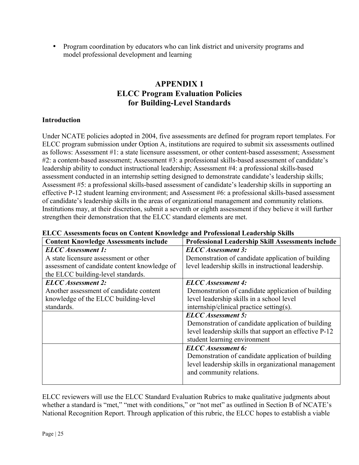• Program coordination by educators who can link district and university programs and model professional development and learning

# **APPENDIX 1 ELCC Program Evaluation Policies for Building-Level Standards**

# **Introduction**

Under NCATE policies adopted in 2004, five assessments are defined for program report templates. For ELCC program submission under Option A, institutions are required to submit six assessments outlined as follows: Assessment #1: a state licensure assessment, or other content-based assessment; Assessment #2: a content-based assessment; Assessment #3: a professional skills-based assessment of candidate's leadership ability to conduct instructional leadership; Assessment #4: a professional skills-based assessment conducted in an internship setting designed to demonstrate candidate's leadership skills; Assessment #5: a professional skills-based assessment of candidate's leadership skills in supporting an effective P-12 student learning environment; and Assessment #6: a professional skills-based assessment of candidate's leadership skills in the areas of organizational management and community relations. Institutions may, at their discretion, submit a seventh or eighth assessment if they believe it will further strengthen their demonstration that the ELCC standard elements are met.

| <b>Content Knowledge Assessments include</b> | Professional Leadership Skill Assessments include      |
|----------------------------------------------|--------------------------------------------------------|
| <b>ELCC</b> Assessment 1:                    | <b>ELCC</b> Assessment 3:                              |
| A state licensure assessment or other        | Demonstration of candidate application of building     |
| assessment of candidate content knowledge of | level leadership skills in instructional leadership.   |
| the ELCC building-level standards.           |                                                        |
| <b>ELCC</b> Assessment 2:                    | <b>ELCC</b> Assessment 4:                              |
| Another assessment of candidate content      | Demonstration of candidate application of building     |
| knowledge of the ELCC building-level         | level leadership skills in a school level              |
| standards.                                   | internship/clinical practice setting(s).               |
|                                              | <b>ELCC</b> Assessment 5:                              |
|                                              | Demonstration of candidate application of building     |
|                                              | level leadership skills that support an effective P-12 |
|                                              | student learning environment                           |
|                                              | <b>ELCC</b> Assessment 6:                              |
|                                              | Demonstration of candidate application of building     |
|                                              | level leadership skills in organizational management   |
|                                              | and community relations.                               |
|                                              |                                                        |

| <b>ELCC Assessments focus on Content Knowledge and Professional Leadership Skills</b> |  |
|---------------------------------------------------------------------------------------|--|
|---------------------------------------------------------------------------------------|--|

ELCC reviewers will use the ELCC Standard Evaluation Rubrics to make qualitative judgments about whether a standard is "met," "met with conditions," or "not met" as outlined in Section B of NCATE's National Recognition Report. Through application of this rubric, the ELCC hopes to establish a viable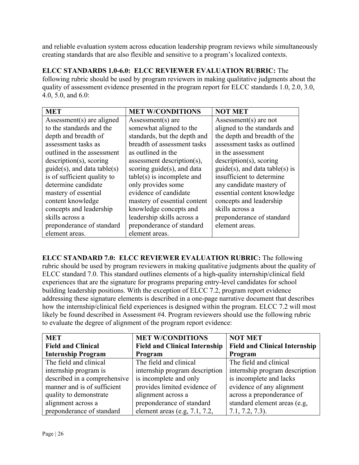and reliable evaluation system across education leadership program reviews while simultaneously creating standards that are also flexible and sensitive to a program's localized contexts.

**ELCC STANDARDS 1.0-6.0: ELCC REVIEWER EVALUATION RUBRIC:** The following rubric should be used by program reviewers in making qualitative judgments about the quality of assessment evidence presented in the program report for ELCC standards 1.0, 2.0, 3.0, 4.0, 5.0, and 6.0:

| <b>MET</b>                        | <b>MET W/CONDITIONS</b>       | <b>NOT MET</b>                    |
|-----------------------------------|-------------------------------|-----------------------------------|
| Assessment(s) are aligned         | Assessment(s) are             | Assessment(s) are not             |
| to the standards and the          | somewhat aligned to the       | aligned to the standards and      |
| depth and breadth of              | standards, but the depth and  | the depth and breadth of the      |
| assessment tasks as               | breadth of assessment tasks   | assessment tasks as outlined      |
| outlined in the assessment        | as outlined in the            | in the assessment                 |
| $description(s)$ , scoring        | assessment description(s),    | $description(s)$ , scoring        |
| $guide(s)$ , and data table $(s)$ | scoring $guide(s)$ , and data | $guide(s)$ , and data table(s) is |
| is of sufficient quality to       | $table(s)$ is incomplete and  | insufficient to determine         |
| determine candidate               | only provides some            | any candidate mastery of          |
| mastery of essential              | evidence of candidate         | essential content knowledge       |
| content knowledge                 | mastery of essential content  | concepts and leadership           |
| concepts and leadership           | knowledge concepts and        | skills across a                   |
| skills across a                   | leadership skills across a    | preponderance of standard         |
| preponderance of standard         | preponderance of standard     | element areas.                    |
| element areas.                    | element areas.                |                                   |

**ELCC STANDARD 7.0: ELCC REVIEWER EVALUATION RUBRIC:** The following rubric should be used by program reviewers in making qualitative judgments about the quality of ELCC standard 7.0. This standard outlines elements of a high-quality internship/clinical field experiences that are the signature for programs preparing entry-level candidates for school building leadership positions. With the exception of ELCC 7.2, program report evidence addressing these signature elements is described in a one-page narrative document that describes how the internship/clinical field experiences is designed within the program. ELCC 7.2 will most likely be found described in Assessment #4. Program reviewers should use the following rubric to evaluate the degree of alignment of the program report evidence:

| <b>MET</b>                   | <b>MET W/CONDITIONS</b>              | <b>NOT MET</b>                       |
|------------------------------|--------------------------------------|--------------------------------------|
| <b>Field and Clinical</b>    | <b>Field and Clinical Internship</b> | <b>Field and Clinical Internship</b> |
| <b>Internship Program</b>    | Program                              | Program                              |
| The field and clinical       | The field and clinical               | The field and clinical               |
| internship program is        | internship program description       | internship program description       |
| described in a comprehensive | is incomplete and only               | is incomplete and lacks              |
| manner and is of sufficient  | provides limited evidence of         | evidence of any alignment            |
| quality to demonstrate       | alignment across a                   | across a preponderance of            |
| alignment across a           | preponderance of standard            | standard element areas (e.g.         |
| preponderance of standard    | element areas (e.g, $7.1$ , $7.2$ ,  | $7.1, 7.2, 7.3$ ).                   |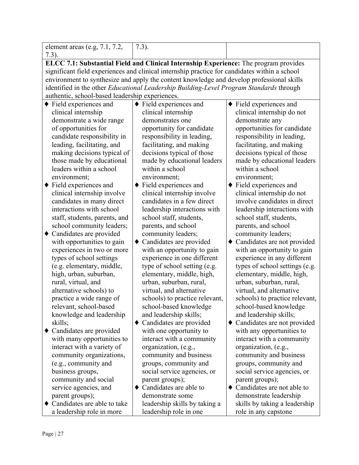| element areas (e.g, $7.1$ , $7.2$ ,                                                                                                                                                        | $7.3$ ).                                                                                |                                                          |  |  |
|--------------------------------------------------------------------------------------------------------------------------------------------------------------------------------------------|-----------------------------------------------------------------------------------------|----------------------------------------------------------|--|--|
| $7.3$ ).                                                                                                                                                                                   |                                                                                         |                                                          |  |  |
| ELCC 7.1: Substantial Field and Clinical Internship Experience: The program provides                                                                                                       |                                                                                         |                                                          |  |  |
| significant field experiences and clinical internship practice for candidates within a school<br>environment to synthesize and apply the content knowledge and develop professional skills |                                                                                         |                                                          |  |  |
|                                                                                                                                                                                            |                                                                                         |                                                          |  |  |
|                                                                                                                                                                                            | identified in the other Educational Leadership Building-Level Program Standards through |                                                          |  |  |
| authentic, school-based leadership experiences.                                                                                                                                            |                                                                                         |                                                          |  |  |
| $\blacklozenge$ Field experiences and                                                                                                                                                      | $\blacklozenge$ Field experiences and                                                   | $\blacklozenge$ Field experiences and                    |  |  |
| clinical internship                                                                                                                                                                        | clinical internship                                                                     | clinical internship do not                               |  |  |
| demonstrate a wide range                                                                                                                                                                   | demonstrates one                                                                        | demonstrate any                                          |  |  |
| of opportunities for                                                                                                                                                                       | opportunity for candidate                                                               | opportunities for candidate                              |  |  |
| candidate responsibility in                                                                                                                                                                | responsibility in leading,                                                              | responsibility in leading,                               |  |  |
| leading, facilitating, and                                                                                                                                                                 | facilitating, and making                                                                | facilitating, and making                                 |  |  |
| making decisions typical of                                                                                                                                                                | decisions typical of those                                                              | decisions typical of those                               |  |  |
| those made by educational                                                                                                                                                                  | made by educational leaders                                                             | made by educational leaders                              |  |  |
| leaders within a school                                                                                                                                                                    | within a school                                                                         | within a school                                          |  |  |
| environment;                                                                                                                                                                               | environment;                                                                            | environment;                                             |  |  |
| Field experiences and<br>٠                                                                                                                                                                 | Field experiences and                                                                   | Field experiences and                                    |  |  |
| clinical internship involve                                                                                                                                                                | clinical internship involve                                                             | clinical internship do not                               |  |  |
| candidates in many direct                                                                                                                                                                  | candidates in a few direct                                                              | involve candidates in direct                             |  |  |
| interactions with school                                                                                                                                                                   | leadership interactions with                                                            | leadership interactions with                             |  |  |
| staff, students, parents, and                                                                                                                                                              | school staff, students,                                                                 | school staff, students,                                  |  |  |
| school community leaders;                                                                                                                                                                  | parents, and school                                                                     | parents, and school                                      |  |  |
| Candidates are provided<br>٠                                                                                                                                                               | community leaders;                                                                      | community leaders;                                       |  |  |
| with opportunities to gain                                                                                                                                                                 | Candidates are provided<br>٠                                                            | • Candidates are not provided                            |  |  |
| experiences in two or more                                                                                                                                                                 | with an opportunity to gain                                                             | with an opportunity to gain                              |  |  |
| types of school settings                                                                                                                                                                   | experience in one different                                                             | experience in any different                              |  |  |
| (e.g. elementary, middle,                                                                                                                                                                  | type of school setting (e.g.                                                            | types of school settings (e.g.                           |  |  |
| high, urban, suburban,                                                                                                                                                                     | elementary, middle, high,                                                               | elementary, middle, high,                                |  |  |
| rural, virtual, and                                                                                                                                                                        | urban, suburban, rural,                                                                 | urban, suburban, rural,                                  |  |  |
| alternative schools) to                                                                                                                                                                    | virtual, and alternative                                                                | virtual, and alternative                                 |  |  |
| practice a wide range of<br>relevant, school-based                                                                                                                                         | schools) to practice relevant,<br>school-based knowledge                                | schools) to practice relevant,<br>school-based knowledge |  |  |
| knowledge and leadership                                                                                                                                                                   | and leadership skills;                                                                  | and leadership skills;                                   |  |  |
| skills;                                                                                                                                                                                    | Candidates are provided<br>٠                                                            | Candidates are not provided<br>$\bullet$                 |  |  |
| Candidates are provided                                                                                                                                                                    | with one opportunity to                                                                 | with any opportunities to                                |  |  |
| with many opportunities to                                                                                                                                                                 | interact with a community                                                               | interact with a community                                |  |  |
| interact with a variety of                                                                                                                                                                 | organization, (e.g.,                                                                    | organization, (e.g.,                                     |  |  |
| community organizations,                                                                                                                                                                   | community and business                                                                  | community and business                                   |  |  |
| (e.g., community and                                                                                                                                                                       | groups, community and                                                                   | groups, community and                                    |  |  |
| business groups,                                                                                                                                                                           | social service agencies, or                                                             | social service agencies, or                              |  |  |
| community and social                                                                                                                                                                       | parent groups);                                                                         | parent groups);                                          |  |  |
| service agencies, and                                                                                                                                                                      | Candidates are able to                                                                  | Candidates are not able to                               |  |  |
| parent groups);                                                                                                                                                                            | demonstrate some                                                                        | demonstrate leadership                                   |  |  |
| • Candidates are able to take                                                                                                                                                              | leadership skills by taking a                                                           | skills by taking a leadership                            |  |  |
| a leadership role in more                                                                                                                                                                  | leadership role in one                                                                  | role in any capstone                                     |  |  |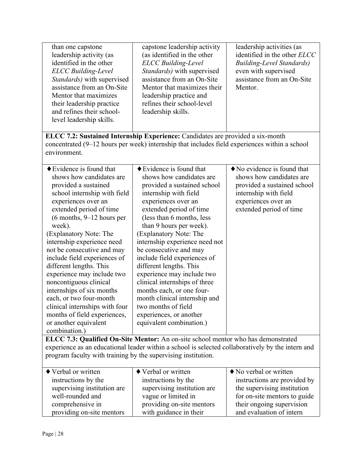| than one capstone<br>leadership activity (as<br>identified in the other<br><b>ELCC</b> Building-Level<br>Standards) with supervised<br>assistance from an On-Site<br>Mentor that maximizes<br>their leadership practice<br>and refines their school-<br>level leadership skills. | capstone leadership activity<br>(as identified in the other<br><b>ELCC</b> Building-Level<br>Standards) with supervised<br>assistance from an On-Site<br>Mentor that maximizes their<br>leadership practice and<br>refines their school-level<br>leadership skills. | leadership activities (as<br>identified in the other ELCC<br><b>Building-Level Standards)</b><br>even with supervised<br>assistance from an On-Site<br>Mentor. |  |  |
|----------------------------------------------------------------------------------------------------------------------------------------------------------------------------------------------------------------------------------------------------------------------------------|---------------------------------------------------------------------------------------------------------------------------------------------------------------------------------------------------------------------------------------------------------------------|----------------------------------------------------------------------------------------------------------------------------------------------------------------|--|--|
|                                                                                                                                                                                                                                                                                  | ELCC 7.2: Sustained Internship Experience: Candidates are provided a six-month                                                                                                                                                                                      |                                                                                                                                                                |  |  |
|                                                                                                                                                                                                                                                                                  | concentrated (9–12 hours per week) internship that includes field experiences within a school                                                                                                                                                                       |                                                                                                                                                                |  |  |
| environment.                                                                                                                                                                                                                                                                     |                                                                                                                                                                                                                                                                     |                                                                                                                                                                |  |  |
|                                                                                                                                                                                                                                                                                  |                                                                                                                                                                                                                                                                     |                                                                                                                                                                |  |  |
| $\blacklozenge$ Evidence is found that                                                                                                                                                                                                                                           | $\blacklozenge$ Evidence is found that                                                                                                                                                                                                                              | $\blacklozenge$ No evidence is found that                                                                                                                      |  |  |
| shows how candidates are                                                                                                                                                                                                                                                         | shows how candidates are                                                                                                                                                                                                                                            | shows how candidates are                                                                                                                                       |  |  |
| provided a sustained                                                                                                                                                                                                                                                             | provided a sustained school                                                                                                                                                                                                                                         | provided a sustained school                                                                                                                                    |  |  |
| school internship with field                                                                                                                                                                                                                                                     | internship with field                                                                                                                                                                                                                                               | internship with field                                                                                                                                          |  |  |
| experiences over an                                                                                                                                                                                                                                                              | experiences over an                                                                                                                                                                                                                                                 | experiences over an                                                                                                                                            |  |  |
| extended period of time                                                                                                                                                                                                                                                          | extended period of time                                                                                                                                                                                                                                             | extended period of time                                                                                                                                        |  |  |
| $(6$ months, $9-12$ hours per                                                                                                                                                                                                                                                    | (less than 6 months, less                                                                                                                                                                                                                                           |                                                                                                                                                                |  |  |
| week).                                                                                                                                                                                                                                                                           | than 9 hours per week).                                                                                                                                                                                                                                             |                                                                                                                                                                |  |  |
| (Explanatory Note: The                                                                                                                                                                                                                                                           | (Explanatory Note: The                                                                                                                                                                                                                                              |                                                                                                                                                                |  |  |
| internship experience need                                                                                                                                                                                                                                                       | internship experience need not                                                                                                                                                                                                                                      |                                                                                                                                                                |  |  |
| not be consecutive and may                                                                                                                                                                                                                                                       | be consecutive and may                                                                                                                                                                                                                                              |                                                                                                                                                                |  |  |
| include field experiences of                                                                                                                                                                                                                                                     | include field experiences of                                                                                                                                                                                                                                        |                                                                                                                                                                |  |  |
| different lengths. This                                                                                                                                                                                                                                                          | different lengths. This                                                                                                                                                                                                                                             |                                                                                                                                                                |  |  |
| experience may include two                                                                                                                                                                                                                                                       | experience may include two                                                                                                                                                                                                                                          |                                                                                                                                                                |  |  |
| noncontiguous clinical                                                                                                                                                                                                                                                           | clinical internships of three                                                                                                                                                                                                                                       |                                                                                                                                                                |  |  |
| internships of six months                                                                                                                                                                                                                                                        | months each, or one four-                                                                                                                                                                                                                                           |                                                                                                                                                                |  |  |
| each, or two four-month                                                                                                                                                                                                                                                          | month clinical internship and                                                                                                                                                                                                                                       |                                                                                                                                                                |  |  |
| clinical internships with four                                                                                                                                                                                                                                                   | two months of field                                                                                                                                                                                                                                                 |                                                                                                                                                                |  |  |
| months of field experiences,                                                                                                                                                                                                                                                     | experiences, or another                                                                                                                                                                                                                                             |                                                                                                                                                                |  |  |
| or another equivalent                                                                                                                                                                                                                                                            | equivalent combination.)                                                                                                                                                                                                                                            |                                                                                                                                                                |  |  |
| combination.)                                                                                                                                                                                                                                                                    |                                                                                                                                                                                                                                                                     |                                                                                                                                                                |  |  |
|                                                                                                                                                                                                                                                                                  |                                                                                                                                                                                                                                                                     |                                                                                                                                                                |  |  |
| ELCC 7.3: Qualified On-Site Mentor: An on-site school mentor who has demonstrated<br>experience as an educational leader within a school is selected collaboratively by the intern and                                                                                           |                                                                                                                                                                                                                                                                     |                                                                                                                                                                |  |  |
| program faculty with training by the supervising institution.                                                                                                                                                                                                                    |                                                                                                                                                                                                                                                                     |                                                                                                                                                                |  |  |
|                                                                                                                                                                                                                                                                                  |                                                                                                                                                                                                                                                                     |                                                                                                                                                                |  |  |
| ◆ Verbal or written                                                                                                                                                                                                                                                              | ◆ Verbal or written                                                                                                                                                                                                                                                 | No verbal or written                                                                                                                                           |  |  |

| $\blacklozenge$ Verbal or written | ◆ Verbal or written         | $\blacklozenge$ No verbal or written |
|-----------------------------------|-----------------------------|--------------------------------------|
| instructions by the               | instructions by the         | instructions are provided by         |
| supervising institution are       | supervising institution are | the supervising institution          |
| well-rounded and                  | vague or limited in         | for on-site mentors to guide         |
| comprehensive in                  | providing on-site mentors   | their ongoing supervision            |
| providing on-site mentors         | with guidance in their      | and evaluation of intern             |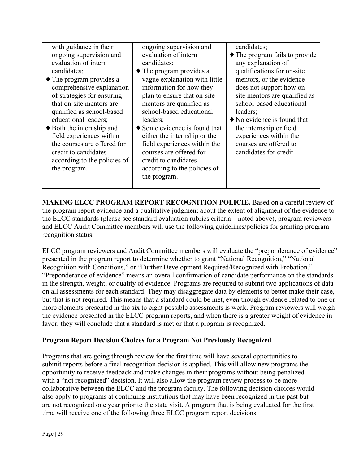| with guidance in their<br>ongoing supervision and<br>evaluation of intern<br>candidates;<br>$\blacklozenge$ The program provides a<br>comprehensive explanation<br>of strategies for ensuring<br>that on-site mentors are<br>qualified as school-based<br>educational leaders;<br>$\blacklozenge$ Both the internship and<br>field experiences within<br>the courses are offered for<br>credit to candidates<br>according to the policies of<br>the program. | ongoing supervision and<br>evaluation of intern<br>candidates;<br>$\blacklozenge$ The program provides a<br>vague explanation with little<br>information for how they<br>plan to ensure that on-site<br>mentors are qualified as<br>school-based educational<br>leaders;<br>$\blacklozenge$ Some evidence is found that<br>either the internship or the<br>field experiences within the<br>courses are offered for<br>credit to candidates<br>according to the policies of<br>the program. | candidates;<br>$\blacklozenge$ The program fails to provide<br>any explanation of<br>qualifications for on-site<br>mentors, or the evidence<br>does not support how on-<br>site mentors are qualified as<br>school-based educational<br>leaders;<br>$\blacklozenge$ No evidence is found that<br>the internship or field<br>experiences within the<br>courses are offered to<br>candidates for credit. |
|--------------------------------------------------------------------------------------------------------------------------------------------------------------------------------------------------------------------------------------------------------------------------------------------------------------------------------------------------------------------------------------------------------------------------------------------------------------|--------------------------------------------------------------------------------------------------------------------------------------------------------------------------------------------------------------------------------------------------------------------------------------------------------------------------------------------------------------------------------------------------------------------------------------------------------------------------------------------|--------------------------------------------------------------------------------------------------------------------------------------------------------------------------------------------------------------------------------------------------------------------------------------------------------------------------------------------------------------------------------------------------------|
|--------------------------------------------------------------------------------------------------------------------------------------------------------------------------------------------------------------------------------------------------------------------------------------------------------------------------------------------------------------------------------------------------------------------------------------------------------------|--------------------------------------------------------------------------------------------------------------------------------------------------------------------------------------------------------------------------------------------------------------------------------------------------------------------------------------------------------------------------------------------------------------------------------------------------------------------------------------------|--------------------------------------------------------------------------------------------------------------------------------------------------------------------------------------------------------------------------------------------------------------------------------------------------------------------------------------------------------------------------------------------------------|

**MAKING ELCC PROGRAM REPORT RECOGNITION POLICIE.** Based on a careful review of the program report evidence and a qualitative judgment about the extent of alignment of the evidence to the ELCC standards (please see standard evaluation rubrics criteria – noted above), program reviewers and ELCC Audit Committee members will use the following guidelines/policies for granting program recognition status.

ELCC program reviewers and Audit Committee members will evaluate the "preponderance of evidence" presented in the program report to determine whether to grant "National Recognition," "National Recognition with Conditions," or "Further Development Required/Recognized with Probation." "Preponderance of evidence" means an overall confirmation of candidate performance on the standards in the strength, weight, or quality of evidence. Programs are required to submit two applications of data on all assessments for each standard. They may disaggregate data by elements to better make their case, but that is not required. This means that a standard could be met, even though evidence related to one or more elements presented in the six to eight possible assessments is weak. Program reviewers will weigh the evidence presented in the ELCC program reports, and when there is a greater weight of evidence in favor, they will conclude that a standard is met or that a program is recognized.

# **Program Report Decision Choices for a Program Not Previously Recognized**

Programs that are going through review for the first time will have several opportunities to submit reports before a final recognition decision is applied. This will allow new programs the opportunity to receive feedback and make changes in their programs without being penalized with a "not recognized" decision. It will also allow the program review process to be more collaborative between the ELCC and the program faculty. The following decision choices would also apply to programs at continuing institutions that may have been recognized in the past but are not recognized one year prior to the state visit. A program that is being evaluated for the first time will receive one of the following three ELCC program report decisions: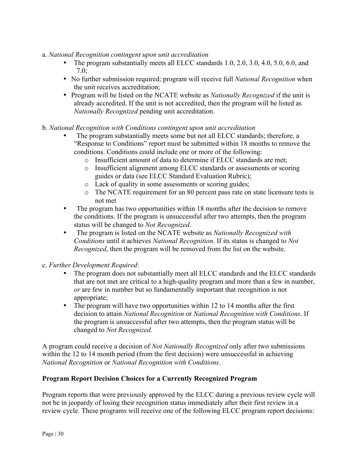- a. *National Recognition contingent upon unit accreditation*
	- The program substantially meets all ELCC standards 1.0, 2.0, 3.0, 4.0, 5.0, 6.0, and 7.0;
	- No further submission required; program will receive full *National Recognition* when the unit receives accreditation;
	- Program will be listed on the NCATE website as *Nationally Recognized* if the unit is already accredited. If the unit is not accredited, then the program will be listed as *Nationally Recognized* pending unit accreditation.
- b. *National Recognition with Conditions contingent upon unit accreditation*
	- The program substantially meets some but not all ELCC standards; therefore, a "Response to Conditions" report must be submitted within 18 months to remove the conditions. Conditions could include one or more of the following:
		- o Insufficient amount of data to determine if ELCC standards are met;
		- o Insufficient alignment among ELCC standards or assessments or scoring guides or data (see ELCC Standard Evaluation Rubric);
		- o Lack of quality in some assessments or scoring guides;
		- o The NCATE requirement for an 80 percent pass rate on state licensure tests is not met
	- The program has two opportunities within 18 months after the decision to remove the conditions. If the program is unsuccessful after two attempts, then the program status will be changed to *Not Recognized*.
	- The program is listed on the NCATE website as *Nationally Recognized with Conditions* until it achieves *National Recognition*. If its status is changed to *Not Recognized*, then the program will be removed from the list on the website.
- c. *Further Development Required*:
	- The program does not substantially meet all ELCC standards and the ELCC standards that are not met are critical to a high-quality program and more than a few in number, *or* are few in number but so fundamentally important that recognition is not appropriate;
	- The program will have two opportunities within 12 to 14 months after the first decision to attain *National Recognition* or *National Recognition with Conditions*. If the program is unsuccessful after two attempts, then the program status will be changed to *Not Recognized*.

A program could receive a decision of *Not Nationally Recognized* only after two submissions within the 12 to 14 month period (from the first decision) were unsuccessful in achieving *National Recognition* or *National Recognition with Conditions*.

#### **Program Report Decision Choices for a Currently Recognized Program**

Program reports that were previously approved by the ELCC during a previous review cycle will not be in jeopardy of losing their recognition status immediately after their first review in a review cycle. These programs will receive one of the following ELCC program report decisions: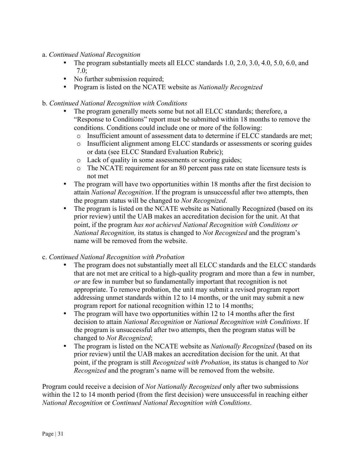- a. *Continued National Recognition*
	- The program substantially meets all ELCC standards 1.0, 2.0, 3.0, 4.0, 5.0, 6.0, and 7.0;
	- No further submission required;
	- Program is listed on the NCATE website as *Nationally Recognized*
- b. *Continued National Recognition with Conditions*
	- The program generally meets some but not all ELCC standards; therefore, a "Response to Conditions" report must be submitted within 18 months to remove the conditions. Conditions could include one or more of the following:
		- o Insufficient amount of assessment data to determine if ELCC standards are met;
		- o Insufficient alignment among ELCC standards or assessments or scoring guides or data (see ELCC Standard Evaluation Rubric);
		- o Lack of quality in some assessments or scoring guides;
		- o The NCATE requirement for an 80 percent pass rate on state licensure tests is not met
	- The program will have two opportunities within 18 months after the first decision to attain *National Recognition*. If the program is unsuccessful after two attempts, then the program status will be changed to *Not Recognized*.
	- The program is listed on the NCATE website as Nationally Recognized (based on its prior review) until the UAB makes an accreditation decision for the unit. At that point, if the program *has not achieved National Recognition with Conditions or National Recognition,* its status is changed to *Not Recognized* and the program's name will be removed from the website.

#### c. *Continued National Recognition with Probation*

- The program does not substantially meet all ELCC standards and the ELCC standards that are not met are critical to a high-quality program and more than a few in number, *or* are few in number but so fundamentally important that recognition is not appropriate. To remove probation, the unit may submit a revised program report addressing unmet standards within 12 to 14 months, or the unit may submit a new program report for national recognition within 12 to 14 months;
- The program will have two opportunities within 12 to 14 months after the first decision to attain *National Recognition* or *National Recognition with Conditions*. If the program is unsuccessful after two attempts, then the program status will be changed to *Not Recognized*;
- The program is listed on the NCATE website as *Nationally Recognized* (based on its prior review) until the UAB makes an accreditation decision for the unit. At that point, if the program is still *Recognized with Probation*, its status is changed to *Not Recognized* and the program's name will be removed from the website.

Program could receive a decision of *Not Nationally Recognized* only after two submissions within the 12 to 14 month period (from the first decision) were unsuccessful in reaching either *National Recognition* or *Continued National Recognition with Conditions*.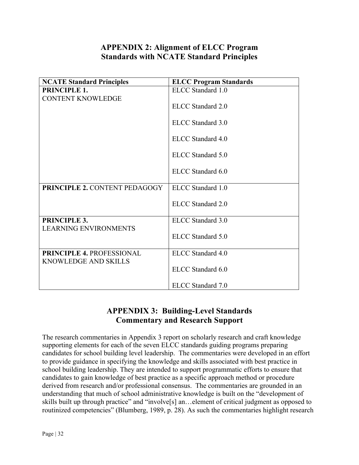# **APPENDIX 2: Alignment of ELCC Program Standards with NCATE Standard Principles**

| <b>NCATE Standard Principles</b>             | <b>ELCC Program Standards</b> |
|----------------------------------------------|-------------------------------|
| <b>PRINCIPLE 1.</b>                          | ELCC Standard 1.0             |
| <b>CONTENT KNOWLEDGE</b>                     |                               |
|                                              | ELCC Standard 2.0             |
|                                              | ELCC Standard 3.0             |
|                                              | ELCC Standard 4.0             |
|                                              |                               |
|                                              | ELCC Standard 5.0             |
|                                              | ELCC Standard 6.0             |
| <b>PRINCIPLE 2. CONTENT PEDAGOGY</b>         | ELCC Standard 1.0             |
|                                              |                               |
|                                              | ELCC Standard 2.0             |
|                                              |                               |
| PRINCIPLE 3.<br><b>LEARNING ENVIRONMENTS</b> | ELCC Standard 3.0             |
|                                              | ELCC Standard 5.0             |
|                                              |                               |
| <b>PRINCIPLE 4. PROFESSIONAL</b>             | ELCC Standard 4.0             |
| <b>KNOWLEDGE AND SKILLS</b>                  |                               |
|                                              | ELCC Standard 6.0             |
|                                              |                               |
|                                              | ELCC Standard 7.0             |

# **APPENDIX 3: Building-Level Standards Commentary and Research Support**

The research commentaries in Appendix 3 report on scholarly research and craft knowledge supporting elements for each of the seven ELCC standards guiding programs preparing candidates for school building level leadership. The commentaries were developed in an effort to provide guidance in specifying the knowledge and skills associated with best practice in school building leadership. They are intended to support programmatic efforts to ensure that candidates to gain knowledge of best practice as a specific approach method or procedure derived from research and/or professional consensus. The commentaries are grounded in an understanding that much of school administrative knowledge is built on the "development of skills built up through practice" and "involve[s] an…element of critical judgment as opposed to routinized competencies" (Blumberg, 1989, p. 28). As such the commentaries highlight research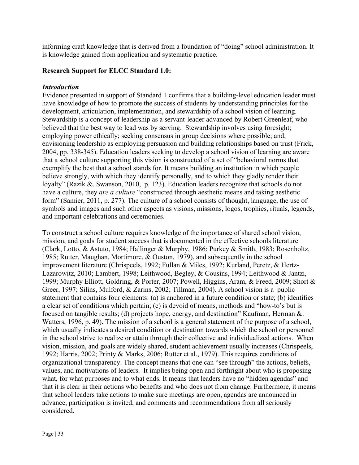informing craft knowledge that is derived from a foundation of "doing" school administration. It is knowledge gained from application and systematic practice.

#### **Research Support for ELCC Standard 1.0:**

#### *Introduction*

Evidence presented in support of Standard 1 confirms that a building-level education leader must have knowledge of how to promote the success of students by understanding principles for the development, articulation, implementation, and stewardship of a school vision of learning. Stewardship is a concept of leadership as a servant-leader advanced by Robert Greenleaf, who believed that the best way to lead was by serving. Stewardship involves using foresight; employing power ethically; seeking consensus in group decisions where possible; and, envisioning leadership as employing persuasion and building relationships based on trust (Frick, 2004, pp. 338-345). Education leaders seeking to develop a school vision of learning are aware that a school culture supporting this vision is constructed of a set of "behavioral norms that exemplify the best that a school stands for. It means building an institution in which people believe strongly, with which they identify personally, and to which they gladly render their loyalty" (Razik &. Swanson, 2010, p. 123). Education leaders recognize that schools do not have a culture, they *are a culture* "constructed through aesthetic means and taking aesthetic form" (Samier, 2011, p. 277). The culture of a school consists of thought, language, the use of symbols and images and such other aspects as visions, missions, logos, trophies, rituals, legends, and important celebrations and ceremonies.

To construct a school culture requires knowledge of the importance of shared school vision, mission, and goals for student success that is documented in the effective schools literature (Clark, Lotto, & Astuto, 1984; Hallinger & Murphy, 1986; Purkey & Smith, 1983; Rosenholtz, 1985; Rutter, Maughan, Mortimore, & Ouston, 1979), and subsequently in the school improvement literature (Chrispeels, 1992; Fullan & Miles, 1992; Kurland, Peretz, & Hertz-Lazarowitz, 2010; Lambert, 1998; Leithwood, Begley, & Cousins, 1994; Leithwood & Jantzi, 1999; Murphy Elliott, Goldring, & Porter, 2007; Powell, Higgins, Aram, & Freed, 2009; Short & Greer, 1997; Silins, Mulford, & Zarins, 2002; Tillman, 2004). A school vision is a public statement that contains four elements: (a) is anchored in a future condition or state; (b) identifies a clear set of conditions which pertain; (c) is devoid of means, methods and "how-to's but is focused on tangible results; (d) projects hope, energy, and destination" Kaufman, Herman &. Watters, 1996, p. 49). The mission of a school is a general statement of the purpose of a school, which usually indicates a desired condition or destination towards which the school or personnel in the school strive to realize or attain through their collective and individualized actions. When vision, mission, and goals are widely shared, student achievement usually increases (Chrispeels, 1992; Harris, 2002; Printy & Marks, 2006; Rutter et al., 1979). This requires conditions of organizational transparency. The concept means that one can "see through" the actions, beliefs, values, and motivations of leaders. It implies being open and forthright about who is proposing what, for what purposes and to what ends. It means that leaders have no "hidden agendas" and that it is clear in their actions who benefits and who does not from change. Furthermore, it means that school leaders take actions to make sure meetings are open, agendas are announced in advance, participation is invited, and comments and recommendations from all seriously considered.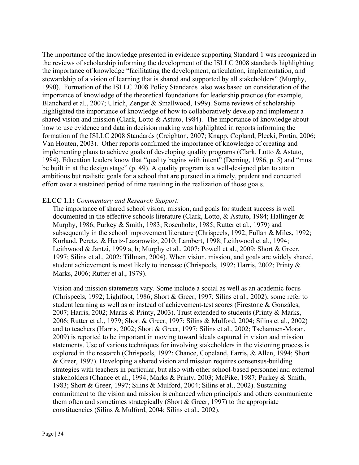The importance of the knowledge presented in evidence supporting Standard 1 was recognized in the reviews of scholarship informing the development of the ISLLC 2008 standards highlighting the importance of knowledge "facilitating the development, articulation, implementation, and stewardship of a vision of learning that is shared and supported by all stakeholders" (Murphy, 1990). Formation of the ISLLC 2008 Policy Standards also was based on consideration of the importance of knowledge of the theoretical foundations for leadership practice (for example, Blanchard et al., 2007; Ulrich, Zenger & Smallwood, 1999). Some reviews of scholarship highlighted the importance of knowledge of how to collaboratively develop and implement a shared vision and mission (Clark, Lotto & Astuto, 1984). The importance of knowledge about how to use evidence and data in decision making was highlighted in reports informing the formation of the ISLLC 2008 Standards (Creighton, 2007; Knapp, Copland, Plecki, Portin, 2006; Van Houten, 2003). Other reports confirmed the importance of knowledge of creating and implementing plans to achieve goals of developing quality programs (Clark, Lotto & Astuto, 1984). Education leaders know that "quality begins with intent" (Deming, 1986, p. 5) and "must be built in at the design stage" (p. 49). A quality program is a well-designed plan to attain ambitious but realistic goals for a school that are pursued in a timely, prudent and concerted effort over a sustained period of time resulting in the realization of those goals.

# **ELCC 1.1:** *Commentary and Research Support:*

The importance of shared school vision, mission, and goals for student success is well documented in the effective schools literature (Clark, Lotto, & Astuto, 1984; Hallinger & Murphy, 1986; Purkey & Smith, 1983; Rosenholtz, 1985; Rutter et al., 1979) and subsequently in the school improvement literature (Chrispeels, 1992; Fullan & Miles, 1992; Kurland, Peretz, & Hertz-Lazarowitz, 2010; Lambert, 1998; Leithwood et al., 1994; Leithwood & Jantzi, 1999 a, b; Murphy et al., 2007; Powell et al., 2009; Short & Greer, 1997; Silins et al., 2002; Tillman, 2004). When vision, mission, and goals are widely shared, student achievement is most likely to increase (Chrispeels, 1992; Harris, 2002; Printy & Marks, 2006; Rutter et al., 1979).

Vision and mission statements vary. Some include a social as well as an academic focus (Chrispeels, 1992; Lightfoot, 1986; Short & Greer, 1997; Silins et al., 2002); some refer to student learning as well as or instead of achievement-test scores (Firestone & Gonzáles, 2007; Harris, 2002; Marks & Printy, 2003). Trust extended to students (Printy & Marks, 2006; Rutter et al., 1979; Short & Greer, 1997; Silins & Mulford, 2004; Silins et al., 2002) and to teachers (Harris, 2002; Short & Greer, 1997; Silins et al., 2002; Tschannen-Moran, 2009) is reported to be important in moving toward ideals captured in vision and mission statements. Use of various techniques for involving stakeholders in the visioning process is explored in the research (Chrispeels, 1992; Chance, Copeland, Farris, & Allen, 1994; Short & Greer, 1997). Developing a shared vision and mission requires consensus-building strategies with teachers in particular, but also with other school-based personnel and external stakeholders (Chance et al., 1994; Marks & Printy, 2003; McPike, 1987; Purkey & Smith, 1983; Short & Greer, 1997; Silins & Mulford, 2004; Silins et al., 2002). Sustaining commitment to the vision and mission is enhanced when principals and others communicate them often and sometimes strategically (Short  $& Green, 1997$ ) to the appropriate constituencies (Silins & Mulford, 2004; Silins et al., 2002).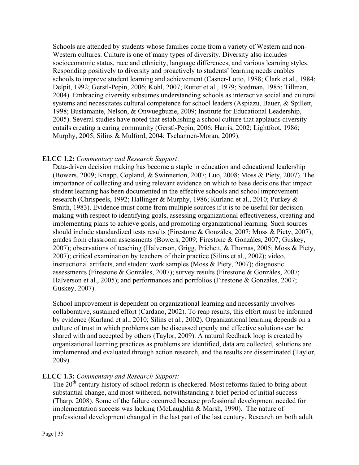Schools are attended by students whose families come from a variety of Western and non-Western cultures. Culture is one of many types of diversity. Diversity also includes socioeconomic status, race and ethnicity, language differences, and various learning styles. Responding positively to diversity and proactively to students' learning needs enables schools to improve student learning and achievement (Casner-Lotto, 1988; Clark et al., 1984; Delpit, 1992; Gerstl-Pepin, 2006; Kohl, 2007; Rutter et al., 1979; Stedman, 1985; Tillman, 2004). Embracing diversity subsumes understanding schools as interactive social and cultural systems and necessitates cultural competence for school leaders (Aspiazu, Bauer, & Spillett, 1998; Bustamante, Nelson, & Onwuegbuzie, 2009; Institute for Educational Leadership, 2005). Several studies have noted that establishing a school culture that applauds diversity entails creating a caring community (Gerstl-Pepin, 2006; Harris, 2002; Lightfoot, 1986; Murphy, 2005; Silins & Mulford, 2004; Tschannen-Moran, 2009).

#### **ELCC 1.2:** *Commentary and Research Support*:

Data-driven decision making has become a staple in education and educational leadership (Bowers, 2009; Knapp, Copland, & Swinnerton, 2007; Luo, 2008; Moss & Piety, 2007). The importance of collecting and using relevant evidence on which to base decisions that impact student learning has been documented in the effective schools and school improvement research (Chrispeels, 1992; Hallinger & Murphy, 1986; Kurland et al., 2010; Purkey & Smith, 1983). Evidence must come from multiple sources if it is to be useful for decision making with respect to identifying goals, assessing organizational effectiveness, creating and implementing plans to achieve goals, and promoting organizational learning. Such sources should include standardized tests results (Firestone & Gonzáles, 2007; Moss & Piety, 2007); grades from classroom assessments (Bowers, 2009; Firestone & Gonzáles, 2007; Guskey, 2007); observations of teaching (Halverson, Grigg, Prichett, & Thomas, 2005; Moss & Piety, 2007); critical examination by teachers of their practice (Silins et al., 2002); video, instructional artifacts, and student work samples (Moss & Piety, 2007); diagnostic assessments (Firestone & Gonzáles, 2007); survey results (Firestone & Gonzáles, 2007; Halverson et al., 2005); and performances and portfolios (Firestone & Gonzáles, 2007; Guskey, 2007).

School improvement is dependent on organizational learning and necessarily involves collaborative, sustained effort (Cardano, 2002). To reap results, this effort must be informed by evidence (Kurland et al., 2010; Silins et al., 2002). Organizational learning depends on a culture of trust in which problems can be discussed openly and effective solutions can be shared with and accepted by others (Taylor, 2009). A natural feedback loop is created by organizational learning practices as problems are identified, data are collected, solutions are implemented and evaluated through action research, and the results are disseminated (Taylor, 2009).

# **ELCC 1.3:** *Commentary and Research Support:*

The 20<sup>th</sup>-century history of school reform is checkered. Most reforms failed to bring about substantial change, and most withered, notwithstanding a brief period of initial success (Tharp, 2008). Some of the failure occurred because professional development needed for implementation success was lacking (McLaughlin & Marsh, 1990). The nature of professional development changed in the last part of the last century. Research on both adult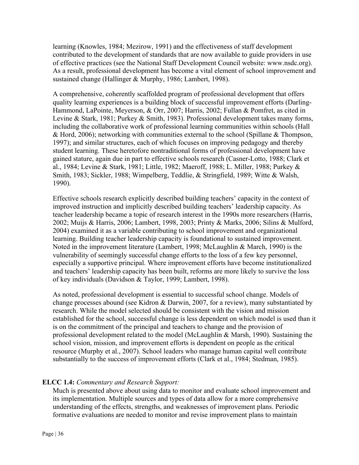learning (Knowles, 1984; Mezirow, 1991) and the effectiveness of staff development contributed to the development of standards that are now available to guide providers in use of effective practices (see the National Staff Development Council website: www.nsdc.org). As a result, professional development has become a vital element of school improvement and sustained change (Hallinger & Murphy, 1986; Lambert, 1998).

A comprehensive, coherently scaffolded program of professional development that offers quality learning experiences is a building block of successful improvement efforts (Darling-Hammond, LaPointe, Meyerson, & Orr, 2007; Harris, 2002; Fullan & Pomfret, as cited in Levine & Stark, 1981; Purkey & Smith, 1983). Professional development takes many forms, including the collaborative work of professional learning communities within schools (Hall & Hord, 2006); networking with communities external to the school (Spillane & Thompson, 1997); and similar structures, each of which focuses on improving pedagogy and thereby student learning. These heretofore nontraditional forms of professional development have gained stature, again due in part to effective schools research (Casner-Lotto, 1988; Clark et al., 1984; Levine & Stark, 1981; Little, 1982; Maeroff, 1988; L. Miller, 1988; Purkey & Smith, 1983; Sickler, 1988; Wimpelberg, Teddlie, & Stringfield, 1989; Witte & Walsh, 1990).

Effective schools research explicitly described building teachers' capacity in the context of improved instruction and implicitly described building teachers' leadership capacity. As teacher leadership became a topic of research interest in the 1990s more researchers (Harris, 2002; Muijs & Harris, 2006; Lambert, 1998, 2003; Printy & Marks, 2006; Silins & Mulford, 2004) examined it as a variable contributing to school improvement and organizational learning. Building teacher leadership capacity is foundational to sustained improvement. Noted in the improvement literature (Lambert, 1998; McLaughlin & March, 1990) is the vulnerability of seemingly successful change efforts to the loss of a few key personnel, especially a supportive principal. Where improvement efforts have become institutionalized and teachers' leadership capacity has been built, reforms are more likely to survive the loss of key individuals (Davidson & Taylor, 1999; Lambert, 1998).

As noted, professional development is essential to successful school change. Models of change processes abound (see Kidron & Darwin, 2007, for a review), many substantiated by research. While the model selected should be consistent with the vision and mission established for the school, successful change is less dependent on which model is used than it is on the commitment of the principal and teachers to change and the provision of professional development related to the model (McLaughlin & Marsh, 1990). Sustaining the school vision, mission, and improvement efforts is dependent on people as the critical resource (Murphy et al., 2007). School leaders who manage human capital well contribute substantially to the success of improvement efforts (Clark et al., 1984; Stedman, 1985).

#### **ELCC 1.4:** *Commentary and Research Support:*

Much is presented above about using data to monitor and evaluate school improvement and its implementation. Multiple sources and types of data allow for a more comprehensive understanding of the effects, strengths, and weaknesses of improvement plans. Periodic formative evaluations are needed to monitor and revise improvement plans to maintain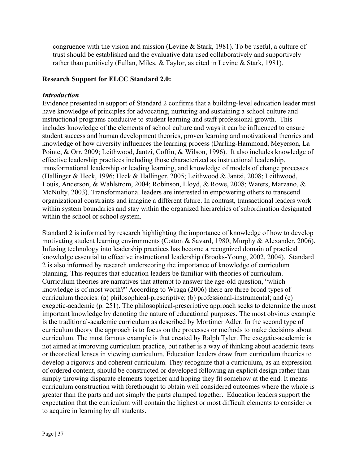congruence with the vision and mission (Levine & Stark, 1981). To be useful, a culture of trust should be established and the evaluative data used collaboratively and supportively rather than punitively (Fullan, Miles, & Taylor, as cited in Levine & Stark, 1981).

## **Research Support for ELCC Standard 2.0:**

#### *Introduction*

Evidence presented in support of Standard 2 confirms that a building-level education leader must have knowledge of principles for advocating, nurturing and sustaining a school culture and instructional programs conducive to student learning and staff professional growth.This includes knowledge of the elements of school culture and ways it can be influenced to ensure student success and human development theories, proven learning and motivational theories and knowledge of how diversity influences the learning process (Darling-Hammond, Meyerson, La Pointe, & Orr, 2009; Leithwood, Jantzi, Coffin, & Wilson, 1996). It also includes knowledge of effective leadership practices including those characterized as instructional leadership, transformational leadership or leading learning, and knowledge of models of change processes (Hallinger & Heck, 1996; Heck & Hallinger, 2005; Leithwood & Jantzi, 2008; Leithwood, Louis, Anderson, & Wahlstrom, 2004; Robinson, Lloyd, & Rowe, 2008; Waters, Marzano, & McNulty, 2003). Transformational leaders are interested in empowering others to transcend organizational constraints and imagine a different future. In contrast, transactional leaders work within system boundaries and stay within the organized hierarchies of subordination designated within the school or school system.

Standard 2 is informed by research highlighting the importance of knowledge of how to develop motivating student learning environments (Cotton & Savard, 1980; Murphy & Alexander, 2006). Infusing technology into leadership practices has become a recognized domain of practical knowledge essential to effective instructional leadership (Brooks-Young, 2002, 2004). Standard 2 is also informed by research underscoring the importance of knowledge of curriculum planning. This requires that education leaders be familiar with theories of curriculum. Curriculum theories are narratives that attempt to answer the age-old question, "which knowledge is of most worth?" According to Wraga (2006) there are three broad types of curriculum theories: (a) philosophical-prescriptive; (b) professional-instrumental; and (c) exegetic-academic (p. 251). The philosophical-prescriptive approach seeks to determine the most important knowledge by denoting the nature of educational purposes. The most obvious example is the traditional-academic curriculum as described by Mortimer Adler. In the second type of curriculum theory the approach is to focus on the processes or methods to make decisions about curriculum. The most famous example is that created by Ralph Tyler. The exegetic-academic is not aimed at improving curriculum practice, but rather is a way of thinking about academic texts or theoretical lenses in viewing curriculum. Education leaders draw from curriculum theories to develop a rigorous and coherent curriculum. They recognize that a curriculum, as an expression of ordered content, should be constructed or developed following an explicit design rather than simply throwing disparate elements together and hoping they fit somehow at the end. It means curriculum construction with forethought to obtain well considered outcomes where the whole is greater than the parts and not simply the parts clumped together. Education leaders support the expectation that the curriculum will contain the highest or most difficult elements to consider or to acquire in learning by all students.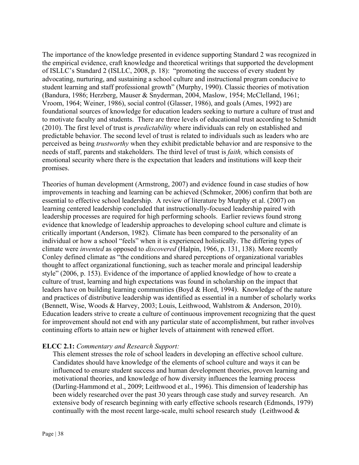The importance of the knowledge presented in evidence supporting Standard 2 was recognized in the empirical evidence, craft knowledge and theoretical writings that supported the development of ISLLC's Standard 2 (ISLLC, 2008, p. 18): "promoting the success of every student by advocating, nurturing, and sustaining a school culture and instructional program conducive to student learning and staff professional growth" (Murphy, 1990). Classic theories of motivation (Bandura, 1986; Herzberg, Mauser & Snyderman, 2004, Maslow, 1954; McClelland, 1961; Vroom, 1964; Weiner, 1986), social control (Glasser, 1986), and goals (Ames, 1992) are foundational sources of knowledge for education leaders seeking to nurture a culture of trust and to motivate faculty and students. There are three levels of educational trust according to Schmidt (2010). The first level of trust is *predictability* where individuals can rely on established and predictable behavior. The second level of trust is related to individuals such as leaders who are perceived as being *trustworthy* when they exhibit predictable behavior and are responsive to the needs of staff, parents and stakeholders. The third level of trust is *faith,* which consists of emotional security where there is the expectation that leaders and institutions will keep their promises.

Theories of human development (Armstrong, 2007) and evidence found in case studies of how improvements in teaching and learning can be achieved (Schmoker, 2006) confirm that both are essential to effective school leadership. A review of literature by Murphy et al. (2007) on learning centered leadership concluded that instructionally-focused leadership paired with leadership processes are required for high performing schools. Earlier reviews found strong evidence that knowledge of leadership approaches to developing school culture and climate is critically important (Anderson, 1982). Climate has been compared to the personality of an individual or how a school "feels" when it is experienced holistically. The differing types of climate were *invented* as opposed to *discovered* (Halpin, 1966, p. 131, 138). More recently Conley defined climate as "the conditions and shared perceptions of organizational variables thought to affect organizational functioning, such as teacher morale and principal leadership style" (2006, p. 153). Evidence of the importance of applied knowledge of how to create a culture of trust, learning and high expectations was found in scholarship on the impact that leaders have on building learning communities (Boyd & Hord, 1994). Knowledge of the nature and practices of distributive leadership was identified as essential in a number of scholarly works (Bennett, Wise, Woods & Harvey, 2003; Louis, Leithwood, Wahlstrom & Anderson, 2010). Education leaders strive to create a culture of continuous improvement recognizing that the quest for improvement should not end with any particular state of accomplishment, but rather involves continuing efforts to attain new or higher levels of attainment with renewed effort.

# **ELCC 2.1:** *Commentary and Research Support:*

This element stresses the role of school leaders in developing an effective school culture. Candidates should have knowledge of the elements of school culture and ways it can be influenced to ensure student success and human development theories, proven learning and motivational theories, and knowledge of how diversity influences the learning process (Darling-Hammond et al., 2009; Leithwood et al., 1996). This dimension of leadership has been widely researched over the past 30 years through case study and survey research. An extensive body of research beginning with early effective schools research (Edmonds, 1979) continually with the most recent large-scale, multi school research study (Leithwood  $\&$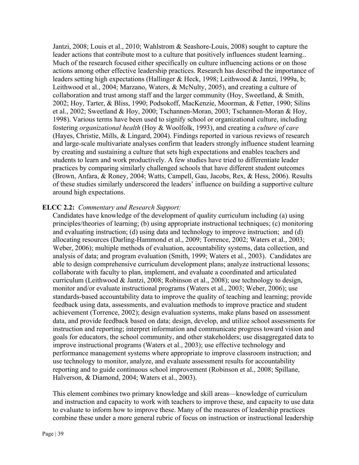Jantzi, 2008; Louis et al., 2010; Wahlstrom & Seashore-Louis, 2008) sought to capture the leader actions that contribute most to a culture that positively influences student learning.. Much of the research focused either specifically on culture influencing actions or on those actions among other effective leadership practices. Research has described the importance of leaders setting high expectations (Hallinger & Heck, 1998; Leithwood & Jantzi, 1999a, b; Leithwood et al., 2004; Marzano, Waters, & McNulty, 2005), and creating a culture of collaboration and trust among staff and the larger community (Hoy, Sweetland, & Smith, 2002; Hoy, Tarter, & Bliss, 1990; Podsokoff, MacKenzie, Moorman, & Fetter, 1990; Silins et al., 2002; Sweetland & Hoy, 2000; Tschannen-Moran, 2003; Tschannen-Moran & Hoy, 1998). Various terms have been used to signify school or organizational culture, including fostering *organizational health* (Hoy & Woolfolk, 1993), and creating a *culture of care* (Hayes, Christie, Mills, & Lingard, 2004). Findings reported in various reviews of research and large-scale multivariate analyses confirm that leaders strongly influence student learning by creating and sustaining a culture that sets high expectations and enables teachers and students to learn and work productively. A few studies have tried to differentiate leader practices by comparing similarly challenged schools that have different student outcomes (Brown, Anfara, & Roney, 2004; Watts, Campell, Gau, Jacobs, Rex, & Hess, 2006). Results of these studies similarly underscored the leaders' influence on building a supportive culture around high expectations.

## **ELCC 2.2:** *Commentary and Research Support:*

Candidates have knowledge of the development of quality curriculum including (a) using principles/theories of learning; (b) using appropriate instructional techniques; (c) monitoring and evaluating instruction; (d) using data and technology to improve instruction; and (d) allocating resources (Darling-Hammond et al., 2009; Torrence, 2002; Waters et al., 2003; Weber, 2006); multiple methods of evaluation, accountability systems, data collection, and analysis of data; and program evaluation (Smith, 1999; Waters et al., 2003). Candidates are able to design comprehensive curriculum development plans; analyze instructional lessons; collaborate with faculty to plan, implement, and evaluate a coordinated and articulated curriculum (Leithwood & Jantzi, 2008; Robinson et al., 2008); use technology to design, monitor and/or evaluate instructional programs (Waters et al., 2003; Weber, 2006); use standards-based accountability data to improve the quality of teaching and learning; provide feedback using data, assessments, and evaluation methods to improve practice and student achievement (Torrence, 2002); design evaluation systems, make plans based on assessment data, and provide feedback based on data; design, develop, and utilize school assessments for instruction and reporting; interpret information and communicate progress toward vision and goals for educators, the school community, and other stakeholders; use disaggregated data to improve instructional programs (Waters et al., 2003); use effective technology and performance management systems where appropriate to improve classroom instruction; and use technology to monitor, analyze, and evaluate assessment results for accountability reporting and to guide continuous school improvement (Robinson et al., 2008; Spillane, Halverson, & Diamond, 2004; Waters et al., 2003).

This element combines two primary knowledge and skill areas—knowledge of curriculum and instruction and capacity to work with teachers to improve these, and capacity to use data to evaluate to inform how to improve these. Many of the measures of leadership practices combine these under a more general rubric of focus on instruction or instructional leadership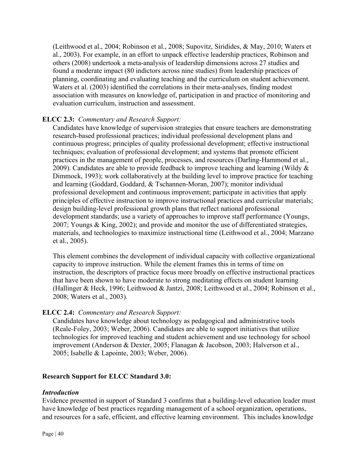(Leithwood et al., 2004; Robinson et al., 2008; Supovitz, Siridides, & May, 2010; Waters et al., 2003). For example, in an effort to unpack effective leadership practices, Robinson and others (2008) undertook a meta-analysis of leadership dimensions across 27 studies and found a moderate impact (80 indictors across nine studies) from leadership practices of planning, coordinating and evaluating teaching and the curriculum on student achievement. Waters et al. (2003) identified the correlations in their meta-analyses, finding modest association with measures on knowledge of, participation in and practice of monitoring and evaluation curriculum, instruction and assessment.

# **ELCC 2.3:** *Commentary and Research Support:*

Candidates have knowledge of supervision strategies that ensure teachers are demonstrating research-based professional practices; individual professional development plans and continuous progress; principles of quality professional development; effective instructional techniques; evaluation of professional development; and systems that promote efficient practices in the management of people, processes, and resources (Darling-Hammond et al., 2009). Candidates are able to provide feedback to improve teaching and learning (Wildy  $\&$ Dimmock, 1993); work collaboratively at the building level to improve practice for teaching and learning (Goddard, Goddard, & Tschannen-Moran, 2007); monitor individual professional development and continuous improvement; participate in activities that apply principles of effective instruction to improve instructional practices and curricular materials; design building-level professional growth plans that reflect national professional development standards; use a variety of approaches to improve staff performance (Youngs, 2007; Youngs & King, 2002); and provide and monitor the use of differentiated strategies, materials, and technologies to maximize instructional time (Leithwood et al., 2004; Marzano et al., 2005).

This element combines the development of individual capacity with collective organizational capacity to improve instruction. While the element frames this in terms of time on instruction, the descriptors of practice focus more broadly on effective instructional practices that have been shown to have moderate to strong meditating effects on student learning (Hallinger & Heck, 1996; Leithwood & Jantzi, 2008; Leithwood et al., 2004; Robinson et al., 2008; Waters et al., 2003).

## **ELCC 2.4:** *Commentary and Research Support:*

Candidates have knowledge about technology as pedagogical and administrative tools (Reale-Foley, 2003; Weber, 2006). Candidates are able to support initiatives that utilize technologies for improved teaching and student achievement and use technology for school improvement (Anderson & Dexter, 2005; Flanagan & Jacobson, 2003; Halverson et al., 2005; Isabelle & Lapointe, 2003; Weber, 2006).

## **Research Support for ELCC Standard 3.0:**

## *Introduction*

Evidence presented in support of Standard 3 confirms that a building-level education leader must have knowledge of best practices regarding management of a school organization, operations, and resources for a safe, efficient, and effective learning environment. This includes knowledge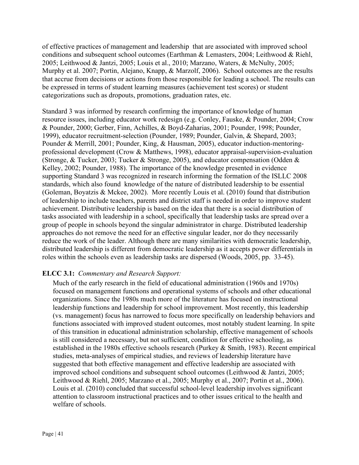of effective practices of management and leadership that are associated with improved school conditions and subsequent school outcomes (Earthman & Lemasters, 2004; Leithwood & Riehl, 2005; Leithwood & Jantzi, 2005; Louis et al., 2010; Marzano, Waters, & McNulty, 2005; Murphy et al. 2007; Portin, Alejano, Knapp, & Marzolf, 2006). School outcomes are the results that accrue from decisions or actions from those responsible for leading a school. The results can be expressed in terms of student learning measures (achievement test scores) or student categorizations such as dropouts, promotions, graduation rates, etc.

Standard 3 was informed by research confirming the importance of knowledge of human resource issues, including educator work redesign (e.g. Conley, Fauske, & Pounder, 2004; Crow & Pounder, 2000; Gerber, Finn, Achilles, & Boyd-Zaharias, 2001; Pounder, 1998; Pounder, 1999), educator recruitment-selection (Pounder, 1989; Pounder, Galvin, & Shepard, 2003; Pounder & Merrill, 2001; Pounder, King, & Hausman, 2005), educator induction-mentoringprofessional development (Crow & Matthews, 1998), educator appraisal-supervision-evaluation (Stronge, & Tucker, 2003; Tucker & Stronge, 2005), and educator compensation (Odden & Kelley, 2002; Pounder, 1988). The importance of the knowledge presented in evidence supporting Standard 3 was recognized in research informing the formation of the ISLLC 2008 standards, which also found knowledge of the nature of distributed leadership to be essential (Goleman, Boyatzis & Mckee, 2002). More recently Louis et al. (2010) found that distribution of leadership to include teachers, parents and district staff is needed in order to improve student achievement. Distributive leadership is based on the idea that there is a social distribution of tasks associated with leadership in a school, specifically that leadership tasks are spread over a group of people in schools beyond the singular administrator in charge. Distributed leadership approaches do not remove the need for an effective singular leader, nor do they necessarily reduce the work of the leader. Although there are many similarities with democratic leadership, distributed leadership is different from democratic leadership as it accepts power differentials in roles within the schools even as leadership tasks are dispersed (Woods, 2005, pp. 33-45).

## **ELCC 3.1:** *Commentary and Research Support:*

Much of the early research in the field of educational administration (1960s and 1970s) focused on management functions and operational systems of schools and other educational organizations. Since the 1980s much more of the literature has focused on instructional leadership functions and leadership for school improvement. Most recently, this leadership (vs. management) focus has narrowed to focus more specifically on leadership behaviors and functions associated with improved student outcomes, most notably student learning. In spite of this transition in educational administration scholarship, effective management of schools is still considered a necessary, but not sufficient, condition for effective schooling, as established in the 1980s effective schools research (Purkey & Smith, 1983). Recent empirical studies, meta-analyses of empirical studies, and reviews of leadership literature have suggested that both effective management and effective leadership are associated with improved school conditions and subsequent school outcomes (Leithwood & Jantzi, 2005; Leithwood & Riehl, 2005; Marzano et al., 2005; Murphy et al., 2007; Portin et al., 2006). Louis et al. (2010) concluded that successful school-level leadership involves significant attention to classroom instructional practices and to other issues critical to the health and welfare of schools.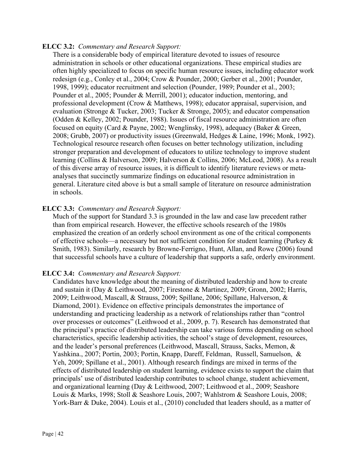## **ELCC 3.2:** *Commentary and Research Support:*

There is a considerable body of empirical literature devoted to issues of resource administration in schools or other educational organizations. These empirical studies are often highly specialized to focus on specific human resource issues, including educator work redesign (e.g., Conley et al., 2004; Crow & Pounder, 2000; Gerber et al., 2001; Pounder, 1998, 1999); educator recruitment and selection (Pounder, 1989; Pounder et al., 2003; Pounder et al., 2005; Pounder & Merrill, 2001); educator induction, mentoring, and professional development (Crow & Matthews, 1998); educator appraisal, supervision, and evaluation (Stronge & Tucker, 2003; Tucker & Stronge, 2005); and educator compensation (Odden & Kelley, 2002; Pounder, 1988). Issues of fiscal resource administration are often focused on equity (Card & Payne, 2002; Wenglinsky, 1998), adequacy (Baker & Green, 2008; Grubb, 2007) or productivity issues (Greenwald, Hedges & Laine, 1996; Monk, 1992). Technological resource research often focuses on better technology utilization, including stronger preparation and development of educators to utilize technology to improve student learning (Collins & Halverson, 2009; Halverson & Collins, 2006; McLeod, 2008). As a result of this diverse array of resource issues, it is difficult to identify literature reviews or metaanalyses that succinctly summarize findings on educational resource administration in general. Literature cited above is but a small sample of literature on resource administration in schools.

## **ELCC 3.3:** *Commentary and Research Support:*

Much of the support for Standard 3.3 is grounded in the law and case law precedent rather than from empirical research. However, the effective schools research of the 1980s emphasized the creation of an orderly school environment as one of the critical components of effective schools—a necessary but not sufficient condition for student learning (Purkey & Smith, 1983). Similarly, research by Browne-Ferrigno, Hunt, Allan, and Rowe (2006) found that successful schools have a culture of leadership that supports a safe, orderly environment.

## **ELCC 3.4:** *Commentary and Research Support:*

Candidates have knowledge about the meaning of distributed leadership and how to create and sustain it (Day & Leithwood, 2007; Firestone & Martinez, 2009; Gronn, 2002; Harris, 2009; Leithwood, Mascall, & Strauss, 2009; Spillane, 2006; Spillane, Halverson, & Diamond, 2001). Evidence on effective principals demonstrates the importance of understanding and practicing leadership as a network of relationships rather than "control over processes or outcomes" (Leithwood et al., 2009, p. 7). Research has demonstrated that the principal's practice of distributed leadership can take various forms depending on school characteristics, specific leadership activities, the school's stage of development, resources, and the leader's personal preferences (Leithwood, Mascall, Strauss, Sacks, Memon, & Yashkina., 2007; Portin, 2003; Portin, Knapp, Dareff, Feldman, Russell, Samuelson, & Yeh, 2009; Spillane et al., 2001). Although research findings are mixed in terms of the effects of distributed leadership on student learning, evidence exists to support the claim that principals' use of distributed leadership contributes to school change, student achievement, and organizational learning (Day & Leithwood, 2007; Leithwood et al., 2009; Seashore Louis & Marks, 1998; Stoll & Seashore Louis, 2007; Wahlstrom & Seashore Louis, 2008; York-Barr & Duke, 2004). Louis et al., (2010) concluded that leaders should, as a matter of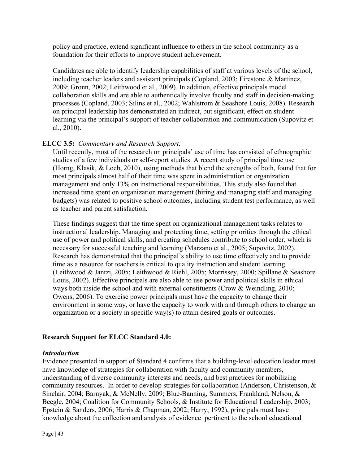policy and practice, extend significant influence to others in the school community as a foundation for their efforts to improve student achievement.

Candidates are able to identify leadership capabilities of staff at various levels of the school, including teacher leaders and assistant principals (Copland, 2003; Firestone & Martinez, 2009; Gronn, 2002; Leithwood et al., 2009). In addition, effective principals model collaboration skills and are able to authentically involve faculty and staff in decision-making processes (Copland, 2003; Silins et al., 2002; Wahlstrom & Seashore Louis, 2008). Research on principal leadership has demonstrated an indirect, but significant, effect on student learning via the principal's support of teacher collaboration and communication (Supovitz et al., 2010).

# **ELCC 3.5:** *Commentary and Research Support:*

Until recently, most of the research on principals' use of time has consisted of ethnographic studies of a few individuals or self-report studies. A recent study of principal time use (Horng, Klasik, & Loeb, 2010), using methods that blend the strengths of both, found that for most principals almost half of their time was spent in administration or organization management and only 13% on instructional responsibilities. This study also found that increased time spent on organization management (hiring and managing staff and managing budgets) was related to positive school outcomes, including student test performance, as well as teacher and parent satisfaction.

These findings suggest that the time spent on organizational management tasks relates to instructional leadership. Managing and protecting time, setting priorities through the ethical use of power and political skills, and creating schedules contribute to school order, which is necessary for successful teaching and learning (Marzano et al., 2005; Supovitz, 2002). Research has demonstrated that the principal's ability to use time effectively and to provide time as a resource for teachers is critical to quality instruction and student learning (Leithwood & Jantzi, 2005; Leithwood & Riehl, 2005; Morrissey, 2000; Spillane & Seashore Louis, 2002). Effective principals are also able to use power and political skills in ethical ways both inside the school and with external constituents (Crow & Weindling, 2010; Owens, 2006). To exercise power principals must have the capacity to change their environment in some way, or have the capacity to work with and through others to change an organization or a society in specific way(s) to attain desired goals or outcomes.

# **Research Support for ELCC Standard 4.0:**

## *Introduction*

Evidence presented in support of Standard 4 confirms that a building-level education leader must have knowledge of strategies for collaboration with faculty and community members, understanding of diverse community interests and needs, and best practices for mobilizing community resources. In order to develop strategies for collaboration (Anderson, Christenson, & Sinclair, 2004; Barnyak, & McNelly, 2009; Blue-Banning, Summers, Frankland, Nelson, & Beegle, 2004; Coalition for Community Schools, & Institute for Educational Leadership, 2003; Epstein & Sanders, 2006; Harris & Chapman, 2002; Harry, 1992), principals must have knowledge about the collection and analysis of evidence pertinent to the school educational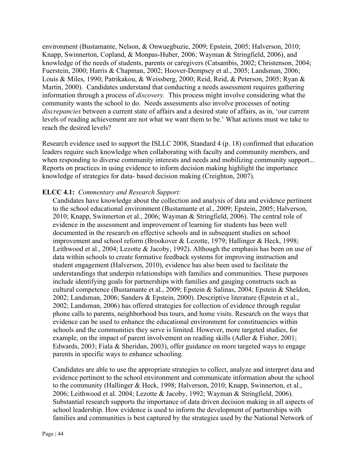environment (Bustamante, Nelson, & Onwuegbuzie, 2009; Epstein, 2005; Halverson, 2010; Knapp, Swinnerton, Copland, & Monpas-Huber, 2006; Wayman & Stringfield, 2006), and knowledge of the needs of students, parents or caregivers (Catsambis, 2002; Christenson, 2004; Fuerstein, 2000; Harris & Chapman, 2002; Hoover-Dempsey et al., 2005; Landsman, 2006; Louis & Miles, 1990; Patrikakou, & Weissberg, 2000; Reid, Reid, & Peterson, 2005; Ryan & Martin, 2000). Candidates understand that conducting a needs assessment requires gathering information through a process of *discovery.* This process might involve considering what the community wants the school to do. Needs assessments also involve processes of noting *discrepancies* between a current state of affairs and a desired state of affairs, as in, 'our current levels of reading achievement are not what we want them to be.' What actions must we take to reach the desired levels?

Research evidence used to support the ISLLC 2008, Standard 4 (p. 18) confirmed that education leaders require such knowledge when collaborating with faculty and community members, and when responding to diverse community interests and needs and mobilizing community support... Reports on practices in using evidence to inform decision making highlight the importance knowledge of strategies for data- based decision making (Creighton, 2007).

## **ELCC 4.1:** *Commentary and Research Support:*

Candidates have knowledge about the collection and analysis of data and evidence pertinent to the school educational environment (Bustamante et al., 2009; Epstein, 2005; Halverson, 2010; Knapp, Swinnerton et al., 2006; Wayman & Stringfield, 2006). The central role of evidence in the assessment and improvement of learning for students has been well documented in the research on effective schools and in subsequent studies on school improvement and school reform (Brookover & Lezotte, 1979; Hallinger & Heck, 1998; Leithwood et al., 2004; Lezotte & Jacoby, 1992). Although the emphasis has been on use of data within schools to create formative feedback systems for improving instruction and student engagement (Halverson, 2010), evidence has also been used to facilitate the understandings that underpin relationships with families and communities. These purposes include identifying goals for partnerships with families and gauging constructs such as cultural competence (Bustamante et al., 2009; Epstein & Salinas, 2004; Epstein & Sheldon, 2002; Landsman, 2006; Sanders & Epstein, 2000). Descriptive literature (Epstein et al., 2002; Landsman, 2006) has offered strategies for collection of evidence through regular phone calls to parents, neighborhood bus tours, and home visits. Research on the ways that evidence can be used to enhance the educational environment for constituencies within schools and the communities they serve is limited. However, more targeted studies, for example, on the impact of parent involvement on reading skills (Adler & Fisher, 2001; Edwards, 2003; Fiala & Sheridan, 2003), offer guidance on more targeted ways to engage parents in specific ways to enhance schooling.

Candidates are able to use the appropriate strategies to collect, analyze and interpret data and evidence pertinent to the school environment and communicate information about the school to the community (Hallinger & Heck, 1998; Halverson, 2010; Knapp, Swinnerton, et al., 2006; Leithwood et al. 2004; Lezotte & Jacoby, 1992; Wayman & Stringfield, 2006). Substantial research supports the importance of data driven decision making in all aspects of school leadership. How evidence is used to inform the development of partnerships with families and communities is best captured by the strategies used by the National Network of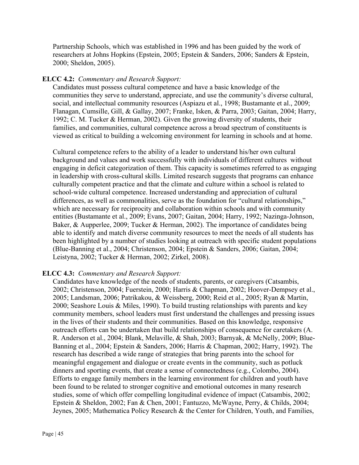Partnership Schools, which was established in 1996 and has been guided by the work of researchers at Johns Hopkins (Epstein, 2005; Epstein & Sanders, 2006; Sanders & Epstein, 2000; Sheldon, 2005).

## **ELCC 4.2:** *Commentary and Research Support:*

Candidates must possess cultural competence and have a basic knowledge of the communities they serve to understand, appreciate, and use the community's diverse cultural, social, and intellectual community resources (Aspiazu et al., 1998; Bustamante et al., 2009; Flanagan, Cumsille, Gill, & Gallay, 2007; Franke, Isken, & Parra, 2003; Gaitan, 2004; Harry, 1992; C. M. Tucker & Herman, 2002). Given the growing diversity of students, their families, and communities, cultural competence across a broad spectrum of constituents is viewed as critical to building a welcoming environment for learning in schools and at home.

Cultural competence refers to the ability of a leader to understand his/her own cultural background and values and work successfully with individuals of different cultures without engaging in deficit categorization of them. This capacity is sometimes referred to as engaging in leadership with cross-cultural skills. Limited research suggests that programs can enhance culturally competent practice and that the climate and culture within a school is related to school-wide cultural competence. Increased understanding and appreciation of cultural differences, as well as commonalities, serve as the foundation for "cultural relationships," which are necessary for reciprocity and collaboration within schools and with community entities (Bustamante et al., 2009; Evans, 2007; Gaitan, 2004; Harry, 1992; Nazinga-Johnson, Baker, & Aupperlee, 2009; Tucker & Herman, 2002). The importance of candidates being able to identify and match diverse community resources to meet the needs of all students has been highlighted by a number of studies looking at outreach with specific student populations (Blue-Banning et al., 2004; Christenson, 2004; Epstein & Sanders, 2006; Gaitan, 2004; Leistyna, 2002; Tucker & Herman, 2002; Zirkel, 2008).

## **ELCC 4.3:** *Commentary and Research Support:*

Candidates have knowledge of the needs of students, parents, or caregivers (Catsambis, 2002; Christenson, 2004; Fuerstein, 2000; Harris & Chapman, 2002; Hoover-Dempsey et al., 2005; Landsman, 2006; Patrikakou, & Weissberg, 2000; Reid et al., 2005; Ryan & Martin, 2000; Seashore Louis & Miles, 1990). To build trusting relationships with parents and key community members, school leaders must first understand the challenges and pressing issues in the lives of their students and their communities. Based on this knowledge, responsive outreach efforts can be undertaken that build relationships of consequence for caretakers (A. R. Anderson et al., 2004; Blank, Melaville, & Shah, 2003; Barnyak, & McNelly, 2009; Blue-Banning et al., 2004; Epstein & Sanders, 2006; Harris & Chapman, 2002; Harry, 1992). The research has described a wide range of strategies that bring parents into the school for meaningful engagement and dialogue or create events in the community, such as potluck dinners and sporting events, that create a sense of connectedness (e.g., Colombo, 2004). Efforts to engage family members in the learning environment for children and youth have been found to be related to stronger cognitive and emotional outcomes in many research studies, some of which offer compelling longitudinal evidence of impact (Catsambis, 2002; Epstein & Sheldon, 2002; Fan & Chen, 2001; Fantuzzo, McWayne, Perry, & Childs, 2004; Jeynes, 2005; Mathematica Policy Research & the Center for Children, Youth, and Families,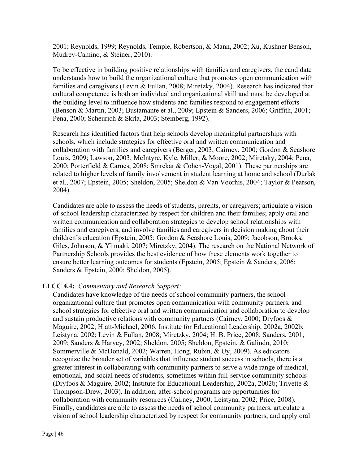2001; Reynolds, 1999; Reynolds, Temple, Robertson, & Mann, 2002; Xu, Kushner Benson, Mudrey-Camino, & Steiner, 2010).

To be effective in building positive relationships with families and caregivers, the candidate understands how to build the organizational culture that promotes open communication with families and caregivers (Levin & Fullan, 2008; Miretzky, 2004). Research has indicated that cultural competence is both an individual and organizational skill and must be developed at the building level to influence how students and families respond to engagement efforts (Benson & Martin, 2003; Bustamante et al., 2009; Epstein & Sanders, 2006; Griffith, 2001; Pena, 2000; Scheurich & Skrla, 2003; Steinberg, 1992).

Research has identified factors that help schools develop meaningful partnerships with schools, which include strategies for effective oral and written communication and collaboration with families and caregivers (Berger, 2003; Cairney, 2000; Gordon & Seashore Louis, 2009; Lawson, 2003; McIntyre, Kyle, Miller, & Moore, 2002; Miretsky, 2004; Pena, 2000; Porterfield & Carnes, 2008; Smrekar & Cohen-Vogal, 2001). These partnerships are related to higher levels of family involvement in student learning at home and school (Durlak et al., 2007; Epstein, 2005; Sheldon, 2005; Sheldon & Van Voorhis, 2004; Taylor & Pearson, 2004).

Candidates are able to assess the needs of students, parents, or caregivers; articulate a vision of school leadership characterized by respect for children and their families; apply oral and written communication and collaboration strategies to develop school relationships with families and caregivers; and involve families and caregivers in decision making about their children's education (Epstein, 2005; Gordon & Seashore Louis, 2009; Jacobson, Brooks, Giles, Johnson, & Ylimaki, 2007; Miretzky, 2004). The research on the National Network of Partnership Schools provides the best evidence of how these elements work together to ensure better learning outcomes for students (Epstein, 2005; Epstein & Sanders, 2006; Sanders & Epstein, 2000; Sheldon, 2005).

## **ELCC 4.4:** *Commentary and Research Support:*

Candidates have knowledge of the needs of school community partners, the school organizational culture that promotes open communication with community partners, and school strategies for effective oral and written communication and collaboration to develop and sustain productive relations with community partners (Cairney, 2000; Dryfoos & Maguire, 2002; Hiatt-Michael, 2006; Institute for Educational Leadership, 2002a, 2002b; Leistyna, 2002; Levin & Fullan, 2008; Miretzky, 2004; H. B. Price, 2008; Sanders, 2001, 2009; Sanders & Harvey, 2002; Sheldon, 2005; Sheldon, Epstein, & Galindo, 2010; Sommerville & McDonald, 2002; Warren, Hong, Rubin, & Uy, 2009). As educators recognize the broader set of variables that influence student success in schools, there is a greater interest in collaborating with community partners to serve a wide range of medical, emotional, and social needs of students, sometimes within full-service community schools (Dryfoos & Maguire, 2002; Institute for Educational Leadership, 2002a, 2002b; Trivette & Thompson-Drew, 2003). In addition, after-school programs are opportunities for collaboration with community resources (Cairney, 2000; Leistyna, 2002; Price, 2008). Finally, candidates are able to assess the needs of school community partners, articulate a vision of school leadership characterized by respect for community partners, and apply oral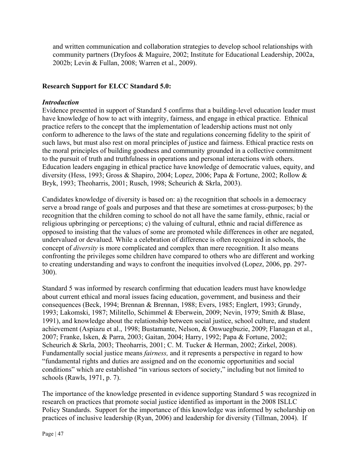and written communication and collaboration strategies to develop school relationships with community partners (Dryfoos & Maguire, 2002; Institute for Educational Leadership, 2002a, 2002b; Levin & Fullan, 2008; Warren et al., 2009).

# **Research Support for ELCC Standard 5.0:**

#### *Introduction*

Evidence presented in support of Standard 5 confirms that a building-level education leader must have knowledge of how to act with integrity, fairness, and engage in ethical practice. Ethnical practice refers to the concept that the implementation of leadership actions must not only conform to adherence to the laws of the state and regulations concerning fidelity to the spirit of such laws, but must also rest on moral principles of justice and fairness. Ethical practice rests on the moral principles of building goodness and community grounded in a collective commitment to the pursuit of truth and truthfulness in operations and personal interactions with others. Education leaders engaging in ethical practice have knowledge of democratic values, equity, and diversity (Hess, 1993; Gross & Shapiro, 2004; Lopez, 2006; Papa & Fortune, 2002; Rollow & Bryk, 1993; Theoharris, 2001; Rusch, 1998; Scheurich & Skrla, 2003).

Candidates knowledge of diversity is based on: a) the recognition that schools in a democracy serve a broad range of goals and purposes and that these are sometimes at cross-purposes; b) the recognition that the children coming to school do not all have the same family, ethnic, racial or religious upbringing or perceptions; c) the valuing of cultural, ethnic and racial difference as opposed to insisting that the values of some are promoted while differences in other are negated, undervalued or devalued. While a celebration of difference is often recognized in schools, the concept of *diversity* is more complicated and complex than mere recognition. It also means confronting the privileges some children have compared to others who are different and working to creating understanding and ways to confront the inequities involved (Lopez, 2006, pp. 297- 300).

Standard 5 was informed by research confirming that education leaders must have knowledge about current ethical and moral issues facing education, government, and business and their consequences (Beck, 1994; Brennan & Brennan, 1988; Evers, 1985; Englert, 1993; Grundy, 1993; Lakomski, 1987; Militello, Schimmel & Eberwein, 2009; Nevin, 1979; Smith & Blase, 1991), and knowledge about the relationship between social justice, school culture, and student achievement (Aspiazu et al., 1998; Bustamante, Nelson, & Onwuegbuzie, 2009; Flanagan et al., 2007; Franke, Isken, & Parra, 2003; Gaitan, 2004; Harry, 1992; Papa & Fortune, 2002; Scheurich & Skrla, 2003; Theoharris, 2001; C. M. Tucker & Herman, 2002; Zirkel, 2008). Fundamentally social justice means *fairness,* and it represents a perspective in regard to how "fundamental rights and duties are assigned and on the economic opportunities and social conditions" which are established "in various sectors of society," including but not limited to schools (Rawls, 1971, p. 7).

The importance of the knowledge presented in evidence supporting Standard 5 was recognized in research on practices that promote social justice identified as important in the 2008 ISLLC Policy Standards. Support for the importance of this knowledge was informed by scholarship on practices of inclusive leadership (Ryan, 2006) and leadership for diversity (Tillman, 2004). If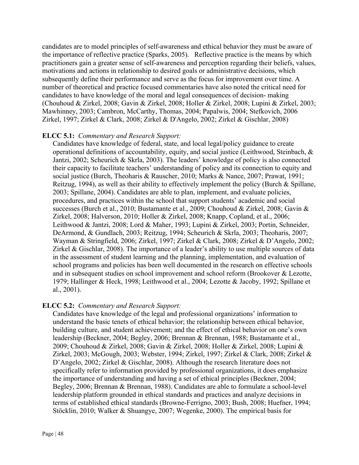candidates are to model principles of self-awareness and ethical behavior they must be aware of the importance of reflective practice (Sparks, 2005). Reflective practice is the means by which practitioners gain a greater sense of self-awareness and perception regarding their beliefs, values, motivations and actions in relationship to desired goals or administrative decisions, which subsequently define their performance and serve as the focus for improvement over time. A number of theoretical and practice focused commentaries have also noted the critical need for candidates to have knowledge of the moral and legal consequences of decision- making (Chouhoud & Zirkel, 2008; Gavin & Zirkel, 2008; Holler & Zirkel, 2008; Lupini & Zirkel, 2003; Mawhinney, 2003; Cambron, McCarthy, Thomas, 2004; Papalwis, 2004; Stefkovich, 2006 Zirkel, 1997; Zirkel & Clark, 2008; Zirkel & D'Angelo, 2002; Zirkel & Gischlar, 2008)

## **ELCC 5.1:** *Commentary and Research Support:*

Candidates have knowledge of federal, state, and local legal/policy guidance to create operational definitions of accountability, equity, and social justice (Leithwood, Steinbach, & Jantzi, 2002; Scheurich & Skrla, 2003). The leaders' knowledge of policy is also connected their capacity to facilitate teachers' understanding of policy and its connection to equity and social justice (Burch, Theoharis & Rauscher, 2010; Marks & Nance, 2007; Prawat, 1991; Reitzug, 1994), as well as their ability to effectively implement the policy (Burch & Spillane, 2003; Spillane, 2004). Candidates are able to plan, implement, and evaluate policies, procedures, and practices within the school that support students' academic and social successes (Burch et al., 2010; Bustamante et al., 2009; Chouhoud & Zirkel, 2008; Gavin & Zirkel, 2008; Halverson, 2010; Holler & Zirkel, 2008; Knapp, Copland, et al., 2006; Leithwood & Jantzi, 2008; Lord & Maher, 1993; Lupini & Zirkel, 2003; Portin, Schneider, DeArmond, & Gundlach, 2003; Reitzug, 1994; Scheurich & Skrla, 2003; Theoharis, 2007; Wayman & Stringfield, 2006; Zirkel, 1997; Zirkel & Clark, 2008; Zirkel & D'Angelo, 2002; Zirkel & Gischlar, 2008). The importance of a leader's ability to use multiple sources of data in the assessment of student learning and the planning, implementation, and evaluation of school programs and policies has been well documented in the research on effective schools and in subsequent studies on school improvement and school reform (Brookover & Lezotte, 1979; Hallinger & Heck, 1998; Leithwood et al., 2004; Lezotte & Jacoby, 1992; Spillane et al., 2001).

# **ELCC 5.2:** *Commentary and Research Support:*

Candidates have knowledge of the legal and professional organizations' information to understand the basic tenets of ethical behavior; the relationship between ethical behavior, building culture, and student achievement; and the effect of ethical behavior on one's own leadership (Beckner, 2004; Begley, 2006; Brennan & Brennan, 1988; Bustamante et al., 2009; Chouhoud & Zirkel, 2008; Gavin & Zirkel, 2008; Holler & Zirkel, 2008; Lupini & Zirkel, 2003; McGough, 2003; Webster, 1994; Zirkel, 1997; Zirkel & Clark, 2008; Zirkel & D'Angelo, 2002; Zirkel & Gischlar, 2008). Although the research literature does not specifically refer to information provided by professional organizations, it does emphasize the importance of understanding and having a set of ethical principles (Beckner, 2004; Begley, 2006; Brennan & Brennan, 1988). Candidates are able to formulate a school-level leadership platform grounded in ethical standards and practices and analyze decisions in terms of established ethical standards (Browne-Ferrigno, 2003; Bush, 2008; Huefner, 1994; Stöcklin, 2010; Walker & Shuangye, 2007; Wegenke, 2000). The empirical basis for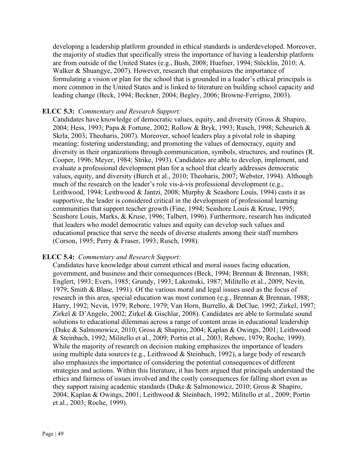developing a leadership platform grounded in ethical standards is underdeveloped. Moreover, the majority of studies that specifically stress the importance of having a leadership platform are from outside of the United States (e.g., Bush, 2008; Huefner, 1994; Stöcklin, 2010; A. Walker & Shuangye, 2007). However, research that emphasizes the importance of formulating a vision or plan for the school that is grounded in a leader's ethical principals is more common in the United States and is linked to literature on building school capacity and leading change (Beck, 1994; Beckner, 2004; Begley, 2006; Browne-Ferrigno, 2003).

## **ELCC 5.3:** *Commentary and Research Support:*

Candidates have knowledge of democratic values, equity, and diversity (Gross & Shapiro, 2004; Hess, 1993; Papa & Fortune, 2002; Rollow & Bryk, 1993; Rusch, 1998; Scheurich & Skrla, 2003; Theoharis, 2007). Moreover, school leaders play a pivotal role in shaping meaning; fostering understanding; and promoting the values of democracy, equity and diversity in their organizations through communication, symbols, structures, and routines (R. Cooper, 1996; Meyer, 1984; Strike, 1993). Candidates are able to develop, implement, and evaluate a professional development plan for a school that clearly addresses democratic values, equity, and diversity (Burch et al., 2010; Theoharis, 2007; Webster, 1994). Although much of the research on the leader's role vis-à-vis professional development (e.g., Leithwood, 1994; Leithwood & Jantzi, 2008; Murphy & Seashore Louis, 1994) casts it as supportive, the leader is considered critical in the development of professional learning communities that support teacher growth (Fine, 1994; Seashore Louis & Kruse, 1995; Seashore Louis, Marks, & Kruse, 1996; Talbert, 1996). Furthermore, research has indicated that leaders who model democratic values and equity can develop such values and educational practice that serve the needs of diverse students among their staff members (Corson, 1995; Perry & Fraser, 1993; Rusch, 1998).

## **ELCC 5.4:** *Commentary and Research Support:*

Candidates have knowledge about current ethical and moral issues facing education, government, and business and their consequences (Beck, 1994; Brennan & Brennan, 1988; Englert, 1993; Evers, 1985; Grundy, 1993; Lakomski, 1987; Militello et al., 2009; Nevin, 1979; Smith & Blase, 1991). Of the various moral and legal issues used as the focus of research in this area, special education was most common (e.g., Brennan & Brennan, 1988; Harry, 1992; Nevin, 1979; Rebore, 1979; Van Horn, Burrello, & DeClue, 1992; Zirkel, 1997; Zirkel & D'Angelo, 2002; Zirkel & Gischlar, 2008). Candidates are able to formulate sound solutions to educational dilemmas across a range of content areas in educational leadership (Duke & Salmonowicz, 2010; Gross & Shapiro, 2004; Kaplan & Owings, 2001; Leithwood & Steinbach, 1992; Militello et al., 2009; Portin et al., 2003; Rebore, 1979; Roche, 1999). While the majority of research on decision making emphasizes the importance of leaders using multiple data sources (e.g., Leithwood & Steinbach, 1992), a large body of research also emphasizes the importance of considering the potential consequences of different strategies and actions. Within this literature, it has been argued that principals understand the ethics and fairness of issues involved and the costly consequences for falling short even as they support raising academic standards (Duke & Salmonowicz, 2010; Gross & Shapiro, 2004; Kaplan & Owings, 2001; Leithwood & Steinbach, 1992; Militello et al., 2009; Portin et al., 2003; Roche, 1999).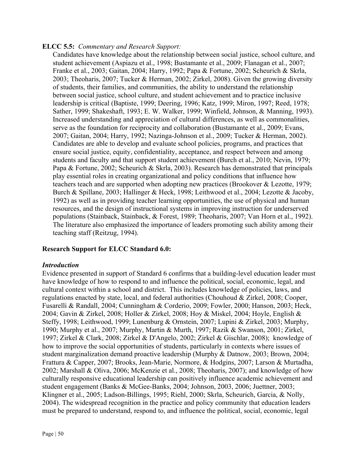## **ELCC 5.5:** *Commentary and Research Support:*

Candidates have knowledge about the relationship between social justice, school culture, and student achievement (Aspiazu et al., 1998; Bustamante et al., 2009; Flanagan et al., 2007; Franke et al., 2003; Gaitan, 2004; Harry, 1992; Papa & Fortune, 2002; Scheurich & Skrla, 2003; Theoharis, 2007; Tucker & Herman, 2002; Zirkel, 2008). Given the growing diversity of students, their families, and communities, the ability to understand the relationship between social justice, school culture, and student achievement and to practice inclusive leadership is critical (Baptiste, 1999; Deering, 1996; Katz, 1999; Miron, 1997; Reed, 1978; Sather, 1999; Shakeshaft, 1993; E. W. Walker, 1999; Winfield, Johnson, & Manning, 1993). Increased understanding and appreciation of cultural differences, as well as commonalities, serve as the foundation for reciprocity and collaboration (Bustamante et al., 2009; Evans, 2007; Gaitan, 2004; Harry, 1992; Nazinga-Johnson et al., 2009; Tucker & Herman, 2002). Candidates are able to develop and evaluate school policies, programs, and practices that ensure social justice, equity, confidentiality, acceptance, and respect between and among students and faculty and that support student achievement (Burch et al., 2010; Nevin, 1979; Papa & Fortune, 2002; Scheurich & Skrla, 2003). Research has demonstrated that principals play essential roles in creating organizational and policy conditions that influence how teachers teach and are supported when adopting new practices (Brookover & Lezotte, 1979; Burch & Spillane, 2003; Hallinger & Heck, 1998; Leithwood et al., 2004; Lezotte & Jacoby, 1992) as well as in providing teacher learning opportunities, the use of physical and human resources, and the design of instructional systems in improving instruction for underserved populations (Stainback, Stainback, & Forest, 1989; Theoharis, 2007; Van Horn et al., 1992). The literature also emphasized the importance of leaders promoting such ability among their teaching staff (Reitzug, 1994).

# **Research Support for ELCC Standard 6.0:**

## *Introduction*

Evidence presented in support of Standard 6 confirms that a building-level education leader must have knowledge of how to respond to and influence the political, social, economic, legal, and cultural context within a school and district.This includes knowledge of policies, laws, and regulations enacted by state, local, and federal authorities (Chouhoud & Zirkel, 2008; Cooper, Fusarelli & Randall, 2004; Cunningham & Corderio, 2009; Fowler, 2000; Hanson, 2003; Heck, 2004; Gavin & Zirkel, 2008; Holler & Zirkel, 2008; Hoy & Miskel, 2004; Hoyle, English & Steffy, 1998; Leithwood, 1999; Lunenburg & Ornstein, 2007; Lupini & Zirkel, 2003; Murphy, 1990; Murphy et al., 2007; Murphy, Martin & Murth, 1997; Razik & Swanson, 2001; Zirkel, 1997; Zirkel & Clark, 2008; Zirkel & D'Angelo, 2002; Zirkel & Gischlar, 2008); knowledge of how to improve the social opportunities of students, particularly in contexts where issues of student marginalization demand proactive leadership (Murphy & Datnow, 2003; Brown, 2004; Frattura & Capper, 2007; Brooks, Jean-Marie, Normore, & Hodgins, 2007; Larson & Murtadha, 2002; Marshall & Oliva, 2006; McKenzie et al., 2008; Theoharis, 2007); and knowledge of how culturally responsive educational leadership can positively influence academic achievement and student engagement (Banks & McGee-Banks, 2004; Johnson, 2003, 2006; Juettner, 2003; Klingner et al., 2005; Ladson-Billings, 1995; Riehl, 2000; Skrla, Scheurich, Garcia, & Nolly, 2004). The widespread recognition in the practice and policy community that education leaders must be prepared to understand, respond to, and influence the political, social, economic, legal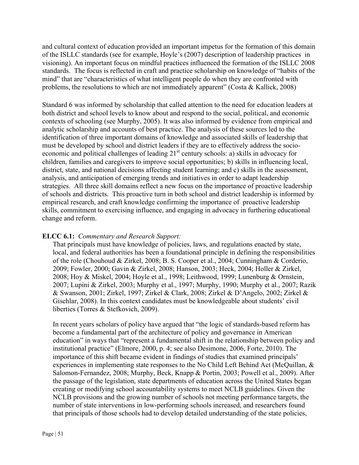and cultural context of education provided an important impetus for the formation of this domain of the ISLLC standards (see for example, Hoyle's (2007) description of leadership practices in visioning). An important focus on mindful practices influenced the formation of the ISLLC 2008 standards. The focus is reflected in craft and practice scholarship on knowledge of "habits of the mind" that are "characteristics of what intelligent people do when they are confronted with problems, the resolutions to which are not immediately apparent" (Costa & Kallick, 2008)

Standard 6 was informed by scholarship that called attention to the need for education leaders at both district and school levels to know about and respond to the social, political, and economic contexts of schooling (see Murphy, 2005). It was also informed by evidence from empirical and analytic scholarship and accounts of best practice. The analysis of these sources led to the identification of three important domains of knowledge and associated skills of leadership that must be developed by school and district leaders if they are to effectively address the socioeconomic and political challenges of leading  $21<sup>st</sup>$  century schools: a) skills in advocacy for children, families and caregivers to improve social opportunities; b) skills in influencing local, district, state, and national decisions affecting student learning; and c) skills in the assessment, analysis, and anticipation of emerging trends and initiatives in order to adapt leadership strategies. All three skill domains reflect a new focus on the importance of proactive leadership of schools and districts. This proactive turn in both school and district leadership is informed by empirical research, and craft knowledge confirming the importance of proactive leadership skills, commitment to exercising influence, and engaging in advocacy in furthering educational change and reform.

# **ELCC 6.1:** *Commentary and Research Support:*

That principals must have knowledge of policies, laws, and regulations enacted by state, local, and federal authorities has been a foundational principle in defining the responsibilities of the role (Chouhoud & Zirkel, 2008; B. S. Cooper et al., 2004; Cunningham & Corderio, 2009; Fowler, 2000; Gavin & Zirkel, 2008; Hanson, 2003; Heck, 2004; Holler & Zirkel, 2008; Hoy & Miskel, 2004; Hoyle et al., 1998; Leithwood, 1999; Lunenburg & Ornstein, 2007; Lupini & Zirkel, 2003; Murphy et al., 1997; Murphy, 1990; Murphy et al., 2007; Razik & Swanson, 2001; Zirkel, 1997; Zirkel & Clark, 2008; Zirkel & D'Angelo, 2002; Zirkel & Gischlar, 2008). In this context candidates must be knowledgeable about students' civil liberties (Torres & Stefkovich, 2009).

In recent years scholars of policy have argued that "the logic of standards-based reform has become a fundamental part of the architecture of policy and governance in American education" in ways that "represent a fundamental shift in the relationship between policy and institutional practice" (Elmore, 2000, p. 4; see also Desimone, 2006, Forte, 2010). The importance of this shift became evident in findings of studies that examined principals' experiences in implementing state responses to the No Child Left Behind Act (McQuillan, & Salomon-Fernandez, 2008; Murphy, Beck, Knapp & Portin, 2003; Powell et al., 2009). After the passage of the legislation, state departments of education across the United States began creating or modifying school accountability systems to meet NCLB guidelines. Given the NCLB provisions and the growing number of schools not meeting performance targets, the number of state interventions in low-performing schools increased, and researchers found that principals of those schools had to develop detailed understanding of the state policies,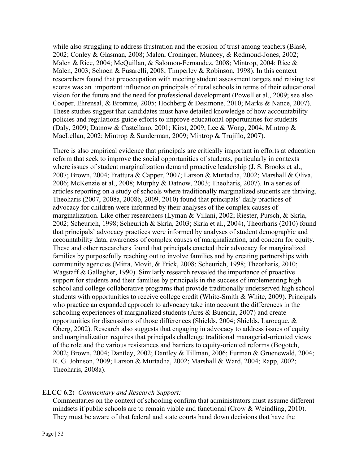while also struggling to address frustration and the erosion of trust among teachers (Blasé, 2002; Conley & Glasman, 2008; Malen, Croninger, Muncey, & Redmond-Jones, 2002; Malen & Rice, 2004; McQuillan, & Salomon-Fernandez, 2008; Mintrop, 2004; Rice & Malen, 2003; Schoen & Fusarelli, 2008; Timperley & Robinson, 1998). In this context researchers found that preoccupation with meeting student assessment targets and raising test scores was an important influence on principals of rural schools in terms of their educational vision for the future and the need for professional development (Powell et al., 2009; see also Cooper, Ehrensal, & Bromme, 2005; Hochberg & Desimone, 2010; Marks & Nance, 2007). These studies suggest that candidates must have detailed knowledge of how accountability policies and regulations guide efforts to improve educational opportunities for students (Daly, 2009; Datnow & Castellano, 2001; Kirst, 2009; Lee & Wong, 2004; Mintrop & MacLellan, 2002; Mintrop & Sunderman, 2009; Mintrop & Trujillo, 2007).

There is also empirical evidence that principals are critically important in efforts at education reform that seek to improve the social opportunities of students, particularly in contexts where issues of student marginalization demand proactive leadership (J. S. Brooks et al., 2007; Brown, 2004; Frattura & Capper, 2007; Larson & Murtadha, 2002; Marshall & Oliva, 2006; McKenzie et al., 2008; Murphy & Datnow, 2003; Theoharis, 2007). In a series of articles reporting on a study of schools where traditionally marginalized students are thriving, Theoharis (2007, 2008a, 2008b, 2009, 2010) found that principals' daily practices of advocacy for children were informed by their analyses of the complex causes of marginalization. Like other researchers (Lyman & Villani, 2002; Riester, Pursch, & Skrla, 2002; Scheurich, 1998; Scheurich & Skrla, 2003; Skrla et al., 2004), Theorharis (2010) found that principals' advocacy practices were informed by analyses of student demographic and accountability data, awareness of complex causes of marginalization, and concern for equity. These and other researchers found that principals enacted their advocacy for marginalized families by purposefully reaching out to involve families and by creating partnerships with community agencies (Mitra, Movit, & Frick, 2008; Scheurich, 1998; Theorharis, 2010; Wagstaff & Gallagher, 1990). Similarly research revealed the importance of proactive support for students and their families by principals in the success of implementing high school and college collaborative programs that provide traditionally underserved high school students with opportunities to receive college credit (White-Smith & White, 2009). Principals who practice an expanded approach to advocacy take into account the differences in the schooling experiences of marginalized students (Ares & Buendia, 2007) and create opportunities for discussions of those differences (Shields, 2004; Shields, Larocque, & Oberg, 2002). Research also suggests that engaging in advocacy to address issues of equity and marginalization requires that principals challenge traditional managerial-oriented views of the role and the various resistances and barriers to equity-oriented reforms (Bogotch, 2002; Brown, 2004; Dantley, 2002; Dantley & Tillman, 2006; Furman & Gruenewald, 2004; R. G. Johnson, 2009; Larson & Murtadha, 2002; Marshall & Ward, 2004; Rapp, 2002; Theoharis, 2008a).

## **ELCC 6.2:** *Commentary and Research Support:*

Commentaries on the context of schooling confirm that administrators must assume different mindsets if public schools are to remain viable and functional (Crow & Weindling, 2010). They must be aware of that federal and state courts hand down decisions that have the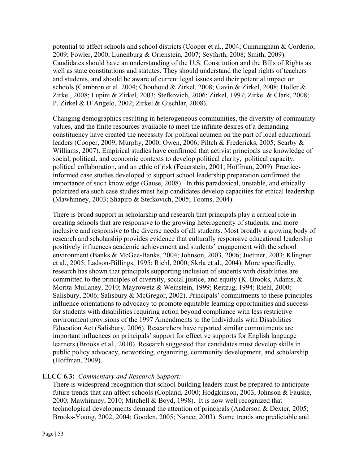potential to affect schools and school districts (Cooper et al., 2004; Cunningham & Corderio, 2009; Fowler, 2000; Lunenburg & Orienstein, 2007; Seyfarth, 2008; Smith, 2009). Candidates should have an understanding of the U.S. Constitution and the Bills of Rights as well as state constitutions and statutes. They should understand the legal rights of teachers and students, and should be aware of current legal issues and their potential impact on schools (Cambron et al. 2004; Chouhoud & Zirkel, 2008; Gavin & Zirkel, 2008; Holler & Zirkel, 2008; Lupini & Zirkel, 2003; Stefkovich, 2006; Zirkel, 1997; Zirkel & Clark, 2008; P. Zirkel & D'Angelo, 2002; Zirkel & Gischlar, 2008).

Changing demographics resulting in heterogeneous communities, the diversity of community values, and the finite resources available to meet the infinite desires of a demanding constituency have created the necessity for political acumen on the part of local educational leaders (Cooper, 2009; Murphy, 2000; Owen, 2006; Piltch & Fredericks, 2005; Searby & Williams, 2007). Empirical studies have confirmed that activist principals use knowledge of social, political, and economic contexts to develop political clarity, political capacity, political collaboration, and an ethic of risk (Feuerstein, 2001; Hoffman, 2009). Practiceinformed case studies developed to support school leadership preparation confirmed the importance of such knowledge (Gause, 2008). In this paradoxical, unstable, and ethically polarized era such case studies must help candidates develop capacities for ethical leadership (Mawhinney, 2003; Shapiro & Stefkovich, 2005; Tooms, 2004).

There is broad support in scholarship and research that principals play a critical role in creating schools that are responsive to the growing heterogeneity of students, and more inclusive and responsive to the diverse needs of all students. Most broadly a growing body of research and scholarship provides evidence that culturally responsive educational leadership positively influences academic achievement and students' engagement with the school environment (Banks & McGee-Banks, 2004; Johnson, 2003, 2006; Juettner, 2003; Klingner et al., 2005; Ladson-Billings, 1995; Riehl, 2000; Skrla et al., 2004). More specifically, research has shown that principals supporting inclusion of students with disabilities are committed to the principles of diversity, social justice, and equity (K. Brooks, Adams, & Morita-Mullaney, 2010; Mayrowetz & Weinstein, 1999; Reitzug, 1994; Riehl, 2000; Salisbury, 2006; Salisbury & McGregor, 2002). Principals' commitments to these principles influence orientations to advocacy to promote equitable learning opportunities and success for students with disabilities requiring action beyond compliance with less restrictive environment provisions of the 1997 Amendments to the Individuals with Disabilities Education Act (Salisbury, 2006). Researchers have reported similar commitments are important influences on principals' support for effective supports for English language learners (Brooks et al., 2010). Research suggested that candidates must develop skills in public policy advocacy, networking, organizing, community development, and scholarship (Hoffman, 2009).

# **ELCC 6.3:** *Commentary and Research Support:*

There is widespread recognition that school building leaders must be prepared to anticipate future trends that can affect schools (Copland, 2000; Hodgkinson, 2003, Johnson & Fauske, 2000; Mawhinney, 2010; Mitchell & Boyd, 1998). It is now well recognized that technological developments demand the attention of principals (Anderson & Dexter, 2005; Brooks-Young, 2002, 2004; Gooden, 2005; Nance; 2003). Some trends are predictable and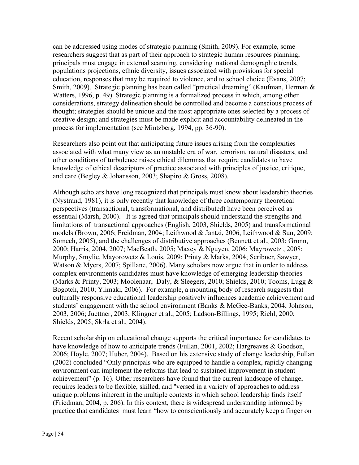can be addressed using modes of strategic planning (Smith, 2009). For example, some researchers suggest that as part of their approach to strategic human resources planning, principals must engage in external scanning, considering national demographic trends, populations projections, ethnic diversity, issues associated with provisions for special education, responses that may be required to violence, and to school choice (Evans, 2007; Smith, 2009). Strategic planning has been called "practical dreaming" (Kaufman, Herman & Watters, 1996, p. 49). Strategic planning is a formalized process in which, among other considerations, strategy delineation should be controlled and become a conscious process of thought; strategies should be unique and the most appropriate ones selected by a process of creative design; and strategies must be made explicit and accountability delineated in the process for implementation (see Mintzberg, 1994, pp. 36-90).

Researchers also point out that anticipating future issues arising from the complexities associated with what many view as an unstable era of war, terrorism, natural disasters, and other conditions of turbulence raises ethical dilemmas that require candidates to have knowledge of ethical descriptors of practice associated with principles of justice, critique, and care (Begley & Johansson, 2003; Shapiro & Gross, 2008).

Although scholars have long recognized that principals must know about leadership theories (Nystrand, 1981), it is only recently that knowledge of three contemporary theoretical perspectives (transactional, transformational, and distributed) have been perceived as essential (Marsh, 2000). It is agreed that principals should understand the strengths and limitations of transactional approaches (English, 2003, Shields, 2005) and transformational models (Brown, 2006; Freidman, 2004; Leithwood & Jantzi, 2006, Leithwood & Sun, 2009; Somech, 2005), and the challenges of distributive approaches (Bennett et al., 2003; Gronn, 2000; Harris, 2004, 2007; MacBeath, 2005; Maxcy & Nguyen, 2006; Mayrowetz , 2008; Murphy, Smylie, Mayorowetz & Louis, 2009; Printy & Marks, 2004; Scribner, Sawyer, Watson & Myers, 2007; Spillane, 2006). Many scholars now argue that in order to address complex environments candidates must have knowledge of emerging leadership theories (Marks & Printy, 2003; Moolenaar, Daly, & Sleegers, 2010; Shields, 2010; Tooms, Lugg & Bogotch, 2010; Ylimaki, 2006). For example, a mounting body of research suggests that culturally responsive educational leadership positively influences academic achievement and students' engagement with the school environment (Banks & McGee-Banks, 2004; Johnson, 2003, 2006; Juettner, 2003; Klingner et al., 2005; Ladson-Billings, 1995; Riehl, 2000; Shields, 2005; Skrla et al., 2004).

Recent scholarship on educational change supports the critical importance for candidates to have knowledge of how to anticipate trends (Fullan, 2001, 2002; Hargreaves & Goodson, 2006; Hoyle, 2007; Huber, 2004). Based on his extensive study of change leadership, Fullan (2002) concluded "Only principals who are equipped to handle a complex, rapidly changing environment can implement the reforms that lead to sustained improvement in student achievement" (p. 16). Other researchers have found that the current landscape of change, requires leaders to be flexible, skilled, and ''versed in a variety of approaches to address unique problems inherent in the multiple contexts in which school leadership finds itself' (Friedman, 2004, p. 206). In this context, there is widespread understanding informed by practice that candidates must learn "how to conscientiously and accurately keep a finger on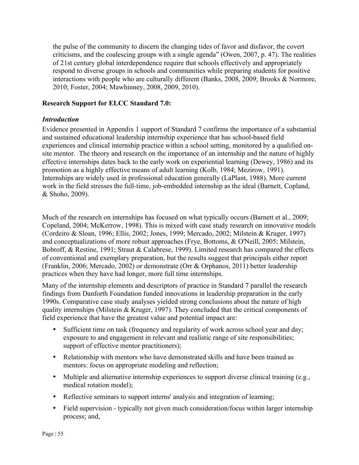the pulse of the community to discern the changing tides of favor and disfavor, the covert criticisms, and the coalescing groups with a single agenda" (Owen, 2007, p. 47). The realities of 21st century global interdependence require that schools effectively and appropriately respond to diverse groups in schools and communities while preparing students for positive interactions with people who are culturally different (Banks, 2008, 2009; Brooks & Normore, 2010; Foster, 2004; Mawhinney, 2008, 2009, 2010).

# **Research Support for ELCC Standard 7.0:**

## *Introduction*

Evidence presented in Appendix 1 support of Standard 7 confirms the importance of a substantial and sustained educational leadership internship experience that has school-based field experiences and clinical internship practice within a school setting, monitored by a qualified onsite mentor. The theory and research on the importance of an internship and the nature of highly effective internships dates back to the early work on experiential learning (Dewey, 1986) and its promotion as a highly effective means of adult learning (Kolb, 1984; Mezirow, 1991). Internships are widely used in professional education generally (LaPlant, 1988). More current work in the field stresses the full-time, job-embedded internship as the ideal (Barnett, Copland, & Shoho, 2009).

Much of the research on internships has focused on what typically occurs (Barnett et al., 2009; Copeland, 2004; McKerrow, 1998). This is mixed with case study research on innovative models (Cordeiro & Sloan, 1996; Ellis, 2002; Jones, 1999; Mercado, 2002; Milstein & Kruger, 1997) and conceptualizations of more robust approaches (Frye, Bottoms, & O'Neill, 2005; Milstein, Bobroff, & Restine, 1991; Straut & Calabrese, 1999). Limited research has compared the effects of conventional and exemplary preparation, but the results suggest that principals either report (Franklin, 2006; Mercado, 2002) or demonstrate (Orr & Orphanos, 2011) better leadership practices when they have had longer, more full time internships.

Many of the internship elements and descriptors of practice in Standard 7 parallel the research findings from Danforth Foundation funded innovations in leadership preparation in the early 1990s. Comparative case study analyses yielded strong conclusions about the nature of high quality internships (Milstein & Kruger, 1997). They concluded that the critical components of field experience that have the greatest value and potential impact are:

- Sufficient time on task (frequency and regularity of work across school year and day; exposure to and engagement in relevant and realistic range of site responsibilities; support of effective mentor practitioners);
- Relationship with mentors who have demonstrated skills and have been trained as mentors: focus on appropriate modeling and reflection;
- Multiple and alternative internship experiences to support diverse clinical training (e.g., medical rotation model);
- Reflective seminars to support interns' analysis and integration of learning;
- Field supervision typically not given much consideration/focus within larger internship process; and,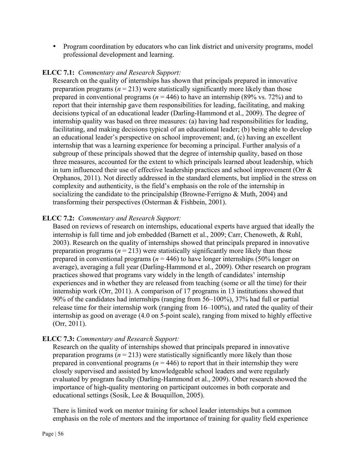• Program coordination by educators who can link district and university programs, model professional development and learning.

## **ELCC 7.1:** *Commentary and Research Support:*

Research on the quality of internships has shown that principals prepared in innovative preparation programs  $(n = 213)$  were statistically significantly more likely than those prepared in conventional programs ( $n = 446$ ) to have an internship (89% vs. 72%) and to report that their internship gave them responsibilities for leading, facilitating, and making decisions typical of an educational leader (Darling-Hammond et al., 2009). The degree of internship quality was based on three measures: (a) having had responsibilities for leading, facilitating, and making decisions typical of an educational leader; (b) being able to develop an educational leader's perspective on school improvement; and, (c) having an excellent internship that was a learning experience for becoming a principal. Further analysis of a subgroup of these principals showed that the degree of internship quality, based on those three measures, accounted for the extent to which principals learned about leadership, which in turn influenced their use of effective leadership practices and school improvement (Orr & Orphanos, 2011). Not directly addressed in the standard elements, but implied in the stress on complexity and authenticity, is the field's emphasis on the role of the internship in socializing the candidate to the principalship (Browne-Ferrigno & Muth, 2004) and transforming their perspectives (Osterman & Fishbein, 2001).

# **ELCC 7.2:** *Commentary and Research Support:*

Based on reviews of research on internships, educational experts have argued that ideally the internship is full time and job embedded (Barnett et al., 2009; Carr, Chenoweth, & Ruhl, 2003). Research on the quality of internships showed that principals prepared in innovative preparation programs  $(n = 213)$  were statistically significantly more likely than those prepared in conventional programs ( $n = 446$ ) to have longer internships (50% longer on average), averaging a full year (Darling-Hammond et al., 2009). Other research on program practices showed that programs vary widely in the length of candidates' internship experiences and in whether they are released from teaching (some or all the time) for their internship work (Orr, 2011). A comparison of 17 programs in 13 institutions showed that 90% of the candidates had internships (ranging from 56–100%), 37% had full or partial release time for their internship work (ranging from 16–100%), and rated the quality of their internship as good on average (4.0 on 5-point scale), ranging from mixed to highly effective (Orr, 2011).

## **ELCC 7.3:** *Commentary and Research Support:*

Research on the quality of internships showed that principals prepared in innovative preparation programs  $(n = 213)$  were statistically significantly more likely than those prepared in conventional programs ( $n = 446$ ) to report that in their internship they were closely supervised and assisted by knowledgeable school leaders and were regularly evaluated by program faculty (Darling-Hammond et al., 2009). Other research showed the importance of high-quality mentoring on participant outcomes in both corporate and educational settings (Sosik, Lee & Bouquillon, 2005).

There is limited work on mentor training for school leader internships but a common emphasis on the role of mentors and the importance of training for quality field experience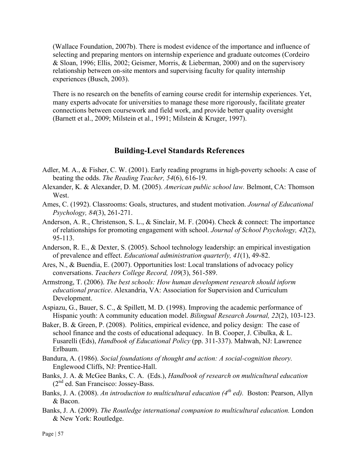(Wallace Foundation, 2007b). There is modest evidence of the importance and influence of selecting and preparing mentors on internship experience and graduate outcomes (Cordeiro & Sloan, 1996; Ellis, 2002; Geismer, Morris, & Lieberman, 2000) and on the supervisory relationship between on-site mentors and supervising faculty for quality internship experiences (Busch, 2003).

There is no research on the benefits of earning course credit for internship experiences. Yet, many experts advocate for universities to manage these more rigorously, facilitate greater connections between coursework and field work, and provide better quality oversight (Barnett et al., 2009; Milstein et al., 1991; Milstein & Kruger, 1997).

## **Building-Level Standards References**

- Adler, M. A., & Fisher, C. W. (2001). Early reading programs in high-poverty schools: A case of beating the odds. *The Reading Teacher, 54*(6), 616-19.
- Alexander, K. & Alexander, D. M. (2005). *American public school law.* Belmont, CA: Thomson West.
- Ames, C. (1992). Classrooms: Goals, structures, and student motivation. *Journal of Educational Psychology, 84*(3), 261-271.
- Anderson, A. R., Christenson, S. L., & Sinclair, M. F. (2004). Check & connect: The importance of relationships for promoting engagement with school. *Journal of School Psychology, 42*(2), 95-113.
- Anderson, R. E., & Dexter, S. (2005). School technology leadership: an empirical investigation of prevalence and effect. *Educational administration quarterly, 41*(1), 49-82.
- Ares, N., & Buendia, E. (2007). Opportunities lost: Local translations of advocacy policy conversations. *Teachers College Record, 109*(3), 561-589.
- Armstrong, T. (2006). *The best schools: How human development research should inform educational practice*. Alexandria, VA: Association for Supervision and Curriculum Development.
- Aspiazu, G., Bauer, S. C., & Spillett, M. D. (1998). Improving the academic performance of Hispanic youth: A community education model. *Bilingual Research Journal, 22*(2), 103-123.
- Baker, B. & Green, P. (2008). Politics, empirical evidence, and policy design: The case of school finance and the costs of educational adequacy. In B. Cooper, J. Cibulka, & L. Fusarelli (Eds), *Handbook of Educational Policy* (pp. 311-337). Mahwah, NJ: Lawrence Erlbaum.
- Bandura, A. (1986). *Social foundations of thought and action: A social-cognition theory.* Englewood Cliffs, NJ: Prentice-Hall.
- Banks, J. A. & McGee Banks, C. A. (Eds.), *Handbook of research on multicultural education*  $(2<sup>nd</sup>$  ed. San Francisco: Jossey-Bass.
- Banks, J. A. (2008). *An introduction to multicultural education (4th ed).* Boston: Pearson, Allyn & Bacon.
- Banks, J. A. (2009). *The Routledge international companion to multicultural education.* London & New York: Routledge.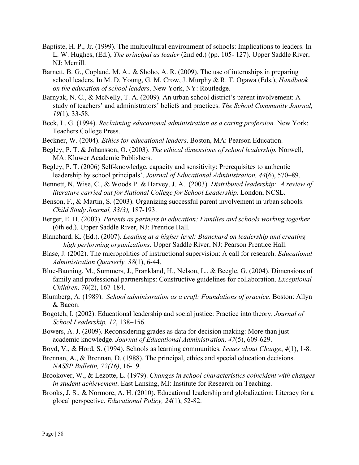- Baptiste, H. P., Jr. (1999). The multicultural environment of schools: Implications to leaders. In L. W. Hughes, (Ed.), *The principal as leader* (2nd ed.) (pp. 105- 127). Upper Saddle River, NJ: Merrill.
- Barnett, B. G., Copland, M. A., & Shoho, A. R. (2009). The use of internships in preparing school leaders. In M. D. Young, G. M. Crow, J. Murphy & R. T. Ogawa (Eds.), *Handbook on the education of school leaders*. New York, NY: Routledge.
- Barnyak, N. C., & McNelly, T. A. (2009). An urban school district's parent involvement: A study of teachers' and administrators' beliefs and practices. *The School Community Journal, 19*(1), 33-58.
- Beck, L. G. (1994). *Reclaiming educational administration as a caring profession.* New York: Teachers College Press.
- Beckner, W. (2004). *Ethics for educational leaders*. Boston, MA: Pearson Education.
- Begley, P. T. & Johansson, O. (2003). *The ethical dimensions of school leadership.* Norwell, MA: Kluwer Academic Publishers.
- Begley, P. T. (2006) Self-knowledge, capacity and sensitivity: Prerequisites to authentic leadership by school principals', *Journal of Educational Administration, 44*(6), 570–89.
- Bennett, N, Wise, C., & Woods P. & Harvey, J. A. (2003). *Distributed leadership: A review of literature carried out for National College for School Leadership*. London, NCSL.
- Benson, F., & Martin, S. (2003). Organizing successful parent involvement in urban schools. *Child Study Journal, 33(3),* 187-193.
- Berger, E. H. (2003). *Parents as partners in education: Families and schools working together* (6th ed.). Upper Saddle River, NJ: Prentice Hall.
- Blanchard, K. (Ed.). (2007). *Leading at a higher level: Blanchard on leadership and creating high performing organizations*. Upper Saddle River, NJ: Pearson Prentice Hall.
- Blase, J. (2002). The micropolitics of instructional supervision: A call for research. *Educational Administration Quarterly, 38*(1), 6-44.
- Blue-Banning, M., Summers, J., Frankland, H., Nelson, L., & Beegle, G. (2004). Dimensions of family and professional partnerships: Constructive guidelines for collaboration. *Exceptional Children, 70*(2), 167-184.
- Blumberg, A. (1989). *School administration as a craft: Foundations of practice*. Boston: Allyn & Bacon.
- Bogotch, I. (2002). Educational leadership and social justice: Practice into theory. *Journal of School Leadership, 12*, 138–156.
- Bowers, A. J. (2009). Reconsidering grades as data for decision making: More than just academic knowledge. *Journal of Educational Administration, 47*(5), 609-629.
- Boyd, V., & Hord, S. (1994). Schools as learning communities. *Issues about Change*, *4*(1), 1-8.
- Brennan, A., & Brennan, D. (1988). The principal, ethics and special education decisions. *NASSP Bulletin, 72(16)*, 16-19.
- Brookover, W., & Lezotte, L. (1979). *Changes in school characteristics coincident with changes in student achievement*. East Lansing, MI: Institute for Research on Teaching.
- Brooks, J. S., & Normore, A. H. (2010). Educational leadership and globalization: Literacy for a glocal perspective. *Educational Policy, 24*(1), 52-82.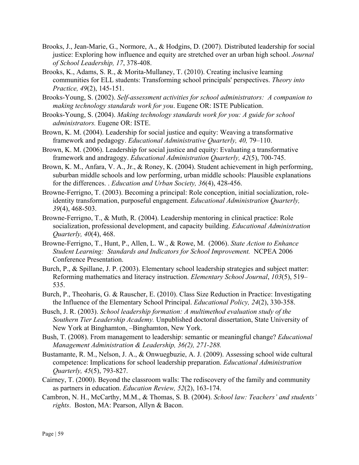- Brooks, J., Jean-Marie, G., Normore, A., & Hodgins, D. (2007). Distributed leadership for social justice: Exploring how influence and equity are stretched over an urban high school. *Journal of School Leadership, 17*, 378-408.
- Brooks, K., Adams, S. R., & Morita-Mullaney, T. (2010). Creating inclusive learning communities for ELL students: Transforming school principals' perspectives. *Theory into Practice, 49*(2), 145-151.
- Brooks-Young, S. (2002). *Self-assessment activities for school administrators: A companion to making technology standards work for you*. Eugene OR: ISTE Publication.
- Brooks-Young, S. (2004). *Making technology standards work for you: A guide for school administrators.* Eugene OR: ISTE.
- Brown, K. M. (2004). Leadership for social justice and equity: Weaving a transformative framework and pedagogy. *Educational Administrative Quarterly, 40,* 79–110.
- Brown, K. M. (2006). Leadership for social justice and equity: Evaluating a transformative framework and andragogy. *Educational Administration Quarterly, 42*(5), 700-745.
- Brown, K. M., Anfara, V. A., Jr., & Roney, K. (2004). Student achievement in high performing, suburban middle schools and low performing, urban middle schools: Plausible explanations for the differences. . *Education and Urban Society, 36*(4), 428-456.
- Browne-Ferrigno, T. (2003). Becoming a principal: Role conception, initial socialization, roleidentity transformation, purposeful engagement. *Educational Administration Quarterly, 39*(4), 468-503.
- Browne-Ferrigno, T., & Muth, R. (2004). Leadership mentoring in clinical practice: Role socialization, professional development, and capacity building. *Educational Administration Quarterly, 40*(4), 468.
- Browne-Ferrigno, T., Hunt, P., Allen, L. W., & Rowe, M. (2006). *State Action to Enhance Student Learning: Standards and Indicators for School Improvement.* NCPEA 2006 Conference Presentation.
- Burch, P., & Spillane, J. P. (2003). Elementary school leadership strategies and subject matter: Reforming mathematics and literacy instruction. *Elementary School Journal*, *103*(5), 519– 535.
- Burch, P., Theoharis, G. & Rauscher, E. (2010). Class Size Reduction in Practice: Investigating the Influence of the Elementary School Principal. *Educational Policy, 24*(2), 330-358.
- Busch, J. R. (2003). *School leadership formation: A multimethod evaluation study of the Southern Tier Leadership Academy.* Unpublished doctoral dissertation, State University of New York at Binghamton, –Binghamton, New York.
- Bush, T. (2008). From management to leadership: semantic or meaningful change? *Educational Management Administration & Leadership, 36(2), 271-288.*
- Bustamante, R. M., Nelson, J. A., & Onwuegbuzie, A. J. (2009). Assessing school wide cultural competence: Implications for school leadership preparation. *Educational Administration Quarterly, 45*(5), 793-827.
- Cairney, T. (2000). Beyond the classroom walls: The rediscovery of the family and community as partners in education. *Education Review, 52*(2), 163-174.
- Cambron, N. H., McCarthy, M.M., & Thomas, S. B. (2004). *School law: Teachers' and students' rights*. Boston, MA: Pearson, Allyn & Bacon.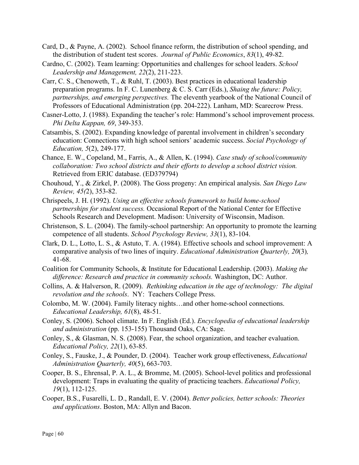- Card, D., & Payne, A. (2002). School finance reform, the distribution of school spending, and the distribution of student test scores. *Journal of Public Economics*, *83*(1), 49-82.
- Cardno, C. (2002). Team learning: Opportunities and challenges for school leaders. *School Leadership and Management, 22*(2), 211-223.
- Carr, C. S., Chenoweth, T., & Ruhl, T. (2003). Best practices in educational leadership preparation programs. In F. C. Lunenberg & C. S. Carr (Eds.), *Shaing the future: Policy, partnerships, and emerging perspectives.* The eleventh yearbook of the National Council of Professors of Educational Administration (pp. 204-222). Lanham, MD: Scarecrow Press.
- Casner-Lotto, J. (1988). Expanding the teacher's role: Hammond's school improvement process. *Phi Delta Kappan, 69*, 349-353.
- Catsambis, S. (2002). Expanding knowledge of parental involvement in children's secondary education: Connections with high school seniors' academic success. *Social Psychology of Education, 5*(2), 249-177.
- Chance, E. W., Copeland, M., Farris, A., & Allen, K. (1994). *Case study of school/community collaboration: Two school districts and their efforts to develop a school district vision.*  Retrieved from ERIC database. (ED379794)
- Chouhoud, Y., & Zirkel, P. (2008). The Goss progeny: An empirical analysis. *San Diego Law Review, 45(*2), 353-82.
- Chrispeels, J. H. (1992). *Using an effective schools framework to build home-school partnerships for student success.* Occasional Report of the National Center for Effective Schools Research and Development. Madison: University of Wisconsin, Madison.
- Christenson, S. L. (2004). The family-school partnership: An opportunity to promote the learning competence of all students. *School Psychology Review, 33*(1), 83-104.
- Clark, D. L., Lotto, L. S., & Astuto, T. A. (1984). Effective schools and school improvement: A comparative analysis of two lines of inquiry. *Educational Administration Quarterly, 20*(3)*,* 41-68.
- Coalition for Community Schools, & Institute for Educational Leadership. (2003). *Making the difference: Research and practice in community schools.* Washington, DC: Author.
- Collins, A. & Halverson, R. (2009). *Rethinking education in the age of technology: The digital revolution and the schools*. NY: Teachers College Press.
- Colombo, M. W. (2004). Family literacy nights…and other home-school connections. *Educational Leadership, 61*(8), 48-51.
- Conley, S. (2006). School climate. In F. English (Ed.). *Encyclopedia of educational leadership and administration* (pp. 153-155) Thousand Oaks, CA: Sage.
- Conley, S., & Glasman, N. S. (2008). Fear, the school organization, and teacher evaluation. *Educational Policy, 22*(1), 63-85.
- Conley, S., Fauske, J., & Pounder, D. (2004). Teacher work group effectiveness, *Educational Administration Quarterly, 40*(5), 663-703.
- Cooper, B. S., Ehrensal, P. A. L., & Bromme, M. (2005). School-level politics and professional development: Traps in evaluating the quality of practicing teachers. *Educational Policy, 19*(1), 112-125.
- Cooper, B.S., Fusarelli, L. D., Randall, E. V. (2004). *Better policies, better schools: Theories and applications*. Boston, MA: Allyn and Bacon.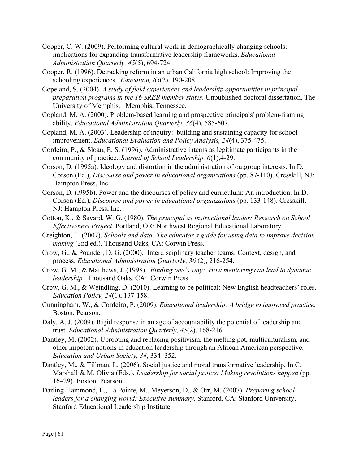- Cooper, C. W. (2009). Performing cultural work in demographically changing schools: implications for expanding transformative leadership frameworks. *Educational Administration Quarterly, 45*(5), 694-724.
- Cooper, R. (1996). Detracking reform in an urban California high school: Improving the schooling experiences. *Education, 65*(2), 190-208.
- Copeland, S. (2004). *A study of field experiences and leadership opportunities in principal preparation programs in the 16 SREB member states.* Unpublished doctoral dissertation, The University of Memphis, –Memphis, Tennessee.
- Copland, M. A. (2000). Problem-based learning and prospective principals' problem-framing ability. *Educational Administration Quarterly, 36*(4), 585-607.
- Copland, M. A. (2003). Leadership of inquiry: building and sustaining capacity for school improvement. *Educational Evaluation and Policy Analysis, 24*(4), 375-475.
- Cordeiro, P., & Sloan, E. S. (1996). Administrative interns as legitimate participants in the community of practice. *Journal of School Leadership, 6*(1),4-29.
- Corson, D. (1995a). Ideology and distortion in the administration of outgroup interests. In D. Corson (Ed.), *Discourse and power in educational organizations* (pp. 87-110). Cresskill, NJ: Hampton Press, Inc.
- Corson, D. (l995b). Power and the discourses of policy and curriculum: An introduction. In D. Corson (Ed.), *Discourse and power in educational organizations* (pp. 133-148). Cresskill, NJ: Hampton Press, Inc.
- Cotton, K., & Savard, W. G. (1980). *The principal as instructional leader: Research on School Effectiveness Project*. Portland, OR: Northwest Regional Educational Laboratory.
- Creighton, T. (2007). *Schools and data: The educator's guide for using data to improve decision making* (2nd ed.). Thousand Oaks, CA: Corwin Press.
- Crow, G., & Pounder, D. G. (2000). Interdisciplinary teacher teams: Context, design, and process. *Educational Administration Quarterly*, *36* (2), 216-254.
- Crow, G. M., & Matthews, J. (1998). *Finding one's way: How mentoring can lead to dynamic leadership.* Thousand Oaks, CA: Corwin Press.
- Crow, G. M., & Weindling, D. (2010). Learning to be political: New English headteachers' roles. *Education Policy, 24*(1), 137-158.
- Cunningham, W., & Cordeiro, P. (2009). *Educational leadership: A bridge to improved practice.*  Boston: Pearson.
- Daly, A. J. (2009). Rigid response in an age of accountability the potential of leadership and trust. *Educational Administration Quarterly, 45*(2), 168-216.
- Dantley, M. (2002). Uprooting and replacing positivism, the melting pot, multiculturalism, and other impotent notions in education leadership through an African American perspective. *Education and Urban Society, 34*, 334–352.
- Dantley, M., & Tillman, L. (2006). Social justice and moral transformative leadership. In C. Marshall & M. Olivia (Eds.), *Leadership for social justice: Making revolutions happen* (pp. 16–29). Boston: Pearson.
- Darling-Hammond, L., La Pointe, M., Meyerson, D., & Orr, M. (2007). *Preparing school leaders for a changing world: Executive summary*. Stanford, CA: Stanford University, Stanford Educational Leadership Institute.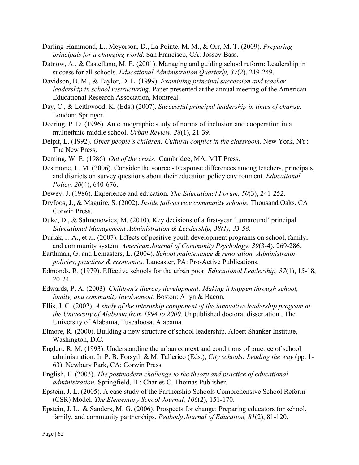- Darling-Hammond, L., Meyerson, D., La Pointe, M. M., & Orr, M. T. (2009). *Preparing principals for a changing world*. San Francisco, CA: Jossey-Bass.
- Datnow, A., & Castellano, M. E. (2001). Managing and guiding school reform: Leadership in success for all schools. *Educational Administration Quarterly, 37*(2), 219-249.
- Davidson, B. M., & Taylor, D. L. (1999). *Examining principal succession and teacher leadership in school restructuring*. Paper presented at the annual meeting of the American Educational Research Association, Montreal.
- Day, C., & Leithwood, K. (Eds.) (2007). *Successful principal leadership in times of change.* London: Springer.
- Deering, P. D. (1996). An ethnographic study of norms of inclusion and cooperation in a multiethnic middle school. *Urban Review, 28*(1), 21-39.
- Delpit, L. (1992). *Other people's children: Cultural conflict in the classroom.* New York, NY: The New Press.
- Deming, W. E. (1986). *Out of the crisis.* Cambridge, MA: MIT Press.
- Desimone, L. M. (2006). Consider the source Response differences among teachers, principals, and districts on survey questions about their education policy environment. *Educational Policy, 20*(4), 640-676.
- Dewey, J. (1986). Experience and education. *The Educational Forum, 50*(3), 241-252.
- Dryfoos, J., & Maguire, S. (2002). *Inside full-service community schools.* Thousand Oaks, CA: Corwin Press.
- Duke, D., & Salmonowicz, M. (2010). Key decisions of a first-year 'turnaround' principal. *Educational Management Administration & Leadership, 38(1), 33-58.*
- Durlak, J. A., et al. (2007). Effects of positive youth development programs on school, family, and community system. *American Journal of Community Psychology. 39*(3-4), 269-286.
- Earthman, G. and Lemasters, L. (2004). *School maintenance & renovation: Administrator policies, practices & economics.* Lancaster, PA: Pro-Active Publications.
- Edmonds, R. (1979). Effective schools for the urban poor. *Educational Leadership, 37*(1), 15-18, 20-24.
- Edwards, P. A. (2003). *Children's literacy development: Making it happen through school, family, and community involvement*. Boston: Allyn & Bacon.
- Ellis, J. C. (2002). *A study of the internship component of the innovative leadership program at the University of Alabama from 1994 to 2000.* Unpublished doctoral dissertation., The University of Alabama, Tuscaloosa, Alabama.
- Elmore, R. (2000). Building a new structure of school leadership. Albert Shanker Institute, Washington, D.C.
- Englert, R. M. (1993). Understanding the urban context and conditions of practice of school administration. In P. B. Forsyth & M. Tallerico (Eds.), *City schools: Leading the way* (pp. 1- 63). Newbury Park, CA: Corwin Press.
- English, F. (2003). *The postmodern challenge to the theory and practice of educational administration.* Springfield, IL: Charles C. Thomas Publisher.
- Epstein, J. L. (2005). A case study of the Partnership Schools Comprehensive School Reform (CSR) Model. *The Elementary School Journal, 106*(2), 151-170.
- Epstein, J. L., & Sanders, M. G. (2006). Prospects for change: Preparing educators for school, family, and community partnerships. *Peabody Journal of Education, 81*(2), 81-120.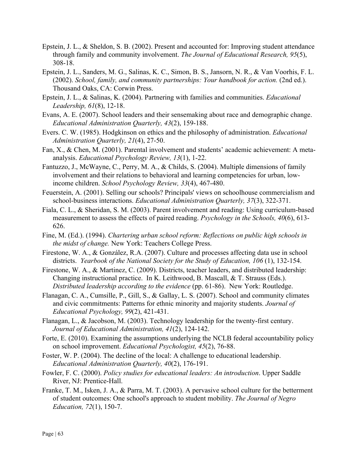- Epstein, J. L., & Sheldon, S. B. (2002). Present and accounted for: Improving student attendance through family and community involvement. *The Journal of Educational Research, 95*(5), 308-18.
- Epstein, J. L., Sanders, M. G., Salinas, K. C., Simon, B. S., Jansorn, N. R., & Van Voorhis, F. L. (2002). *School, family, and community partnerships: Your handbook for action.* (2nd ed.). Thousand Oaks, CA: Corwin Press.
- Epstein, J. L., & Salinas, K. (2004). Partnering with families and communities. *Educational Leadership, 61*(8), 12-18.
- Evans, A. E. (2007). School leaders and their sensemaking about race and demographic change. *Educational Administration Quarterly, 43*(2), 159-188.
- Evers. C. W. (1985). Hodgkinson on ethics and the philosophy of administration. *Educational Administration Quarterly, 21*(4), 27-50.
- Fan, X., & Chen, M. (2001). Parental involvement and students' academic achievement: A metaanalysis. *Educational Psychology Review, 13*(1), 1-22.
- Fantuzzo, J., McWayne, C., Perry, M. A., & Childs, S. (2004). Multiple dimensions of family involvement and their relations to behavioral and learning competencies for urban, lowincome children. *School Psychology Review, 33*(4), 467-480.
- Feuerstein, A. (2001). Selling our schools? Principals' views on schoolhouse commercialism and school-business interactions. *Educational Administration Quarterly, 37*(3), 322-371.
- Fiala, C. L., & Sheridan, S. M. (2003). Parent involvement and reading: Using curriculum-based measurement to assess the effects of paired reading. *Psychology in the Schools, 40*(6), 613- 626.
- Fine, M. (Ed.). (1994). *Chartering urban school reform: Reflections on public high schools in the midst of change.* New York: Teachers College Press.
- Firestone, W. A., & González, R.A. (2007). Culture and processes affecting data use in school districts. *Yearbook of the National Society for the Study of Education, 106* (1), 132-154.
- Firestone, W. A., & Martinez, C. (2009). Districts, teacher leaders, and distributed leadership: Changing instructional practice. In K. Leithwood, B. Mascall, & T. Strauss (Eds.). *Distributed leadership according to the evidence* (pp. 61-86). New York: Routledge.
- Flanagan, C. A., Cumsille, P., Gill, S., & Gallay, L. S. (2007). School and community climates and civic commitments: Patterns for ethnic minority and majority students. *Journal of Educational Psychology, 99*(2), 421-431.
- Flanagan, L., & Jacobson, M. (2003). Technology leadership for the twenty-first century. *Journal of Educational Administration, 41*(2), 124-142.
- Forte, E. (2010). Examining the assumptions underlying the NCLB federal accountability policy on school improvement. *Educational Psychologist, 45*(2), 76-88.
- Foster, W. P. (2004). The decline of the local: A challenge to educational leadership. *Educational Administration Quarterly, 40*(2), 176-191.
- Fowler, F. C. (2000). *Policy studies for educational leaders: An introduction*. Upper Saddle River, NJ: Prentice-Hall.
- Franke, T. M., Isken, J. A., & Parra, M. T. (2003). A pervasive school culture for the betterment of student outcomes: One school's approach to student mobility. *The Journal of Negro Education, 72*(1), 150-7.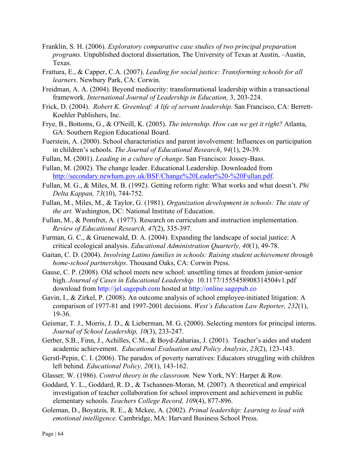- Franklin, S. H. (2006). *Exploratory comparative case studies of two principal preparation programs.* Unpublished doctoral dissertation, The University of Texas at Austin, –Austin, Texas.
- Frattura, E., & Capper, C.A. (2007). *Leading for social justice: Transforming schools for all learners*. Newbury Park, CA: Corwin.
- Freidman, A. A. (2004). Beyond mediocrity: transformational leadership within a transactional framework. *International Journal of Leadership in Education,* 3, 203-224.
- Frick, D. (2004). *Robert K. Greenleaf: A life of servant leadership*. San Francisco, CA: Berrett-Koehler Publishers, Inc.
- Frye, B., Bottoms, G., & O'Neill, K. (2005). *The internship. How can we get it right?* Atlanta, GA: Southern Region Educational Board.
- Fuerstein, A. (2000). School characteristics and parent involvement: Influences on participation in children's schools. *The Journal of Educational Research*, *94*(1), 29-39.
- Fullan, M. (2001). *Leading in a culture of change*. San Francisco: Jossey-Bass.
- Fullan, M. (2002). The change leader. Educational Leadership. Downloaded from http://secondary.newham.gov.uk/BSF/Change%20Leader%20-%20Fullan.pdf.
- Fullan, M. G., & Miles, M. B. (1992). Getting reform right: What works and what doesn't. *Phi Delta Kappan, 73*(10), 744-752.
- Fullan, M., Miles, M., & Taylor, G. (1981). *Organization development in schools: The state of the art.* Washington, DC: National Institute of Education.
- Fullan, M., & Pomfret, A. (1977). Research on curriculum and instruction implementation. *Review of Educational Research, 47*(2), 335-397.
- Furman, G. C., & Gruenewald, D. A. (2004). Expanding the landscape of social justice: A critical ecological analysis. *Educational Administration Quarterly, 40*(1), 49-78.
- Gaitan, C. D. (2004). *Involving Latino families in schools: Raising student achievement through home-school partnerships*. Thousand Oaks, CA: Corwin Press.
- Gause, C. P. (2008). Old school meets new school: unsettling times at freedom junior-senior high. *Journal of Cases in Educational Leadership.* 10.1177/1555458908314504v1.pdf download from http://jel.sagepub.com hosted at http://online.sagepub.co
- Gavin, I., & Zirkel, P. (2008). An outcome analysis of school employee-initiated litigation: A comparison of 1977-81 and 1997-2001 decisions. *West's Education Law Reporter, 232*(1), 19-36.
- Geismar, T. J., Morris, J. D., & Lieberman, M. G. (2000). Selecting mentors for principal interns. *Journal of School Leadership, 10*(3), 233-247.
- Gerber, S.B., Finn, J., Achilles, C.M., & Boyd-Zaharias, J. (2001). Teacher's aides and student academic achievement. *Educational Evaluation and Policy Analysis*, *23*(2), 123-143.
- Gerstl-Pepin, C. I. (2006). The paradox of poverty narratives: Educators struggling with children left behind. *Educational Policy, 20*(1), 143-162.
- Glasser*,* W*.* (1986). *Control theory in the classroom.* New York, NY: Harper & Row*.*
- Goddard, Y. L., Goddard, R. D., & Tschannen-Moran, M. (2007). A theoretical and empirical investigation of teacher collaboration for school improvement and achievement in public elementary schools. *Teachers College Record, 109*(4), 877-896.
- Goleman, D., Boyatzis, R. E., & Mckee, A. (2002). *Primal leadership: Learning to lead with emotional intelligence.* Cambridge, MA: Harvard Business School Press.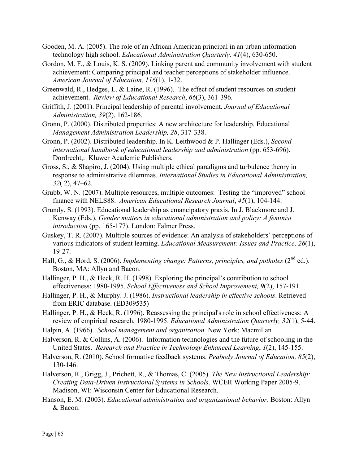- Gooden, M. A. (2005). The role of an African American principal in an urban information technology high school. *Educational Administration Quarterly, 41*(4), 630-650.
- Gordon, M. F., & Louis, K. S. (2009). Linking parent and community involvement with student achievement: Comparing principal and teacher perceptions of stakeholder influence. *American Journal of Education, 116*(1), 1-32.
- Greenwald, R., Hedges, L. & Laine, R. (1996). The effect of student resources on student achievement. *Review of Educational Research*, *66*(3), 361-396.
- Griffith, J. (2001). Principal leadership of parental involvement. *Journal of Educational Administration, 39*(2), 162-186.
- Gronn, P. (2000). Distributed properties: A new architecture for leadership. Educational *Management Administration Leadership, 28*, 317-338.
- Gronn, P. (2002). Distributed leadership. In K. Leithwood & P. Hallinger (Eds.), *Second international handbook of educational leadership and administration* (pp. 653-696). Dordrecht,: Kluwer Academic Publishers.
- Gross, S., & Shapiro, J. (2004). Using multiple ethical paradigms and turbulence theory in response to administrative dilemmas. *International Studies in Educational Administration, 32*( 2), 47–62.
- Grubb, W. N. (2007). Multiple resources, multiple outcomes: Testing the "improved" school finance with NELS88. *American Educational Research Journal*, *45*(1), 104-144.
- Grundy, S. (1993). Educational leadership as emancipatory praxis. In J. Blackmore and J. Kenway (Eds.), *Gender matters in educational administration and policy: A feminist introduction* (pp. 165-177). London: Falmer Press.
- Guskey, T. R. (2007). Multiple sources of evidence: An analysis of stakeholders' perceptions of various indicators of student learning. *Educational Measurement: Issues and Practice, 26*(1), 19-27.
- Hall, G., & Hord, S. (2006). *Implementing change: Patterns, principles, and potholes* (2<sup>nd</sup> ed.). Boston, MA: Allyn and Bacon.
- Hallinger, P. H., & Heck, R. H. (1998). Exploring the principal's contribution to school effectiveness: 1980-1995. *School Effectiveness and School Improvement, 9*(2), 157-191.
- Hallinger, P. H., & Murphy. J. (1986). *Instructional leadership in effective schools*. Retrieved from ERIC database. (ED309535)
- Hallinger, P. H., & Heck, R. (1996). Reassessing the principal's role in school effectiveness: A review of empirical research, 1980-1995. *Educational Administration Quarterly, 32*(1), 5-44.
- Halpin, A. (1966). *School management and organization.* New York: Macmillan
- Halverson, R. & Collins, A. (2006). Information technologies and the future of schooling in the United States. *Research and Practice in Technology Enhanced Learning*, *1*(2), 145-155.
- Halverson, R. (2010). School formative feedback systems. *Peabody Journal of Education, 85*(2), 130-146.
- Halverson, R., Grigg, J., Prichett, R., & Thomas, C. (2005). *The New Instructional Leadership: Creating Data-Driven Instructional Systems in Schools*. WCER Working Paper 2005-9. Madison, WI: Wisconsin Center for Educational Research.
- Hanson, E. M. (2003). *Educational administration and organizational behavior*. Boston: Allyn & Bacon.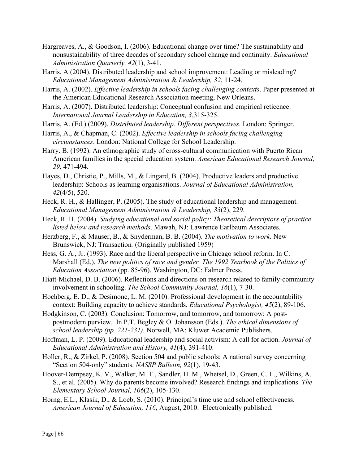- Hargreaves, A., & Goodson, I. (2006). Educational change over time? The sustainability and nonsustainability of three decades of secondary school change and continuity. *Educational Administration Quarterly, 42*(1), 3-41.
- Harris, A (2004). Distributed leadership and school improvement: Leading or misleading? *Educational Management Administration* & *Leadership, 32*, 11-24.
- Harris, A. (2002). *Effective leadership in schools facing challenging contexts*. Paper presented at the American Educational Research Association meeting, New Orleans.
- Harris, A. (2007). Distributed leadership: Conceptual confusion and empirical reticence. *International Journal Leadership in Education, 3*,315-325.
- Harris, A. (Ed.) (2009). *Distributed leadership. Different perspectives.* London: Springer.
- Harris, A., & Chapman, C. (2002). *Effective leadership in schools facing challenging circumstances*. London: National College for School Leadership.
- Harry. B. (1992). An ethnographic study of cross-cultural communication with Puerto Rican American families in the special education system. *American Educational Research Journal, 29*, 471-494.
- Hayes, D., Christie, P., Mills, M., & Lingard, B. (2004). Productive leaders and productive leadership: Schools as learning organisations. *Journal of Educational Administration, 42*(4/5), 520.
- Heck, R. H., & Hallinger, P. (2005). The study of educational leadership and management. *Educational Management Administration & Leadership, 33*(2), 229.
- Heck, R. H. (2004). *Studying educational and social policy: Theoretical descriptors of practice listed below and research methods*. Mawah, NJ: Lawrence Earlbaum Associates.*.*
- Herzberg, F., & Mauser, B., & Snyderman, B. B. (2004). *The motivation to work.* New Brunswick, NJ: Transaction*.* (Originally published 1959)
- Hess, G. A., Jr. (1993). Race and the liberal perspective in Chicago school reform. In C. Marshall (Ed.), *The new politics of race and gender. The 1992 Yearbook of the Politics of Education Association* (pp. 85-96). Washington, DC: Falmer Press.
- Hiatt-Michael, D. B. (2006). Reflections and directions on research related to family-community involvement in schooling. *The School Community Journal, 16*(1), 7-30.
- Hochberg, E. D., & Desimone, L. M. (2010). Professional development in the accountability context: Building capacity to achieve standards. *Educational Psychologist, 45*(2), 89-106.
- Hodgkinson, C. (2003). Conclusion: Tomorrow, and tomorrow, and tomorrow: A postpostmodern purview. In P.T. Begley & O. Johansson (Eds.). *The ethical dimensions of school leadership (pp. 221-231).* Norwell, MA: Kluwer Academic Publishers.
- Hoffman, L. P. (2009). Educational leadership and social activism: A call for action. *Journal of Educational Administration and History, 41*(4), 391-410.
- Holler, R., & Zirkel, P. (2008). Section 504 and public schools: A national survey concerning "Section 504-only" students. *NASSP Bulletin, 92*(1), 19-43.
- Hoover-Dempsey, K. V., Walker, M. T., Sandler, H. M., Whetsel, D., Green, C. L., Wilkins, A. S., et al. (2005). Why do parents become involved? Research findings and implications. *The Elementary School Journal, 106*(2), 105-130.
- Horng, E.L., Klasik, D., & Loeb, S. (2010). Principal's time use and school effectiveness. *American Journal of Education, 116*, August, 2010. Electronically published.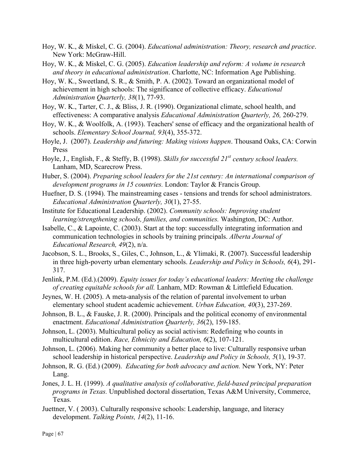- Hoy, W. K., & Miskel, C. G. (2004). *Educational administration: Theory, research and practice*. New York: McGraw-Hill.
- Hoy, W. K., & Miskel, C. G. (2005). *Education leadership and reform: A volume in research and theory in educational administration*. Charlotte, NC: Information Age Publishing.
- Hoy, W. K., Sweetland, S. R., & Smith, P. A. (2002). Toward an organizational model of achievement in high schools: The significance of collective efficacy. *Educational Administration Quarterly, 38*(1), 77-93.
- Hoy, W. K., Tarter, C. J., & Bliss, J. R. (1990). Organizational climate, school health, and effectiveness: A comparative analysis *Educational Administration Quarterly, 26,* 260-279.
- Hoy, W. K., & Woolfolk, A. (1993). Teachers' sense of efficacy and the organizational health of schools. *Elementary School Journal, 93*(4), 355-372.
- Hoyle, J. (2007). *Leadership and futuring: Making visions happen*. Thousand Oaks, CA: Corwin Press
- Hoyle, J., English, F., & Steffy, B. (1998). *Skills for successful 21<sup>st</sup> century school leaders.* Lanham, MD, Scarecrow Press.
- Huber, S. (2004). *Preparing school leaders for the 21st century: An international comparison of development programs in 15 countries.* London: Taylor & Francis Group.
- Huefner, D. S. (1994). The mainstreaming cases tensions and trends for school administrators. *Educational Administration Quarterly, 30*(1), 27-55.
- Institute for Educational Leadership. (2002). *Community schools: Improving student learning/strengthening schools, families, and communities.* Washington, DC: Author.
- Isabelle, C., & Lapointe, C. (2003). Start at the top: successfully integrating information and communication technologies in schools by training principals. *Alberta Journal of Educational Research, 49*(2), n/a.
- Jacobson, S. L., Brooks, S., Giles, C., Johnson, L., & Ylimaki, R. (2007). Successful leadership in three high-poverty urban elementary schools. *Leadership and Policy in Schools, 6*(4), 291- 317.
- Jenlink, P.M. (Ed.).(2009). *Equity issues for today's educational leaders: Meeting the challenge of creating equitable schools for all.* Lanham, MD: Rowman & Littlefield Education.
- Jeynes, W. H. (2005). A meta-analysis of the relation of parental involvement to urban elementary school student academic achievement. *Urban Education, 40*(3), 237-269.
- Johnson, B. L., & Fauske, J. R. (2000). Principals and the political economy of environmental enactment. *Educational Administration Quarterly, 36*(2), 159-185.
- Johnson, L. (2003). Multicultural policy as social activism: Redefining who counts in multicultural edition. *Race, Ethnicity and Education, 6*(2), 107-121.
- Johnson, L. (2006). Making her community a better place to live: Culturally responsive urban school leadership in historical perspective. *Leadership and Policy in Schools, 5*(1), 19-37.
- Johnson, R. G. (Ed.) (2009). *Educating for both advocacy and action.* New York, NY: Peter Lang.
- Jones, J. L. H. (1999). *A qualitative analysis of collaborative, field-based principal preparation programs in Texas.* Unpublished doctoral dissertation, Texas A&M University, Commerce, Texas.
- Juettner, V. ( 2003). Culturally responsive schools: Leadership, language, and literacy development. *Talking Points, 14*(2), 11-16.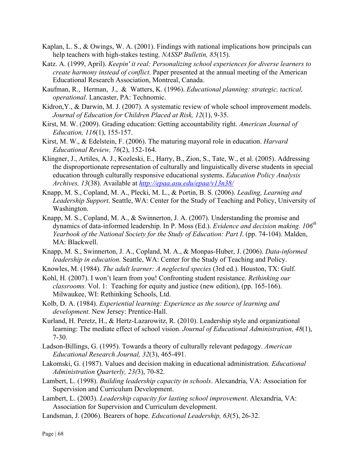- Kaplan, L. S., & Owings, W. A. (2001). Findings with national implications how principals can help teachers with high-stakes testing. *NASSP Bulletin, 85*(15).
- Katz. A. (1999, April). *Keepin' it real: Personalizing school experiences for diverse learners to create harmony instead of conflict.* Paper presented at the annual meeting of the American Educational Research Association, Montreal, Canada.
- Kaufman, R., Herman, J., & Watters, K. (1996). *Educational planning: strategic, tactical, operational*. Lancaster, PA: Technomic.
- Kidron,Y., & Darwin, M. J. (2007). A systematic review of whole school improvement models. *Journal of Education for Children Placed at Risk, 12*(1), 9-35.
- Kirst, M. W. (2009). Grading education: Getting accountability right. *American Journal of Education, 116*(1), 155-157.
- Kirst, M. W., & Edelstein, F. (2006). The maturing mayoral role in education. *Harvard Educational Review, 76*(2), 152-164.
- Klingner, J., Artiles, A. J., Kozleski, E., Harry, B., Zion, S., Tate, W., et al. (2005). Addressing the disproportionate representation of culturally and linguistically diverse students in special education through culturally responsive educational systems. *Education Policy Analysis Archives, 13*(38). Available at *http://epaa.asu.edu/epaa/v13n38/*
- Knapp, M. S., Copland, M. A., Plecki, M. L., & Portin, B. S. (2006). *Leading, Learning and Leadership Support*. Seattle, WA: Center for the Study of Teaching and Policy, University of Washington.
- Knapp, M. S., Copland, M. A., & Swinnerton, J. A. (2007). Understanding the promise and dynamics of data-informed leadership. In P. Moss (Ed.). *Evidence and decision making. 106th Yearbook of the National Society for the Study of Education: Part I*. (pp. 74-104). Malden, MA: Blackwell.
- Knapp, M. S., Swinnerton, J. A., Copland, M. A., & Monpas-Huber, J. (2006). *Data-informed leadership in education.* Seattle, WA: Center for the Study of Teaching and Policy.
- Knowles, M. (1984). *The adult learner: A neglected species* (3rd ed.). Houston, TX: Gulf.
- Kohl, H. (2007). I won't learn from you! Confronting student resistance. *Rethinking our classrooms.* Vol. 1: Teaching for equity and justice (new edition), (pp. 165-166). Milwaukee, WI: Rethinking Schools, Ltd.
- Kolb, D. A. (1984). *Experiential learning: Experience as the source of learning and development*. New Jersey: Prentice-Hall.
- Kurland, H. Peretz, H., & Hertz-Lazarowitz, R. (2010). Leadership style and organizational learning: The mediate effect of school vision. *Journal of Educational Administration, 48*(1), 7-30.
- Ladson-Billings, G. (1995). Towards a theory of culturally relevant pedagogy. *American Educational Research Journal, 32*(3), 465-491.
- Lakomski, G. (1987). Values and decision making in educational administration. *Educational Administration Quarterly, 23(*3), 70-82.
- Lambert, L. (1998). *Building leadership capacity in schools*. Alexandria, VA: Association for Supervision and Curriculum Development.
- Lambert, L. (2003). *Leadership capacity for lasting school improvement*. Alexandria, VA: Association for Supervision and Curriculum development.
- Landsman, J. (2006). Bearers of hope. *Educational Leadership, 63*(5), 26-32.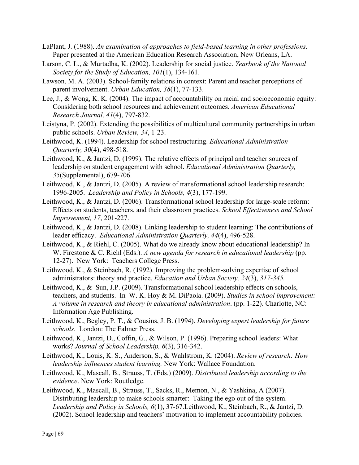- LaPlant, J. (1988). *An examination of approaches to field-based learning in other professions.* Paper presented at the American Education Research Association, New Orleans, LA.
- Larson, C. L., & Murtadha, K. (2002). Leadership for social justice. *Yearbook of the National Society for the Study of Education, 101*(1), 134-161.
- Lawson, M. A. (2003). School-family relations in context: Parent and teacher perceptions of parent involvement. *Urban Education, 38*(1), 77-133.
- Lee, J., & Wong, K. K. (2004). The impact of accountability on racial and socioeconomic equity: Considering both school resources and achievement outcomes. *American Educational Research Journal, 41*(4), 797-832.
- Leistyna, P. (2002). Extending the possibilities of multicultural community partnerships in urban public schools. *Urban Review, 34*, 1-23.
- Leithwood, K. (1994). Leadership for school restructuring. *Educational Administration Quarterly, 30*(4), 498-518.
- Leithwood, K., & Jantzi, D. (1999). The relative effects of principal and teacher sources of leadership on student engagement with school. *Educational Administration Quarterly, 35*(Supplemental), 679-706.
- Leithwood, K., & Jantzi, D. (2005). A review of transformational school leadership research: 1996-2005. *Leadership and Policy in Schools, 4*(3), 177-199.
- Leithwood, K., & Jantzi, D. (2006). Transformational school leadership for large-scale reform: Effects on students, teachers, and their classroom practices. *School Effectiveness and School Improvement, 17*, 201-227.
- Leithwood, K., & Jantzi, D. (2008). Linking leadership to student learning: The contributions of leader efficacy. *Educational Administration Quarterly, 44*(4), 496-528.
- Leithwood, K., & Riehl, C. (2005). What do we already know about educational leadership? In W. Firestone & C. Riehl (Eds.). *A new agenda for research in educational leadership* (pp. 12-27). New York: Teachers College Press.
- Leithwood, K., & Steinbach, R. (1992). Improving the problem-solving expertise of school administrators: theory and practice. *Education and Urban Society, 24*(3), *317-345.*
- Leithwood, K., & Sun, J.P. (2009). Transformational school leadership effects on schools, teachers, and students. In W. K. Hoy & M. DiPaola. (2009). *Studies in school improvement: A volume in research and theory in educational administration*. (pp. 1-22). Charlotte, NC: Information Age Publishing.
- Leithwood, K., Begley, P. T., & Cousins, J. B. (1994). *Developing expert leadership for future schools*. London: The Falmer Press.
- Leithwood, K., Jantzi, D., Coffin, G., & Wilson, P. (1996). Preparing school leaders: What works? *Journal of School Leadership, 6*(3), 316-342.
- Leithwood, K., Louis, K. S., Anderson, S., & Wahlstrom, K. (2004). *Review of research: How leadership influences student learning.* New York: Wallace Foundation.
- Leithwood, K., Mascall, B., Strauss, T. (Eds.) (2009). *Distributed leadership according to the evidence*. New York: Routledge.
- Leithwood, K., Mascall, B., Strauss, T., Sacks, R., Memon, N., & Yashkina, A (2007). Distributing leadership to make schools smarter: Taking the ego out of the system. *Leadership and Policy in Schools, 6*(1), 37-67.Leithwood, K., Steinbach, R., & Jantzi, D. (2002). School leadership and teachers' motivation to implement accountability policies.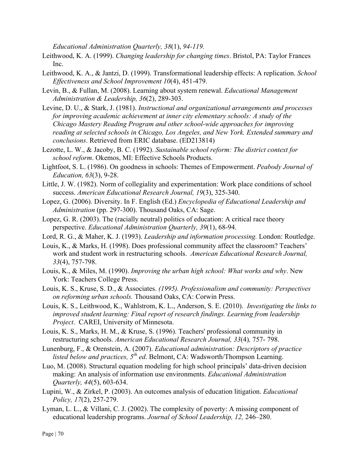*Educational Administration Quarterly, 38*(1), *94-119.*

- Leithwood, K. A. (1999). *Changing leadership for changing times*. Bristol, PA: Taylor Frances Inc.
- Leithwood, K. A., & Jantzi, D. (1999). Transformational leadership effects: A replication. *School Effectiveness and School Improvement 10*(4), 451-479.
- Levin, B., & Fullan, M. (2008). Learning about system renewal. *Educational Management Administration & Leadership, 36*(2), 289-303.
- Levine, D. U., & Stark, J. (1981). *Instructional and organizational arrangements and processes for improving academic achievement at inner city elementary schools: A study of the Chicago Mastery Reading Program and other school-wide approaches for improving reading at selected schools in Chicago, Los Angeles, and New York. Extended summary and conclusions*. Retrieved from ERIC database. (ED213814)
- Lezotte, L. W., & Jacoby, B. C. (1992). *Sustainable school reform: The district context for school reform*. Okemos, MI: Effective Schools Products.
- Lightfoot, S. L. (1986). On goodness in schools: Themes of Empowerment. *Peabody Journal of Education, 63*(3), 9-28.
- Little, J. W. (1982). Norm of collegiality and experimentation: Work place conditions of school success. *American Educational Research Journal, 19*(3), 325-340.
- Lopez, G. (2006). Diversity. In F. English (Ed.) *Encyclopedia of Educational Leadership and Administration* (pp. 297-300). Thousand Oaks, CA: Sage.
- Lopez, G. R. (2003). The (racially neutral) politics of education: A critical race theory perspective. *Educational Administration Quarterly, 39*(1), 68-94.
- Lord, R. G., & Maher, K. J. (1993). *Leadership and information processing.* London: Routledge.
- Louis, K., & Marks, H. (1998). Does professional community affect the classroom? Teachers' work and student work in restructuring schools. *American Educational Research Journal, 33*(4), 757-798.
- Louis, K., & Miles, M. (1990). *Improving the urban high school: What works and why*. New York: Teachers College Press.
- Louis, K. S., Kruse, S. D., & Associates. *(1995). Professionalism and community: Perspectives on reforming urban schools.* Thousand Oaks, CA: Corwin Press.
- Louis, K. S., Leithwood, K., Wahlstrom, K. L., Anderson, S. E. (2010). *Investigating the links to improved student learning: Final report of research findings. Learning from leadership Project*. CAREI, University of Minnesota.
- Louis, K. S., Marks, H. M., & Kruse, S. (1996). Teachers' professional community in restructuring schools. *American Educational Research Journal, 33*(4)*,* 757- 798.
- Lunenburg, F., & Orenstein, A. (2007). *Educational administration: Descriptors of practice listed below and practices, 5<sup>th</sup> ed.* Belmont, CA: Wadsworth/Thompson Learning.
- Luo, M. (2008). Structural equation modeling for high school principals' data-driven decision making: An analysis of information use environments. *Educational Administration Quarterly, 44*(5), 603-634.
- Lupini, W., & Zirkel, P. (2003). An outcomes analysis of education litigation. *Educational Policy, 17*(2), 257-279.
- Lyman, L. L., & Villani, C. J. (2002). The complexity of poverty: A missing component of educational leadership programs. *Journal of School Leadership, 12,* 246–280.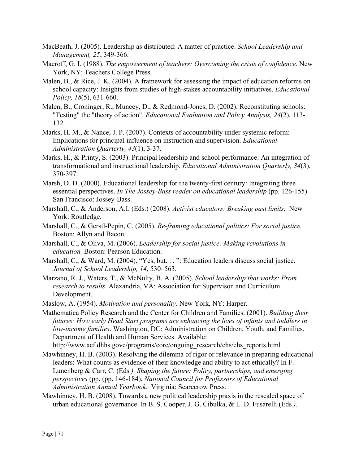- MacBeath, J. (2005). Leadership as distributed: A matter of practice. *School Leadership and Management, 25*, 349-366.
- Maeroff, G. I. (1988). *The empowerment of teachers: Overcoming the crisis of confidence*. New York, NY: Teachers College Press.
- Malen, B., & Rice, J. K. (2004). A framework for assessing the impact of education reforms on school capacity: Insights from studies of high-stakes accountability initiatives. *Educational Policy, 18*(5), 631-660.
- Malen, B., Croninger, R., Muncey, D., & Redmond-Jones, D. (2002). Reconstituting schools: "Testing" the "theory of action". *Educational Evaluation and Policy Analysis, 24*(2), 113- 132.
- Marks, H. M., & Nance, J. P. (2007). Contexts of accountability under systemic reform: Implications for principal influence on instruction and supervision. *Educational Administration Quarterly, 43*(1), 3-37.
- Marks, H., & Printy, S. (2003). Principal leadership and school performance: An integration of transformational and instructional leadership. *Educational Administration Quarterly, 34*(3), 370-397.
- Marsh, D. D. (2000). Educational leadership for the twenty-first century: Integrating three essential perspectives. *In The Jossey-Bass reader on educational leadership* (pp. 126-155). San Francisco: Jossey-Bass.
- Marshall, C., & Anderson, A.I. (Eds.) (2008). *Activist educators: Breaking past limits.* New York: Routledge.
- Marshall, C., & Gerstl-Pepin, C. (2005). *Re-framing educational politics: For social justice.*  Boston: Allyn and Bacon.
- Marshall, C., & Oliva, M. (2006). *Leadership for social justice: Making revolutions in education.* Boston: Pearson Education.
- Marshall, C., & Ward, M. (2004). "Yes, but. . . ": Education leaders discuss social justice. *Journal of School Leadership, 14*, 530–563.
- Marzano, R. J., Waters, T., & McNulty, B. A. (2005). *School leadership that works: From research to results*. Alexandria, VA: Association for Supervison and Curriculum Development.
- Maslow, A. (1954). *Motivation and personality*. New York, NY: Harper.
- Mathematica Policy Research and the Center for Children and Families. (2001). *Building their futures: How early Head Start programs are enhancing the lives of infants and toddlers in low-income families*. Washington, DC: Administration on Children, Youth, and Families, Department of Health and Human Services. Available:
	- http://www.acf.dhhs.gove/programs/core/ongoing\_research/ehs/ehs\_reports.html
- Mawhinney, H. B. (2003). Resolving the dilemma of rigor or relevance in preparing educational leaders: What counts as evidence of their knowledge and ability to act ethically? In F. Lunenberg & Carr, C. (Eds*.). Shaping the future: Policy, partnerships, and emerging perspectives* (pp. (pp. 146-184), *National Council for Professors of Educational Administration Annual Yearbook.* Virginia: Scarecrow Press.
- Mawhinney, H. B. (2008). Towards a new political leadership praxis in the rescaled space of urban educational governance. In B. S. Cooper, J. G. Cibulka, & L. D. Fusarelli (Eds*.).*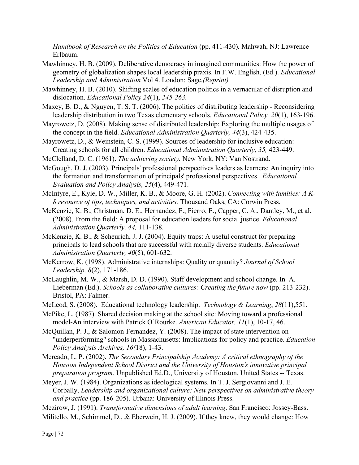*Handbook of Research on the Politics of Education* (pp. 411-430)*.* Mahwah, NJ: Lawrence Erlbaum.

- Mawhinney, H. B. (2009). Deliberative democracy in imagined communities: How the power of geometry of globalization shapes local leadership praxis. In F.W. English, (Ed.). *Educational Leadership and Administration* Vol 4. London: Sage*.(Reprint)*
- Mawhinney, H. B. (2010). Shifting scales of education politics in a vernacular of disruption and dislocation. *Educational Policy 24*(1), *245-263.*
- Maxcy, B. D., & Nguyen, T. S. T. (2006). The politics of distributing leadership Reconsidering leadership distribution in two Texas elementary schools. *Educational Policy, 20*(1), 163-196.
- Mayrowetz, D. (2008). Making sense of distributed leadership: Exploring the multiple usages of the concept in the field. *Educational Administration Quarterly, 44*(3), 424-435.
- Mayrowetz, D., & Weinstein, C. S. (1999). Sources of leadership for inclusive education: Creating schools for all children. *Educational Administration Quarterly, 35,* 423-449.
- McClelland, D. C. (1961). *The achieving society.* New York, NY: Van Nostrand.
- McGough, D. J. (2003). Principals' professional perspectives leaders as learners: An inquiry into the formation and transformation of principals' professional perspectives. *Educational Evaluation and Policy Analysis, 25*(4), 449-471.
- McIntyre, E., Kyle, D. W., Miller, K. B., & Moore, G. H. (2002). *Connecting with families: A K-8 resource of tips, techniques, and activities.* Thousand Oaks, CA: Corwin Press.
- McKenzie, K. B., Christman, D. E., Hernandez, F., Fierro, E., Capper, C. A., Dantley, M., et al. (2008). From the field: A proposal for education leaders for social justice. *Educational Administration Quarterly, 44,* 111-138.
- McKenzie, K. B., & Scheurich, J. J. (2004). Equity traps: A useful construct for preparing principals to lead schools that are successful with racially diverse students. *Educational Administration Quarterly, 40*(5), 601-632.
- McKerrow, K. (1998). Administrative internships: Quality or quantity? *Journal of School Leadership, 8*(2), 171-186.
- McLaughlin, M. W., & Marsh, D. D. (1990). Staff development and school change. In A. Lieberman (Ed.). *Schools as collaborative cultures: Creating the future now* (pp. 213-232). Bristol, PA: Falmer.
- McLeod, S. (2008). Educational technology leadership. *Technology & Learning*, *28*(11),551.
- McPike, L. (1987). Shared decision making at the school site: Moving toward a professional model-An interview with Patrick O'Rourke. *American Educator, 11*(1), 10-17, 46.
- McQuillan, P. J., & Salomon-Fernandez, Y. (2008). The impact of state intervention on "underperforming" schools in Massachusetts: Implications for policy and practice. *Education Policy Analysis Archives, 16(*18), 1-43.
- Mercado, L. P. (2002). *The Secondary Principalship Academy: A critical ethnography of the Houston Independent School District and the University of Houston's innovative principal preparation program.* Unpublished Ed.D., University of Houston, United States -- Texas.
- Meyer, J. W. (1984). Organizations as ideological systems. In T. J. Sergiovanni and J. E. Corbally, *Leadership and organizational culture: New perspectives on administrative theory and practice* (pp. 186-205). Urbana: University of Illinois Press.
- Mezirow, J. (1991). *Transformative dimensions of adult learning*. San Francisco: Jossey-Bass.
- Militello, M., Schimmel, D., & Eberwein, H. J. (2009). If they knew, they would change: How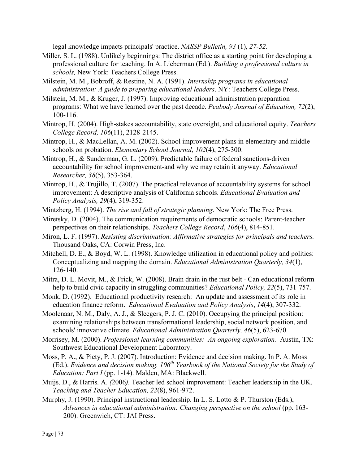legal knowledge impacts principals' practice. *NASSP Bulletin, 93* (1), *27-52.*

- Miller, S. L. (1988). Unlikely beginnings: The district office as a starting point for developing a professional culture for teaching. In A. Lieberman (Ed.). *Building a professional culture in schools,* New York: Teachers College Press.
- Milstein, M. M., Bobroff, & Restine, N. A. (1991). *Internship programs in educational administration: A guide to preparing educational leaders*. NY: Teachers College Press.
- Milstein, M. M., & Kruger, J. (1997). Improving educational administration preparation programs: What we have learned over the past decade. *Peabody Journal of Education, 72*(2), 100-116.
- Mintrop, H. (2004). High-stakes accountability, state oversight, and educational equity. *Teachers College Record, 106*(11), 2128-2145.
- Mintrop, H., & MacLellan, A. M. (2002). School improvement plans in elementary and middle schools on probation. *Elementary School Journal, 102*(4), 275-300.
- Mintrop, H., & Sunderman, G. L. (2009). Predictable failure of federal sanctions-driven accountability for school improvement-and why we may retain it anyway. *Educational Researcher, 38*(5), 353-364.
- Mintrop, H., & Trujillo, T. (2007). The practical relevance of accountability systems for school improvement: A descriptive analysis of California schools. *Educational Evaluation and Policy Analysis, 29*(4), 319-352.
- Mintzberg, H. (1994). *The rise and fall of strategic planning*. New York: The Free Press.
- Miretsky, D. (2004). The communication requirements of democratic schools: Parent-teacher perspectives on their relationships. *Teachers College Record*, *106*(4), 814-851.
- Miron, L. F. (1997). *Resisting discrimination: Affirmative strategies for principals and teachers.* Thousand Oaks, CA: Corwin Press, Inc.
- Mitchell, D. E., & Boyd, W. L. (1998). Knowledge utilization in educational policy and politics: Conceptualizing and mapping the domain. *Educational Administration Quarterly, 34*(1), 126-140.
- Mitra, D. L. Movit, M., & Frick, W. (2008). Brain drain in the rust belt Can educational reform help to build civic capacity in struggling communities? *Educational Policy, 22*(5), 731-757.
- Monk, D. (1992). Educational productivity research: An update and assessment of its role in education finance reform. *Educational Evaluation and Policy Analysis*, *14*(4), 307-332.
- Moolenaar, N. M., Daly, A. J., & Sleegers, P. J. C. (2010). Occupying the principal position: examining relationships between transformational leadership, social network position, and schools' innovative climate. *Educational Administration Quarterly, 46*(5), 623-670.
- Morrisey, M. (2000). *Professional learning communities: An ongoing exploration.* Austin, TX: Southwest Educational Development Laboratory.
- Moss, P. A., & Piety, P. J. (2007). Introduction: Evidence and decision making. In P. A. Moss (Ed.). *Evidence and decision making. 106<sup>th</sup> Yearbook of the National Society for the Study of Education: Part I* (pp. 1-14). Malden, MA: Blackwell.
- Muijs*,* D., & Harris*,* A. *(*2006*).* Teacher led school improvement: Teacher leadership in the UK. *Teaching and Teacher Education, 22*(8), 961-972.
- Murphy, J. (1990). Principal instructional leadership. In L. S. Lotto & P. Thurston (Eds.), *Advances in educational administration: Changing perspective on the school* (pp. 163-200). Greenwich, CT: JAI Press.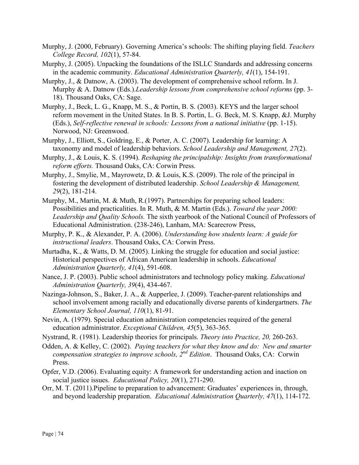- Murphy, J. (2000, February). Governing America's schools: The shifting playing field. *Teachers College Record, 102*(1), 57-84.
- Murphy, J. (2005). Unpacking the foundations of the ISLLC Standards and addressing concerns in the academic community. *Educational Administration Quarterly, 41*(1), 154-191.
- Murphy, J., & Datnow, A. (2003). The development of comprehensive school reform. In J. Murphy & A. Datnow (Eds.).*Leadership lessons from comprehensive school reforms* (pp. 3- 18). Thousand Oaks, CA: Sage.
- Murphy, J., Beck, L. G., Knapp, M. S., & Portin, B. S. (2003). KEYS and the larger school reform movement in the United States. In B. S. Portin, L. G. Beck, M. S. Knapp, &J. Murphy (Eds.), *Self-reflective renewal in schools: Lessons from a national initiative* (pp. 1-15). Norwood, NJ: Greenwood.
- Murphy, J., Elliott, S., Goldring, E., & Porter, A. C. (2007). Leadership for learning: A taxonomy and model of leadership behaviors. *School Leadership and Management, 27*(2).
- Murphy, J., & Louis, K. S. (1994). *Reshaping the principalship: Insights from transformational reform efforts.* Thousand Oaks, CA: Corwin Press.
- Murphy, J., Smylie, M., Mayrowetz, D. & Louis, K.S. (2009). The role of the principal in fostering the development of distributed leadership. *School Leadership & Management, 29*(2), 181-214.
- Murphy, M., Martin, M. & Muth, R.(1997). Partnerships for preparing school leaders: Possibilities and practicalities. In R. Muth, & M. Martin (Eds.). *Toward the year 2000: Leadership and Quality Schools.* The sixth yearbook of the National Council of Professors of Educational Administration. (238-246), Lanham, MA: Scarecrow Press,
- Murphy, P. K., & Alexander, P. A. (2006). *Understanding how students learn: A guide for instructional leaders*. Thousand Oaks, CA: Corwin Press.
- Murtadha, K., & Watts, D. M. (2005). Linking the struggle for education and social justice: Historical perspectives of African American leadership in schools. *Educational Administration Quarterly, 41*(4), 591-608.
- Nance, J. P. (2003). Public school administrators and technology policy making. *Educational Administration Quarterly, 39*(4), 434-467.
- Nazinga-Johnson, S., Baker, J. A., & Aupperlee, J. (2009). Teacher-parent relationships and school involvement among racially and educationally diverse parents of kindergartners. *The Elementary School Journal, 110*(1), 81-91.
- Nevin, A. (1979). Special education administration competencies required of the general education administrator. *Exceptional Children, 45*(5), 363-365.
- Nystrand, R. (1981). Leadership theories for principals. *Theory into Practice, 20,* 260-263.
- Odden, A. & Kelley, C. (2002). *Paying teachers for what they know and do: New and smarter compensation strategies to improve schools, 2nd Edition*. Thousand Oaks, CA: Corwin Press.
- Opfer, V.D. (2006). Evaluating equity: A framework for understanding action and inaction on social justice issues. *Educational Policy, 20*(1), 271-290.
- Orr, M. T. (2011).Pipeline to preparation to advancement: Graduates' experiences in, through, and beyond leadership preparation. *Educational Administration Quarterly, 47*(1), 114-172.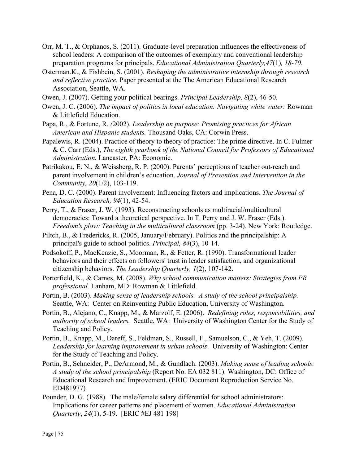- Orr, M. T., & Orphanos, S. (2011). Graduate-level preparation influences the effectiveness of school leaders: A comparison of the outcomes of exemplary and conventional leadership preparation programs for principals. *Educational Administration Quarterly,47*(1)*, 18-70*.
- Osterman.K., & Fishbein, S. (2001). *Reshaping the administrative internship through research and reflective practice.* Paper presented at the The American Educational Research Association, Seattle, WA.
- Owen, J. (2007). Getting your political bearings. *Principal Leadership, 8*(2), 46-50.
- Owen, J. C. (2006). *The impact of politics in local education: Navigating white water:* Rowman & Littlefield Education.
- Papa, R., & Fortune, R. *(*2002). *Leadership on purpose: Promising practices for African American and Hispanic students.* Thousand Oaks, CA: Corwin Press.
- Papalewis, R. (2004). Practice of theory to theory of practice: The prime directive. In C. Fulmer & C. Carr (Eds.), *The eighth yearbook of the National Council for Professors of Educational Administration.* Lancaster, PA: Economic.
- Patrikakou, E. N., & Weissberg, R. P. (2000). Parents' perceptions of teacher out-reach and parent involvement in children's education. *Journal of Prevention and Intervention in the Community, 20*(1/2), 103-119.
- Pena, D. C. (2000). Parent involvement: Influencing factors and implications. *The Journal of Education Research, 94*(1), 42-54.
- Perry, T., & Fraser, J. W. (1993). Reconstructing schools as multiracial/multicultural democracies: Toward a theoretical perspective. In T. Perry and J. W. Fraser (Eds.). *Freedom's plow: Teaching in the multicultural classroom* (pp. 3-24). New York: Routledge.
- Piltch, B., & Fredericks, R. (2005, January/February). Politics and the principalship: A principal's guide to school politics. *Principal, 84*(3), 10-14.
- Podsokoff, P., MacKenzie, S., Moorman, R., & Fetter, R. (1990). Transformational leader behaviors and their effects on followers' trust in leader satisfaction, and organizational citizenship behaviors. *The Leadership Quarterly, 1*(2), 107-142.
- Porterfield, K., & Carnes, M. (2008). *Why school communication matters: Strategies from PR professional.* Lanham, MD: Rowman & Littlefield.
- Portin, B. (2003). *Making sense of leadership schools. A study of the school principalship.* Seattle, WA: Center on Reinventing Public Education, University of Washington.
- Portin, B., Alejano, C., Knapp, M., & Marzolf, E. (2006). *Redefining roles, responsibilities, and authority of school leaders.* Seattle, WA: University of Washington Center for the Study of Teaching and Policy.
- Portin, B., Knapp, M., Dareff, S., Feldman, S., Russell, F., Samuelson, C., & Yeh, T. (2009). *Leadership for learning improvement in urban schools*. University of Washington: Center for the Study of Teaching and Policy.
- Portin, B., Schneider, P., DeArmond, M., & Gundlach. (2003). *Making sense of leading schools: A study of the school principalship* (Report No. EA 032 811). Washington, DC: Office of Educational Research and Improvement. (ERIC Document Reproduction Service No. ED481977)
- Pounder, D. G. (1988). The male/female salary differential for school administrators: Implications for career patterns and placement of women. *Educational Administration Quarterly*, *24*(1), 5-19. [ERIC #EJ 481 198]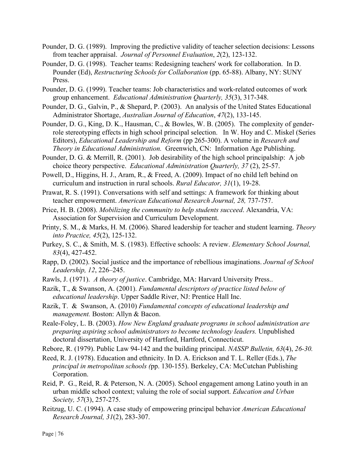- Pounder, D. G. (1989). Improving the predictive validity of teacher selection decisions: Lessons from teacher appraisal. *Journal of Personnel Evaluation*, *2*(2), 123-132.
- Pounder, D. G. (1998). Teacher teams: Redesigning teachers' work for collaboration. In D. Pounder (Ed), *Restructuring Schools for Collaboration* (pp. 65-88). Albany, NY: SUNY Press.
- Pounder, D. G. (1999). Teacher teams: Job characteristics and work-related outcomes of work group enhancement. *Educational Administration Quarterly, 35*(3), 317-348.
- Pounder, D. G., Galvin, P., & Shepard, P. (2003). An analysis of the United States Educational Administrator Shortage, *Australian Journal of Education*, *47*(2), 133-145.
- Pounder, D. G., King, D. K., Hausman, C., & Bowles, W. B. (2005). The complexity of genderrole stereotyping effects in high school principal selection. In W. Hoy and C. Miskel (Series Editors), *Educational Leadership and Reform* (pp 265-300). A volume in *Research and Theory in Educational Administration.* Greenwich, CN: Information Age Publishing.
- Pounder, D. G. & Merrill, R. (2001). Job desirability of the high school principalship: A job choice theory perspective. *Educational Administration Quarterly, 37* (2), 25-57.
- Powell, D., Higgins, H. J., Aram, R., & Freed, A. (2009). Impact of no child left behind on curriculum and instruction in rural schools. *Rural Educator, 31*(1), 19-28.
- Prawat, R. S. (1991). Conversations with self and settings: A framework for thinking about teacher empowerment. *American Educational Research Journal, 28,* 737-757.
- Price, H. B. (2008). *Mobilizing the community to help students succeed*. Alexandria, VA: Association for Supervision and Curriculum Development.
- Printy, S. M., & Marks, H. M. (2006). Shared leadership for teacher and student learning. *Theory into Practice, 45*(2), 125-132.
- Purkey, S. C., & Smith, M. S. (1983). Effective schools: A review. *Elementary School Journal, 83*(4), 427-452.
- Rapp, D. (2002). Social justice and the importance of rebellious imaginations. *Journal of School Leadership, 12*, 226–245.
- Rawls, J. (1971). *A theory of justice*. Cambridge, MA: Harvard University Press..
- Razik, T., & Swanson, A. (2001). *Fundamental descriptors of practice listed below of educational leadership*. Upper Saddle River, NJ: Prentice Hall Inc.
- Razik, T. & Swanson, A. (2010) *Fundamental concepts of educational leadership and management.* Boston: Allyn & Bacon.
- Reale-Foley, L. B. (2003). *How New England graduate programs in school administration are preparing aspiring school administrators to become technology leaders.* Unpublished doctoral dissertation, University of Hartford, Hartford, Connecticut.
- Rebore, R. (1979). Public Law 94-142 and the building principal. *NASSP Bulletin, 63*(4), *26-30.*
- Reed, R. J. (1978). Education and ethnicity. In D. A. Erickson and T. L. Reller (Eds.), *The principal in metropolitan schools (*pp. 130-155). Berkeley, CA: McCutchan Publishing Corporation.
- Reid, P. G., Reid, R. & Peterson, N. A. (2005). School engagement among Latino youth in an urban middle school context; valuing the role of social support. *Education and Urban Society, 57*(3), 257-275.
- Reitzug, U. C. (1994). A case study of empowering principal behavior *American Educational Research Journal, 31*(2), 283-307.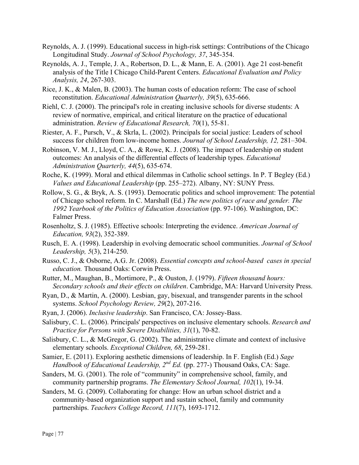- Reynolds, A. J. (1999). Educational success in high-risk settings: Contributions of the Chicago Longitudinal Study. *Journal of School Psychology, 37*, 345-354.
- Reynolds, A. J., Temple, J. A., Robertson, D. L., & Mann, E. A. (2001). Age 21 cost-benefit analysis of the Title I Chicago Child-Parent Centers. *Educational Evaluation and Policy Analysis, 24*, 267-303.
- Rice, J. K., & Malen, B. (2003). The human costs of education reform: The case of school reconstitution. *Educational Administration Quarterly, 39*(5), 635-666.
- Riehl, C. J. (2000). The principal's role in creating inclusive schools for diverse students: A review of normative, empirical, and critical literature on the practice of educational administration. *Review of Educational Research, 70*(1), 55-81.
- Riester, A. F., Pursch, V., & Skrla, L. (2002). Principals for social justice: Leaders of school success for children from low-income homes. *Journal of School Leadership, 12,* 281–304.
- Robinson, V. M. J., Lloyd, C. A., & Rowe, K. J. (2008). The impact of leadership on student outcomes: An analysis of the differential effects of leadership types. *Educational Administration Quarterly, 44*(5), 635-674.
- Roche, K. (1999). Moral and ethical dilemmas in Catholic school settings. In P. T Begley (Ed.) *Values and Educational Leadership* (pp. 255–272). Albany, NY: SUNY Press.
- Rollow, S. G., & Bryk, A. S. (1993). Democratic politics and school improvement: The potential of Chicago school reform. In C. Marshall (Ed.) *The new politics of race and gender. The 1992 Yearbook of the Politics of Education Association* (pp. 97-106). Washington, DC: Falmer Press.
- Rosenholtz, S. J. (1985). Effective schools: Interpreting the evidence. *American Journal of Education, 93*(2), 352-389.
- Rusch, E. A. (1998). Leadership in evolving democratic school communities. *Journal of School Leadership, 5*(3), 214-250.
- Russo, C. J., & Osborne, A.G. Jr. (2008). *Essential concepts and school-based cases in special education.* Thousand Oaks: Corwin Press.
- Rutter, M., Maughan, B., Mortimore, P., & Ouston, J. (1979). *Fifteen thousand hours: Secondary schools and their effects on children*. Cambridge, MA: Harvard University Press.
- Ryan, D., & Martin, A. (2000). Lesbian, gay, bisexual, and transgender parents in the school systems. *School Psychology Review, 29*(2), 207-216.
- Ryan, J. (2006). *Inclusive leadership*. San Francisco, CA: Jossey-Bass.
- Salisbury, C. L. (2006). Principals' perspectives on inclusive elementary schools. *Research and Practice for Persons with Severe Disabilities, 31*(1), 70-82.
- Salisbury, C. L., & McGregor, G. (2002). The administrative climate and context of inclusive elementary schools. *Exceptional Children, 68*, 259-281.
- Samier, E. (2011). Exploring aesthetic dimensions of leadership. In F. English (Ed.) *Sage Handbook of Educational Leadership, 2<sup>nd</sup> Ed.* (pp. 277-) Thousand Oaks, CA: Sage.
- Sanders, M. G. (2001). The role of "community" in comprehensive school, family, and community partnership programs. *The Elementary School Journal, 102*(1), 19-34.
- Sanders, M. G. (2009). Collaborating for change: How an urban school district and a community-based organization support and sustain school, family and community partnerships. *Teachers College Record, 111*(7), 1693-1712.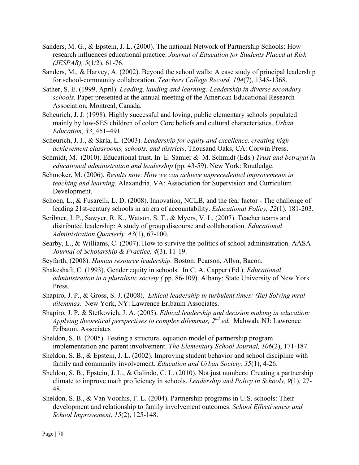- Sanders, M. G., & Epstein, J. L. (2000). The national Network of Partnership Schools: How research influences educational practice. *Journal of Education for Students Placed at Risk (JESPAR), 5*(1/2), 61-76.
- Sanders, M., & Harvey, A. (2002). Beyond the school walls: A case study of principal leadership for school-community collaboration. *Teachers College Record, 104*(7), 1345-1368.
- Sather, S. E. (1999, April). *Leading, lauding and learning: Leadership in diverse secondary schools.* Paper presented at the annual meeting of the American Educational Research Association, Montreal, Canada.
- Scheurich, J. J. (1998). Highly successful and loving, public elementary schools populated mainly by low-SES children of color: Core beliefs and cultural characteristics. *Urban Education, 33*, 451–491.
- Scheurich, J. J., & Skrla, L. (2003). *Leadership for equity and excellence, creating highachievement classrooms, schools, and districts*. Thousand Oaks, CA: Corwin Press.
- Schmidt, M. (2010). Educational trust. In E. Samier & M. Schmidt (Eds.) *Trust and betrayal in educational administration and leadership* (pp. 43-59). New York: Routledge.
- Schmoker, M. (2006). *Results now*: *How we can achieve unprecedented improvements in teaching and learning.* Alexandria, VA: Association for Supervision and Curriculum Development.
- Schoen, L., & Fusarelli, L. D. (2008). Innovation, NCLB, and the fear factor The challenge of leading 21st-century schools in an era of accountability. *Educational Policy, 22*(1), 181-203.
- Scribner, J. P., Sawyer, R. K., Watson, S. T., & Myers, V. L. (2007). Teacher teams and distributed leadership: A study of group discourse and collaboration. *Educational Administration Quarterly, 43*(1), 67-100.
- Searby, L., & Williams, C. (2007). How to survive the politics of school administration. AASA *Journal of Scholarship & Practice, 4*(3), 11-19.
- Seyfarth, (2008). *Human resource leadership.* Boston: Pearson, Allyn, Bacon.
- Shakeshaft, C. (1993). Gender equity in schools. In C. A. Capper (Ed.). *Educational administration in a pluralistic society (* pp. 86-109)*.* Albany: State University of New York Press.
- Shapiro, J. P., & Gross, S. J. (2008). *Ethical leadership in turbulent times: (Re) Solving mral dilemmas.* New York, NY: Lawrence Erlbaum Associates.
- Shapiro, J. P. & Stefkovich, J. A. (2005). *Ethical leadership and decision making in education: Applying theoretical perspectives to complex dilemmas, 2nd ed.* Mahwah, NJ: Lawrence Erlbaum, Associates
- Sheldon, S. B. (2005). Testing a structural equation model of partnership program implementation and parent involvement. *The Elementary School Journal, 106*(2), 171-187.
- Sheldon, S. B., & Epstein, J. L. (2002). Improving student behavior and school discipline with family and community involvement. *Education and Urban Society, 35*(1), 4-26.
- Sheldon, S. B., Epstein, J. L., & Galindo, C. L. (2010). Not just numbers: Creating a partnership climate to improve math proficiency in schools. *Leadership and Policy in Schools, 9*(1), 27- 48.
- Sheldon, S. B., & Van Voorhis, F. L. (2004). Partnership programs in U.S. schools: Their development and relationship to family involvement outcomes. *School Effectiveness and School Improvement, 15*(2), 125-148.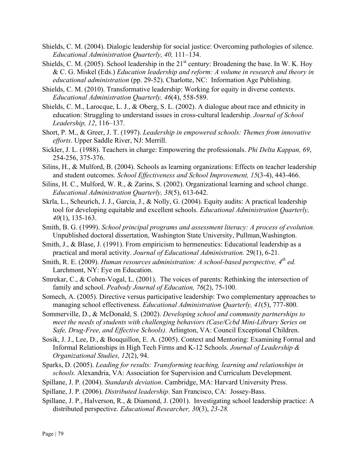- Shields, C. M. (2004). Dialogic leadership for social justice: Overcoming pathologies of silence. *Educational Administration Quarterly, 40,* 111–134.
- Shields, C. M. (2005). School leadership in the  $21<sup>st</sup>$  century: Broadening the base. In W. K. Hoy & C. G. Miskel (Eds.) *Education leadership and reform: A volume in research and theory in educational administration* (pp. 29-52). Charlotte, NC: Information Age Publishing.
- Shields, C. M. (2010). Transformative leadership: Working for equity in diverse contexts. *Educational Administration Quarterly, 46*(4), 558-589.
- Shields, C. M., Larocque, L. J., & Oberg, S. L. (2002). A dialogue about race and ethnicity in education: Struggling to understand issues in cross-cultural leadership. *Journal of School Leadership, 12*, 116–137.
- Short, P. M., & Greer, J. T. (1997). *Leadership in empowered schools: Themes from innovative efforts*. Upper Saddle River, NJ: Merrill.
- Sickler, J. L. (1988). Teachers in charge: Empowering the professionals. *Phi Delta Kappan, 69*, 254-256, 375-376.
- Silins, H., & Mulford, B. (2004). Schools as learning organizations: Effects on teacher leadership and student outcomes. *School Effectiveness and School Improvement, 15*(3-4), 443-466.
- Silins, H. C., Mulford, W. R., & Zarins, S. (2002). Organizational learning and school change. *Educational Administration Quarterly, 38*(5), 613-642.
- Skrla, L., Scheurich, J. J., Garcia, J., & Nolly, G. (2004). Equity audits: A practical leadership tool for developing equitable and excellent schools. *Educational Administration Quarterly, 40*(1), 135-163.
- Smith, B. G. (1999). *School principal programs and assessment literacy: A process of evolution.* Unpublished doctoral dissertation, Washington State University, Pullman,Washington.
- Smith, J., & Blase, J. (1991). From empiricism to hermeneutics: Educational leadership as a practical and moral activity. *Journal of Educational Administration.* 29(1), 6-21.
- Smith, R. E. (2009). *Human resources administration: A school-based perspective,* 4<sup>th</sup> ed. Larchmont, NY: Eye on Education.
- Smrekar, C., & Cohen-Vogal, L. (2001). The voices of parents: Rethinking the intersection of family and school. *Peabody Journal of Education, 76*(2), 75-100.
- Somech, A. (2005). Directive versus participative leadership: Two complementary approaches to managing school effectiveness. *Educational Administration Quarterly, 41*(5), 777-800.
- Sommerville, D., & McDonald, S. (2002). *Developing school and community partnerships to meet the needs of students with challenging behaviors (Case/Ccbd Mini-Library Series on Safe, Drug-Free, and Effective Schools).* Arlington, VA: Council Exceptional Children.
- Sosik, J. J., Lee, D., & Bouquillon, E. A. (2005). Context and Mentoring: Examining Formal and Informal Relationships in High Tech Firms and K-12 Schools. *Journal of Leadership & Organizational Studies, 12*(2), 94.
- Sparks, D. (2005). *Leading for results: Transforming teaching, learning and relationships in schools.* Alexandria, VA: Association for Supervision and Curriculum Development.
- Spillane, J. P. (2004). *Standards deviation*. Cambridge, MA: Harvard University Press.
- Spillane, J. P. (2006). *Distributed leadership*. San Francisco, CA: Jossey-Bass.
- Spillane, J. P., Halverson, R., & Diamond, J. (2001). Investigating school leadership practice: A distributed perspective. *Educational Researcher, 30*(3), *23-28.*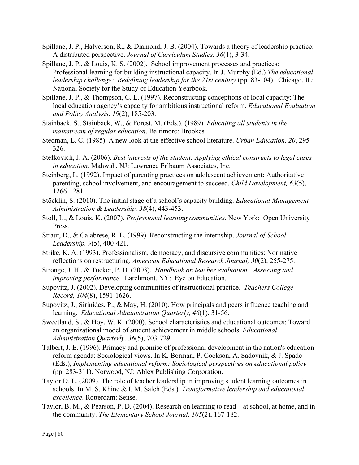- Spillane, J. P., Halverson, R., & Diamond, J. B. (2004). Towards a theory of leadership practice: A distributed perspective. *Journal of Curriculum Studies, 36*(1), 3-34.
- Spillane, J. P., & Louis, K. S. (2002). School improvement processes and practices: Professional learning for building instructional capacity. In J. Murphy (Ed.) *The educational leadership challenge: Redefining leadership for the 21st century* (pp. 83-104). Chicago, IL: National Society for the Study of Education Yearbook.
- Spillane, J. P., & Thompson, C. L. (1997). Reconstructing conceptions of local capacity: The local education agency's capacity for ambitious instructional reform. *Educational Evaluation and Policy Analysis*, *19*(2), 185-203.
- Stainback, S., Stainback, W., & Forest, M. (Eds.). (1989). *Educating all students in the mainstream of regular education*. Baltimore: Brookes.
- Stedman, L. C. (1985). A new look at the effective school literature. *Urban Education, 20*, 295- 326.
- Stefkovich, J. A. (2006). *Best interests of the student: Applying ethical constructs to legal cases in education*. Mahwah, NJ: Lawrence Erlbaum Associates, Inc.
- Steinberg, L. (1992). Impact of parenting practices on adolescent achievement: Authoritative parenting, school involvement, and encouragement to succeed. *Child Development, 63*(5), 1266-1281.
- Stöcklin, S. (2010). The initial stage of a school's capacity building. *Educational Management Administration & Leadership, 38*(4), 443-453.
- Stoll, L., & Louis, K. (2007). *Professional learning communities*. New York: Open University Press.
- Straut, D., & Calabrese, R. L. (1999). Reconstructing the internship. *Journal of School Leadership, 9*(5), 400-421.
- Strike, K. A. (1993). Professionalism, democracy, and discursive communities: Normative reflections on restructuring. *American Educational Research Journal, 30*(2), 255-275.
- Stronge, J. H., & Tucker, P. D. (2003). *Handbook on teacher evaluation: Assessing and improving performance.* Larchmont, NY: Eye on Education.
- Supovitz, J. (2002). Developing communities of instructional practice. *Teachers College Record, 104*(8), 1591-1626.
- Supovitz, J., Sirinides, P., & May, H. (2010). How principals and peers influence teaching and learning. *Educational Administration Quarterly, 46*(1), 31-56.
- Sweetland, S., & Hoy, W. K. (2000). School characteristics and educational outcomes: Toward an organizational model of student achievement in middle schools. *Educational Administration Quarterly, 36*(5), 703-729.
- Talbert, J. E. (1996). Primacy and promise of professional development in the nation's education reform agenda: Sociological views. In K. Borman, P. Cookson, A. Sadovnik, & J. Spade (Eds.), *Implementing educational reform: Sociological perspectives on educational policy* (pp. 283-311). Norwood, NJ: Ablex Publishing Corporation.
- Taylor D. L. (2009). The role of teacher leadership in improving student learning outcomes in schools. In M. S. Khine & I. M. Saleh (Eds.). *Transformative leadership and educational excellence*. Rotterdam: Sense.
- Taylor, B. M., & Pearson, P. D. (2004). Research on learning to read at school, at home, and in the community. *The Elementary School Journal, 105*(2), 167-182.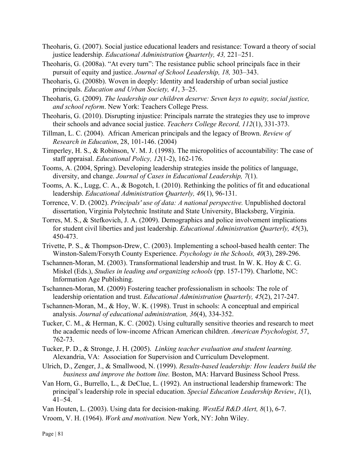- Theoharis, G. (2007). Social justice educational leaders and resistance: Toward a theory of social justice leadership. *Educational Administration Quarterly, 43,* 221–251.
- Theoharis, G. (2008a). "At every turn": The resistance public school principals face in their pursuit of equity and justice. *Journal of School Leadership, 18,* 303–343.
- Theoharis, G. (2008b). Woven in deeply: Identity and leadership of urban social justice principals. *Education and Urban Society, 41*, 3–25.

Theoharis, G. (2009). *The leadership our children deserve: Seven keys to equity, social justice, and school reform*. New York: Teachers College Press.

- Theoharis, G. (2010). Disrupting injustice: Principals narrate the strategies they use to improve their schools and advance social justice. *Teachers College Record, 112*(1), 331-373.
- Tillman, L. C. (2004). African American principals and the legacy of Brown. *Review of Research in Education*, 28, 101-146. (2004)
- Timperley, H. S., & Robinson, V. M. J. (1998). The micropolitics of accountability: The case of staff appraisal. *Educational Policy, 12*(1-2), 162-176.
- Tooms, A. (2004, Spring). Developing leadership strategies inside the politics of language, diversity, and change. *Journal of Cases in Educational Leadership, 7*(1).
- Tooms, A. K., Lugg, C. A., & Bogotch, I. (2010). Rethinking the politics of fit and educational leadership. *Educational Administration Quarterly, 46*(1), 96-131.

Torrence, V. D. (2002). *Principals' use of data: A national perspective.* Unpublished doctoral dissertation, Virginia Polytechnic Institute and State University, Blacksberg, Virginia.

- Torres, M. S., & Stefkovich, J. A. (2009). Demographics and police involvement implications for student civil liberties and just leadership. *Educational Administration Quarterly, 45*(3), 450-473.
- Trivette, P. S., & Thompson-Drew, C. (2003). Implementing a school-based health center: The Winston-Salem/Forsyth County Experience. *Psychology in the Schools, 40*(3), 289-296.
- Tschannen-Moran, M. (2003). Transformational leadership and trust. In W. K. Hoy & C. G. Miskel (Eds.), *Studies in leading and organizing schools* (pp. 157-179). Charlotte, NC: Information Age Publishing.
- Tschannen-Moran, M. (2009) Fostering teacher professionalism in schools: The role of leadership orientation and trust. *Educational Administration Quarterly, 45*(2), 217-247.
- Tschannen-Moran, M., & Hoy, W. K. (1998). Trust in schools: A conceptual and empirical analysis. *Journal of educational administration, 36*(4), 334-352.
- Tucker, C. M., & Herman, K. C. (2002). Using culturally sensitive theories and research to meet the academic needs of low-income African American children. *American Psychologist, 57*, 762-73.
- Tucker, P. D., & Stronge, J. H. (2005). *Linking teacher evaluation and student learning.* Alexandria, VA: Association for Supervision and Curriculum Development.
- Ulrich, D., Zenger, J., & Smallwood, N. (1999). *Results-based leadership: How leaders build the business and improve the bottom line.* Boston, MA: Harvard Business School Press.
- Van Horn, G., Burrello, L., & DeClue, L. (1992). An instructional leadership framework: The principal's leadership role in special education. *Special Education Leadership Review*, *1*(1), 41–54.
- Van Houten, L. (2003). Using data for decision-making. *WestEd R&D Alert, 8*(1), 6-7.

Vroom, V. H. (1964). *Work and motivation.* New York, NY: John Wiley.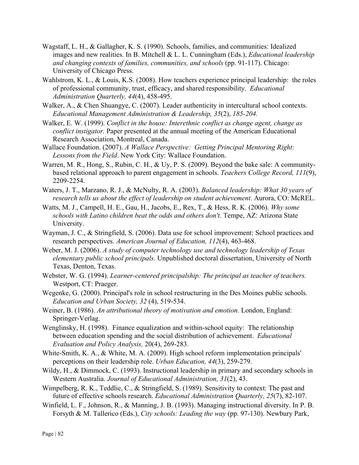- Wagstaff, L. H., & Gallagher, K. S. (1990). Schools, families, and communities: Idealized images and new realities. In B. Mitchell & L. L. Cunningham (Eds.), *Educational leadership and changing contexts of families, communities, and schools* (pp. 91-117). Chicago: University of Chicago Press.
- Wahlstrom, K. L., & Louis, K.S. (2008). How teachers experience principal leadership: the roles of professional community, trust, efficacy, and shared responsibility. *Educational Administration Quarterly, 44*(4), 458-495.
- Walker, A., & Chen Shuangye, C. (2007). Leader authenticity in intercultural school contexts. *Educational Management Administration & Leadership, 35*(2), *185-204.*
- Walker, E. W. (1999). *Conflict in the house: Interethnic conflict as change agent, change as conflict instigator.* Paper presented at the annual meeting of the American Educational Research Association, Montreal, Canada.
- Wallace Foundation. (2007). *A Wallace Perspective: Getting Principal Mentoring Right: Lessons from the Field*. New York City: Wallace Foundation.
- Warren, M. R., Hong, S., Rubin, C. H., & Uy, P. S. (2009). Beyond the bake sale: A communitybased relational approach to parent engagement in schools. *Teachers College Record, 111*(9), 2209-2254.
- Waters, J. T., Marzano, R. J., & McNulty, R. A. (2003). *Balanced leadership: What 30 years of research tells us about the effect of leadership on student achievement*. Aurora, CO: McREL.
- Watts, M. J., Campell, H. E., Gau, H., Jacobs, E., Rex, T., & Hess, R. K. (2006). *Why some schools with Latino children beat the odds and others don't*. Tempe, AZ: Arizona State University.
- Wayman, J. C., & Stringfield, S. (2006). Data use for school improvement: School practices and research perspectives. *American Journal of Education, 112*(4), 463-468.
- Weber, M. J. (2006). *A study of computer technology use and technology leadership of Texas elementary public school principals.* Unpublished doctoral dissertation, University of North Texas, Denton, Texas.
- Webster, W. G. (1994). *Learner-centered principalship: The principal as teacher of teachers.* Westport, CT: Praeger.
- Wegenke, G. (2000). Principal's role in school restructuring in the Des Moines public schools. *Education and Urban Society, 32* (4), 519-534.
- Weiner, B. (1986). *An attributional theory of motivation and emotion.* London, England: Springer-Verlag.
- Wenglinsky, H. (1998). Finance equalization and within-school equity: The relationship between education spending and the social distribution of achievement. *Educational Evaluation and Policy Analysis,* 20(4), 269-283.
- White-Smith, K. A., & White, M. A. (2009). High school reform implementation principals' perceptions on their leadership role. *Urban Education, 44*(3), 259-279.
- Wildy, H., & Dimmock, C. (1993). Instructional leadership in primary and secondary schools in Western Australia. *Journal of Educational Administration, 31*(2), 43.
- Wimpelberg, R. K., Teddlie, C., & Stringfield, S. (1989). Sensitivity to context: The past and future of effective schools research. *Educational Administration Quarterly, 25*(7), 82-107.
- Winfield, L. F., Johnson, R., & Manning, J. B. (1993). Managing instructional diversity. In P. B. Forsyth & M. Tallerico (Eds.), *City schools: Leading the way* (pp. 97-130). Newbury Park,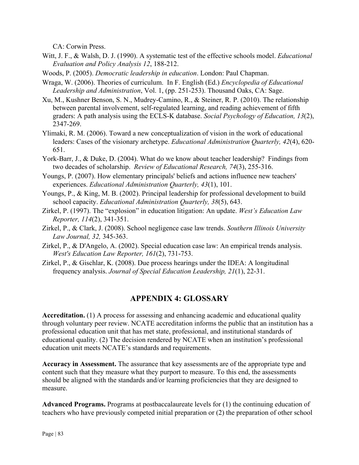CA: Corwin Press.

- Witt, J. F., & Walsh, D. J. (1990). A systematic test of the effective schools model. *Educational Evaluation and Policy Analysis 12*, 188-212.
- Woods, P. (2005). *Democratic leadership in education*. London: Paul Chapman.
- Wraga, W. (2006). Theories of curriculum. In F. English (Ed.) *Encyclopedia of Educational Leadership and Administration*, Vol. 1, (pp. 251-253). Thousand Oaks, CA: Sage.
- Xu, M., Kushner Benson, S. N., Mudrey-Camino, R., & Steiner, R. P. (2010). The relationship between parental involvement, self-regulated learning, and reading achievement of fifth graders: A path analysis using the ECLS-K database. *Social Psychology of Education, 13*(2), 2347-269.
- Ylimaki, R. M. (2006). Toward a new conceptualization of vision in the work of educational leaders: Cases of the visionary archetype. *Educational Administration Quarterly, 42*(4), 620- 651.
- York-Barr, J., & Duke, D. (2004). What do we know about teacher leadership? Findings from two decades of scholarship. *Review of Educational Research, 74*(3), 255-316.
- Youngs, P. (2007). How elementary principals' beliefs and actions influence new teachers' experiences. *Educational Administration Quarterly, 43*(1), 101.
- Youngs, P., & King, M. B. (2002). Principal leadership for professional development to build school capacity. *Educational Administration Quarterly, 38*(5), 643.
- Zirkel, P. (1997). The "explosion" in education litigation: An update. *West's Education Law Reporter, 114*(2), 341-351.
- Zirkel, P., & Clark, J. (2008). School negligence case law trends. *Southern Illinois University Law Journal, 32,* 345-363.
- Zirkel, P., & D'Angelo, A. (2002). Special education case law: An empirical trends analysis. *West's Education Law Reporter, 161*(2), 731-753.
- Zirkel, P., & Gischlar, K. (2008). Due process hearings under the IDEA: A longitudinal frequency analysis. *Journal of Special Education Leadership, 21*(1), 22-31.

## **APPENDIX 4: GLOSSARY**

**Accreditation.** (1) A process for assessing and enhancing academic and educational quality through voluntary peer review. NCATE accreditation informs the public that an institution has a professional education unit that has met state, professional, and institutional standards of educational quality. (2) The decision rendered by NCATE when an institution's professional education unit meets NCATE's standards and requirements.

**Accuracy in Assessment.** The assurance that key assessments are of the appropriate type and content such that they measure what they purport to measure. To this end, the assessments should be aligned with the standards and/or learning proficiencies that they are designed to measure.

**Advanced Programs.** Programs at postbaccalaureate levels for (1) the continuing education of teachers who have previously competed initial preparation or (2) the preparation of other school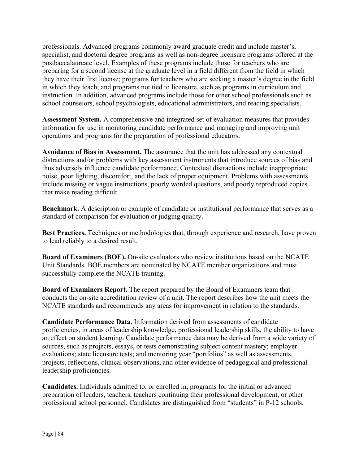professionals. Advanced programs commonly award graduate credit and include master's, specialist, and doctoral degree programs as well as non-degree licensure programs offered at the postbaccalaureate level. Examples of these programs include those for teachers who are preparing for a second license at the graduate level in a field different from the field in which they have their first license; programs for teachers who are seeking a master's degree in the field in which they teach; and programs not tied to licensure, such as programs in curriculum and instruction. In addition, advanced programs include those for other school professionals such as school counselors, school psychologists, educational administrators, and reading specialists.

**Assessment System.** A comprehensive and integrated set of evaluation measures that provides information for use in monitoring candidate performance and managing and improving unit operations and programs for the preparation of professional educators.

**Avoidance of Bias in Assessment.** The assurance that the unit has addressed any contextual distractions and/or problems with key assessment instruments that introduce sources of bias and thus adversely influence candidate performance. Contextual distractions include inappropriate noise, poor lighting, discomfort, and the lack of proper equipment. Problems with assessments include missing or vague instructions, poorly worded questions, and poorly reproduced copies that make reading difficult.

**Benchmark**. A description or example of candidate or institutional performance that serves as a standard of comparison for evaluation or judging quality.

**Best Practices.** Techniques or methodologies that, through experience and research, have proven to lead reliably to a desired result.

**Board of Examiners (BOE).** On-site evaluators who review institutions based on the NCATE Unit Standards. BOE members are nominated by NCATE member organizations and must successfully complete the NCATE training.

**Board of Examiners Report.** The report prepared by the Board of Examiners team that conducts the on-site accreditation review of a unit. The report describes how the unit meets the NCATE standards and recommends any areas for improvement in relation to the standards.

**Candidate Performance Data**. Information derived from assessments of candidate proficiencies, in areas of leadership knowledge, professional leadership skills, the ability to have an effect on student learning. Candidate performance data may be derived from a wide variety of sources, such as projects, essays, or tests demonstrating subject content mastery; employer evaluations; state licensure tests; and mentoring year "portfolios" as well as assessments, projects, reflections, clinical observations, and other evidence of pedagogical and professional leadership proficiencies.

**Candidates.** Individuals admitted to, or enrolled in, programs for the initial or advanced preparation of leaders, teachers, teachers continuing their professional development, or other professional school personnel. Candidates are distinguished from "students" in P-12 schools.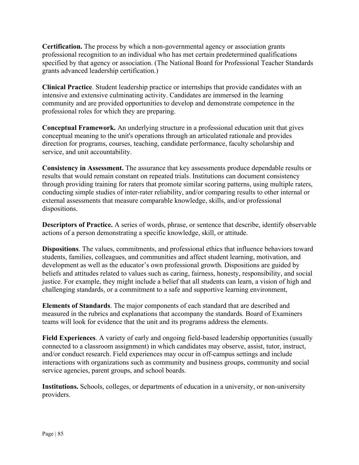**Certification.** The process by which a non-governmental agency or association grants professional recognition to an individual who has met certain predetermined qualifications specified by that agency or association. (The National Board for Professional Teacher Standards grants advanced leadership certification.)

**Clinical Practice**. Student leadership practice or internships that provide candidates with an intensive and extensive culminating activity. Candidates are immersed in the learning community and are provided opportunities to develop and demonstrate competence in the professional roles for which they are preparing.

**Conceptual Framework.** An underlying structure in a professional education unit that gives conceptual meaning to the unit's operations through an articulated rationale and provides direction for programs, courses, teaching, candidate performance, faculty scholarship and service, and unit accountability.

**Consistency in Assessment.** The assurance that key assessments produce dependable results or results that would remain constant on repeated trials. Institutions can document consistency through providing training for raters that promote similar scoring patterns, using multiple raters, conducting simple studies of inter-rater reliability, and/or comparing results to other internal or external assessments that measure comparable knowledge, skills, and/or professional dispositions.

**Descriptors of Practice.** A series of words, phrase, or sentence that describe, identify observable actions of a person demonstrating a specific knowledge, skill, or attitude.

**Dispositions**. The values, commitments, and professional ethics that influence behaviors toward students, families, colleagues, and communities and affect student learning, motivation, and development as well as the educator's own professional growth. Dispositions are guided by beliefs and attitudes related to values such as caring, fairness, honesty, responsibility, and social justice. For example, they might include a belief that all students can learn, a vision of high and challenging standards, or a commitment to a safe and supportive learning environment,

**Elements of Standards**. The major components of each standard that are described and measured in the rubrics and explanations that accompany the standards. Board of Examiners teams will look for evidence that the unit and its programs address the elements.

**Field Experiences**. A variety of early and ongoing field-based leadership opportunities (usually connected to a classroom assignment) in which candidates may observe, assist, tutor, instruct, and/or conduct research. Field experiences may occur in off-campus settings and include interactions with organizations such as community and business groups, community and social service agencies, parent groups, and school boards.

**Institutions.** Schools, colleges, or departments of education in a university, or non-university providers.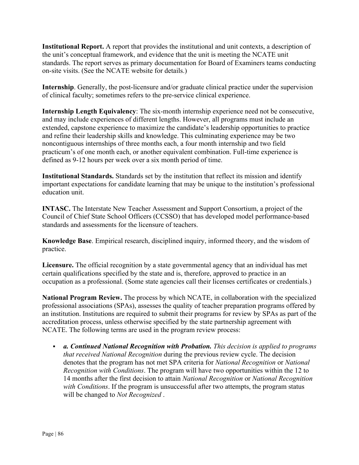**Institutional Report.** A report that provides the institutional and unit contexts, a description of the unit's conceptual framework, and evidence that the unit is meeting the NCATE unit standards. The report serves as primary documentation for Board of Examiners teams conducting on-site visits. (See the NCATE website for details.)

**Internship**. Generally, the post-licensure and/or graduate clinical practice under the supervision of clinical faculty; sometimes refers to the pre-service clinical experience.

**Internship Length Equivalency**: The six-month internship experience need not be consecutive, and may include experiences of different lengths. However, all programs must include an extended, capstone experience to maximize the candidate's leadership opportunities to practice and refine their leadership skills and knowledge. This culminating experience may be two noncontiguous internships of three months each, a four month internship and two field practicum's of one month each, or another equivalent combination. Full-time experience is defined as 9-12 hours per week over a six month period of time.

**Institutional Standards.** Standards set by the institution that reflect its mission and identify important expectations for candidate learning that may be unique to the institution's professional education unit.

**INTASC.** The Interstate New Teacher Assessment and Support Consortium, a project of the Council of Chief State School Officers (CCSSO) that has developed model performance-based standards and assessments for the licensure of teachers.

**Knowledge Base**. Empirical research, disciplined inquiry, informed theory, and the wisdom of practice.

**Licensure.** The official recognition by a state governmental agency that an individual has met certain qualifications specified by the state and is, therefore, approved to practice in an occupation as a professional. (Some state agencies call their licenses certificates or credentials.)

**National Program Review.** The process by which NCATE, in collaboration with the specialized professional associations (SPAs), assesses the quality of teacher preparation programs offered by an institution. Institutions are required to submit their programs for review by SPAs as part of the accreditation process, unless otherwise specified by the state partnership agreement with NCATE. The following terms are used in the program review process:

 *a. Continued National Recognition with Probation. This decision is applied to programs that received National Recognition* during the previous review cycle. The decision denotes that the program has not met SPA criteria for *National Recognition* or *National Recognition with Conditions*. The program will have two opportunities within the 12 to 14 months after the first decision to attain *National Recognition* or *National Recognition with Conditions*. If the program is unsuccessful after two attempts, the program status will be changed to *Not Recognized* .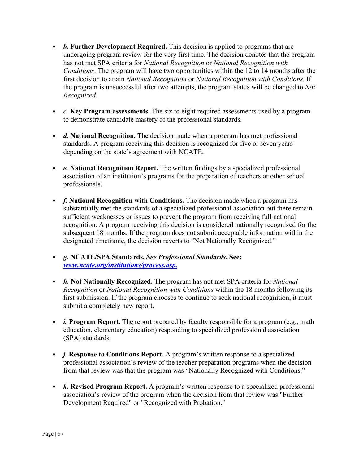- *b.* **Further Development Required.** This decision is applied to programs that are undergoing program review for the very first time. The decision denotes that the program has not met SPA criteria for *National Recognition* or *National Recognition with Conditions*. The program will have two opportunities within the 12 to 14 months after the first decision to attain *National Recognition* or *National Recognition with Conditions*. If the program is unsuccessful after two attempts, the program status will be changed to *Not Recognized*.
- *c.* **Key Program assessments.** The six to eight required assessments used by a program to demonstrate candidate mastery of the professional standards.
- *d.* **National Recognition.** The decision made when a program has met professional standards. A program receiving this decision is recognized for five or seven years depending on the state's agreement with NCATE.
- *e.* **National Recognition Report.** The written findings by a specialized professional association of an institution's programs for the preparation of teachers or other school professionals.
- **f. National Recognition with Conditions.** The decision made when a program has substantially met the standards of a specialized professional association but there remain sufficient weaknesses or issues to prevent the program from receiving full national recognition. A program receiving this decision is considered nationally recognized for the subsequent 18 months. If the program does not submit acceptable information within the designated timeframe, the decision reverts to "Not Nationally Recognized."
- *g.* **NCATE/SPA Standards.** *See Professional Standards.* **See:**  *www.ncate.org/institutions/process.asp.*
- *h.* **Not Nationally Recognized.** The program has not met SPA criteria for *National Recognition* or *National Recognition with Conditions* within the 18 months following its first submission. If the program chooses to continue to seek national recognition, it must submit a completely new report.
- *i.* Program Report. The report prepared by faculty responsible for a program (e.g., math education, elementary education) responding to specialized professional association (SPA) standards.
- *j.* **Response to Conditions Report.** A program's written response to a specialized professional association's review of the teacher preparation programs when the decision from that review was that the program was "Nationally Recognized with Conditions."
- *k.* **Revised Program Report.** A program's written response to a specialized professional association's review of the program when the decision from that review was "Further Development Required" or "Recognized with Probation."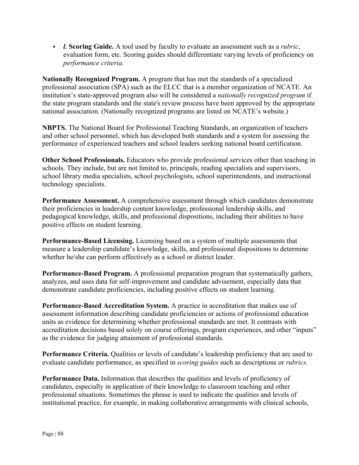*l.* **Scoring Guide.** A tool used by faculty to evaluate an assessment such as a *rubric*, evaluation form, etc. Scoring guides should differentiate varying levels of proficiency on *performance criteria*.

**Nationally Recognized Program.** A program that has met the standards of a specialized professional association (SPA) such as the ELCC that is a member organization of NCATE. An institution's state-approved program also will be considered a *nationally recognized program* if the state program standards and the state's review process have been approved by the appropriate national association. (Nationally recognized programs are listed on NCATE's website.)

**NBPTS.** The National Board for Professional Teaching Standards, an organization of teachers and other school personnel, which has developed both standards and a system for assessing the performance of experienced teachers and school leaders seeking national board certification.

**Other School Professionals.** Educators who provide professional services other than teaching in schools. They include, but are not limited to, principals, reading specialists and supervisors, school library media specialists, school psychologists, school superintendents, and instructional technology specialists.

**Performance Assessment.** A comprehensive assessment through which candidates demonstrate their proficiencies in leadership content knowledge, professional leadership skills, and pedagogical knowledge, skills, and professional dispositions, including their abilities to have positive effects on student learning.

**Performance-Based Licensing.** Licensing based on a system of multiple assessments that measure a leadership candidate's knowledge, skills, and professional dispositions to determine whether he/she can perform effectively as a school or district leader.

**Performance-Based Program.** A professional preparation program that systematically gathers, analyzes, and uses data for self-improvement and candidate advisement, especially data that demonstrate candidate proficiencies, including positive effects on student learning.

**Performance-Based Accreditation System.** A practice in accreditation that makes use of assessment information describing candidate proficiencies or actions of professional education units as evidence for determining whether professional standards are met. It contrasts with accreditation decisions based solely on course offerings, program experiences, and other "inputs" as the evidence for judging attainment of professional standards.

**Performance Criteria.** Qualities or levels of candidate's leadership proficiency that are used to evaluate candidate performance, as specified in *scoring guides* such as descriptions or *rubrics*.

**Performance Data.** Information that describes the qualities and levels of proficiency of candidates, especially in application of their knowledge to classroom teaching and other professional situations. Sometimes the phrase is used to indicate the qualities and levels of institutional practice, for example, in making collaborative arrangements with clinical schools,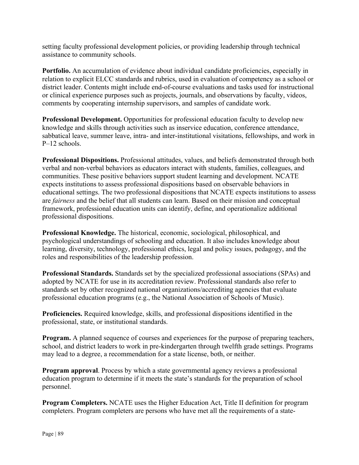setting faculty professional development policies, or providing leadership through technical assistance to community schools.

**Portfolio.** An accumulation of evidence about individual candidate proficiencies, especially in relation to explicit ELCC standards and rubrics, used in evaluation of competency as a school or district leader. Contents might include end-of-course evaluations and tasks used for instructional or clinical experience purposes such as projects, journals, and observations by faculty, videos, comments by cooperating internship supervisors, and samples of candidate work.

**Professional Development.** Opportunities for professional education faculty to develop new knowledge and skills through activities such as inservice education, conference attendance, sabbatical leave, summer leave, intra- and inter-institutional visitations, fellowships, and work in P–12 schools.

**Professional Dispositions.** Professional attitudes, values, and beliefs demonstrated through both verbal and non-verbal behaviors as educators interact with students, families, colleagues, and communities. These positive behaviors support student learning and development. NCATE expects institutions to assess professional dispositions based on observable behaviors in educational settings. The two professional dispositions that NCATE expects institutions to assess are *fairness* and the belief that all students can learn. Based on their mission and conceptual framework, professional education units can identify, define, and operationalize additional professional dispositions.

**Professional Knowledge.** The historical, economic, sociological, philosophical, and psychological understandings of schooling and education. It also includes knowledge about learning, diversity, technology, professional ethics, legal and policy issues, pedagogy, and the roles and responsibilities of the leadership profession.

**Professional Standards.** Standards set by the specialized professional associations (SPAs) and adopted by NCATE for use in its accreditation review. Professional standards also refer to standards set by other recognized national organizations/accrediting agencies that evaluate professional education programs (e.g., the National Association of Schools of Music).

**Proficiencies.** Required knowledge, skills, and professional dispositions identified in the professional, state, or institutional standards.

**Program.** A planned sequence of courses and experiences for the purpose of preparing teachers, school, and district leaders to work in pre-kindergarten through twelfth grade settings. Programs may lead to a degree, a recommendation for a state license, both, or neither.

**Program approval.** Process by which a state governmental agency reviews a professional education program to determine if it meets the state's standards for the preparation of school personnel.

**Program Completers.** NCATE uses the Higher Education Act, Title II definition for program completers. Program completers are persons who have met all the requirements of a state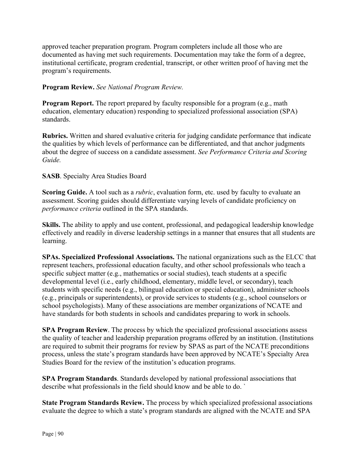approved teacher preparation program. Program completers include all those who are documented as having met such requirements. Documentation may take the form of a degree, institutional certificate, program credential, transcript, or other written proof of having met the program's requirements.

## **Program Review.** *See National Program Review.*

**Program Report.** The report prepared by faculty responsible for a program (e.g., math education, elementary education) responding to specialized professional association (SPA) standards.

**Rubrics.** Written and shared evaluative criteria for judging candidate performance that indicate the qualities by which levels of performance can be differentiated, and that anchor judgments about the degree of success on a candidate assessment. *See Performance Criteria and Scoring Guide.* 

## **SASB**. Specialty Area Studies Board

**Scoring Guide.** A tool such as a *rubric*, evaluation form, etc. used by faculty to evaluate an assessment. Scoring guides should differentiate varying levels of candidate proficiency on *performance criteria* outlined in the SPA standards.

**Skills.** The ability to apply and use content, professional, and pedagogical leadership knowledge effectively and readily in diverse leadership settings in a manner that ensures that all students are learning.

**SPAs. Specialized Professional Associations.** The national organizations such as the ELCC that represent teachers, professional education faculty, and other school professionals who teach a specific subject matter (e.g., mathematics or social studies), teach students at a specific developmental level (i.e., early childhood, elementary, middle level, or secondary), teach students with specific needs (e.g., bilingual education or special education), administer schools (e.g., principals or superintendents), or provide services to students (e.g., school counselors or school psychologists). Many of these associations are member organizations of NCATE and have standards for both students in schools and candidates preparing to work in schools.

**SPA Program Review**. The process by which the specialized professional associations assess the quality of teacher and leadership preparation programs offered by an institution. (Institutions are required to submit their programs for review by SPAS as part of the NCATE preconditions process, unless the state's program standards have been approved by NCATE's Specialty Area Studies Board for the review of the institution's education programs.

**SPA Program Standards**. Standards developed by national professional associations that describe what professionals in the field should know and be able to do. `

**State Program Standards Review.** The process by which specialized professional associations evaluate the degree to which a state's program standards are aligned with the NCATE and SPA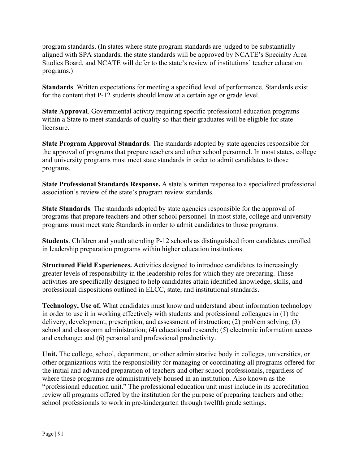program standards. (In states where state program standards are judged to be substantially aligned with SPA standards, the state standards will be approved by NCATE's Specialty Area Studies Board, and NCATE will defer to the state's review of institutions' teacher education programs.)

**Standards**. Written expectations for meeting a specified level of performance. Standards exist for the content that P-12 students should know at a certain age or grade level.

**State Approval**. Governmental activity requiring specific professional education programs within a State to meet standards of quality so that their graduates will be eligible for state licensure.

**State Program Approval Standards**. The standards adopted by state agencies responsible for the approval of programs that prepare teachers and other school personnel. In most states, college and university programs must meet state standards in order to admit candidates to those programs.

**State Professional Standards Response.** A state's written response to a specialized professional association's review of the state's program review standards.

**State Standards**. The standards adopted by state agencies responsible for the approval of programs that prepare teachers and other school personnel. In most state, college and university programs must meet state Standards in order to admit candidates to those programs.

**Students**. Children and youth attending P-12 schools as distinguished from candidates enrolled in leadership preparation programs within higher education institutions.

**Structured Field Experiences.** Activities designed to introduce candidates to increasingly greater levels of responsibility in the leadership roles for which they are preparing. These activities are specifically designed to help candidates attain identified knowledge, skills, and professional dispositions outlined in ELCC, state, and institutional standards.

**Technology, Use of.** What candidates must know and understand about information technology in order to use it in working effectively with students and professional colleagues in (1) the delivery, development, prescription, and assessment of instruction; (2) problem solving; (3) school and classroom administration; (4) educational research; (5) electronic information access and exchange; and (6) personal and professional productivity.

**Unit.** The college, school, department, or other administrative body in colleges, universities, or other organizations with the responsibility for managing or coordinating all programs offered for the initial and advanced preparation of teachers and other school professionals, regardless of where these programs are administratively housed in an institution. Also known as the "professional education unit." The professional education unit must include in its accreditation review all programs offered by the institution for the purpose of preparing teachers and other school professionals to work in pre-kindergarten through twelfth grade settings.